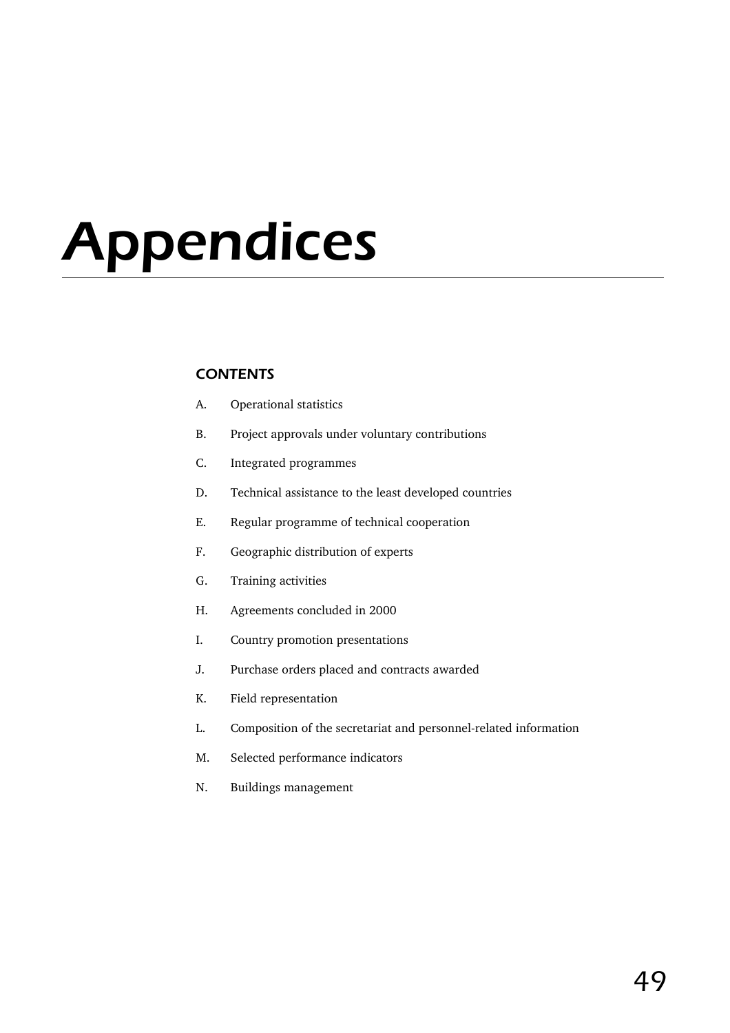# Appendices

## **CONTENTS**

- A. Operational statistics
- B. Project approvals under voluntary contributions
- C. Integrated programmes
- D. Technical assistance to the least developed countries
- E. Regular programme of technical cooperation
- F. Geographic distribution of experts
- G. Training activities
- H. Agreements concluded in 2000
- I. Country promotion presentations
- J. Purchase orders placed and contracts awarded
- K. Field representation
- L. Composition of the secretariat and personnel-related information
- M. Selected performance indicators
- N. Buildings management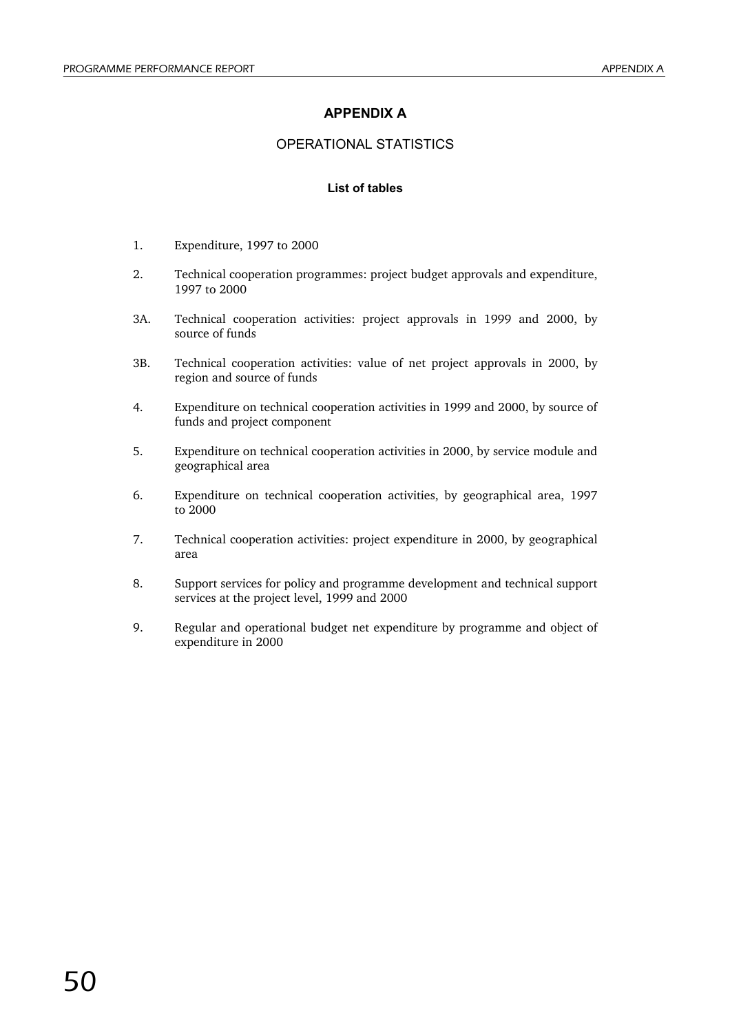## **APPENDIX A**

## OPERATIONAL STATISTICS

#### **List of tables**

- 1. Expenditure, 1997 to 2000
- 2. Technical cooperation programmes: project budget approvals and expenditure, 1997 to 2000
- 3A. Technical cooperation activities: project approvals in 1999 and 2000, by source of funds
- 3B. Technical cooperation activities: value of net project approvals in 2000, by region and source of funds
- 4. Expenditure on technical cooperation activities in 1999 and 2000, by source of funds and project component
- 5. Expenditure on technical cooperation activities in 2000, by service module and geographical area
- 6. Expenditure on technical cooperation activities, by geographical area, 1997 to 2000
- 7. Technical cooperation activities: project expenditure in 2000, by geographical area
- 8. Support services for policy and programme development and technical support services at the project level, 1999 and 2000
- 9. Regular and operational budget net expenditure by programme and object of expenditure in 2000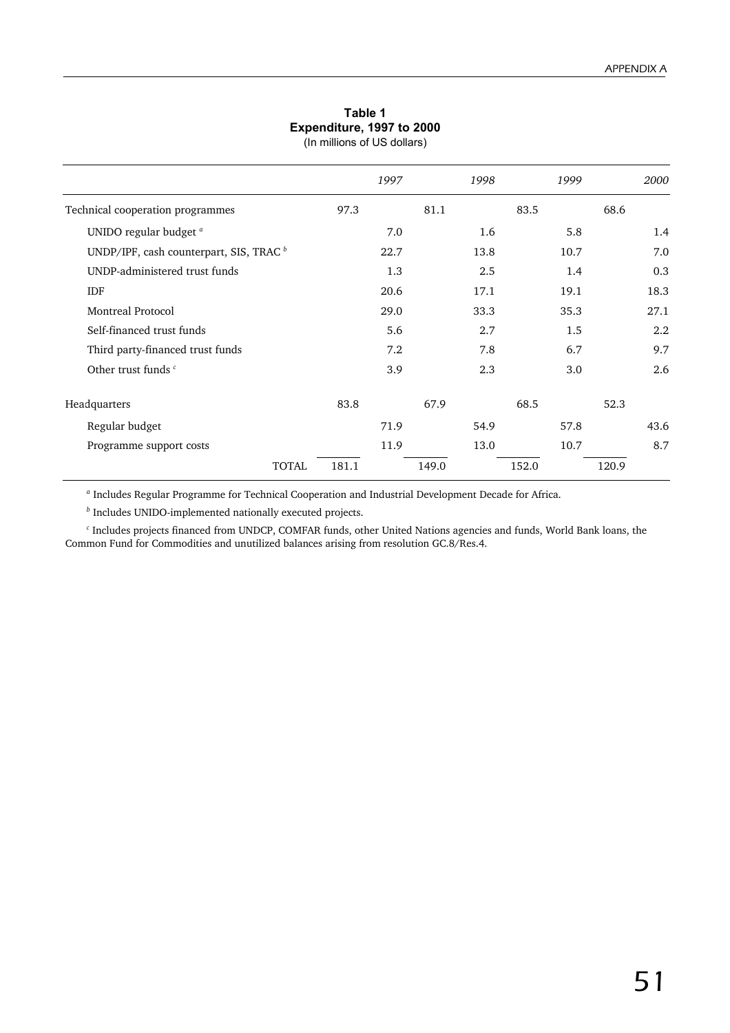## **Table 1 Expenditure, 1997 to 2000**

|                                                    |       | 1997 |       | 1998 |       | 1999 | 2000  |
|----------------------------------------------------|-------|------|-------|------|-------|------|-------|
| Technical cooperation programmes                   | 97.3  |      | 81.1  |      | 83.5  |      | 68.6  |
| UNIDO regular budget <sup>a</sup>                  |       | 7.0  |       | 1.6  |       | 5.8  | 1.4   |
| UNDP/IPF, cash counterpart, SIS, TRAC <sup>b</sup> |       | 22.7 |       | 13.8 |       | 10.7 | 7.0   |
| UNDP-administered trust funds                      |       | 1.3  |       | 2.5  |       | 1.4  | 0.3   |
| <b>IDF</b>                                         |       | 20.6 |       | 17.1 |       | 19.1 | 18.3  |
| <b>Montreal Protocol</b>                           |       | 29.0 |       | 33.3 |       | 35.3 | 27.1  |
| Self-financed trust funds                          |       | 5.6  |       | 2.7  |       | 1.5  | 2.2   |
| Third party-financed trust funds                   |       | 7.2  |       | 7.8  |       | 6.7  | 9.7   |
| Other trust funds c                                |       | 3.9  |       | 2.3  |       | 3.0  | 2.6   |
| Headquarters                                       | 83.8  |      | 67.9  |      | 68.5  |      | 52.3  |
| Regular budget                                     |       | 71.9 |       | 54.9 |       | 57.8 | 43.6  |
| Programme support costs                            |       | 11.9 |       | 13.0 |       | 10.7 | 8.7   |
| <b>TOTAL</b>                                       | 181.1 |      | 149.0 |      | 152.0 |      | 120.9 |

*<sup>a</sup>* Includes Regular Programme for Technical Cooperation and Industrial Development Decade for Africa.

*<sup>b</sup>* Includes UNIDO-implemented nationally executed projects.

*<sup>c</sup>* Includes projects financed from UNDCP, COMFAR funds, other United Nations agencies and funds, World Bank loans, the Common Fund for Commodities and unutilized balances arising from resolution GC.8/Res.4.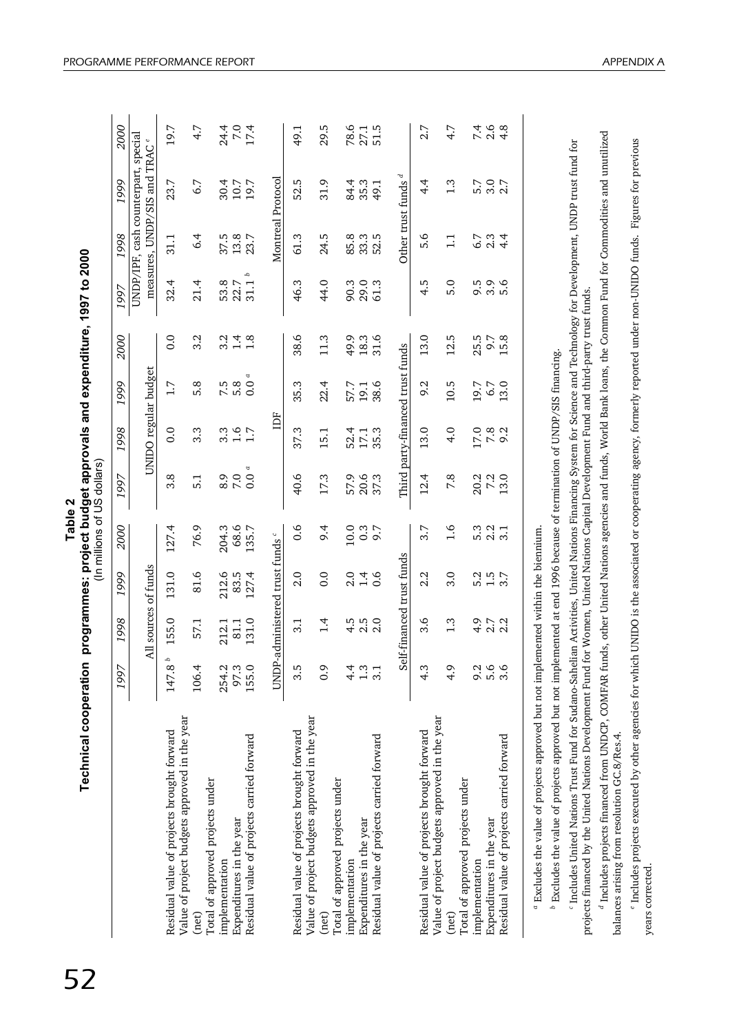|         | e. 199                                                                                |
|---------|---------------------------------------------------------------------------------------|
| Table 2 | nical cooperation programmes: project budget approvals and expenditure,<br>$\ln \min$ |
|         |                                                                                       |
|         |                                                                                       |

| <b>Technical cooperation</b>                                                                                                                 |                    |                                           |                  | Table 2           | (In millions of US dollars) |                                  |                 |                  | programmes: project budget approvals and expenditure, 1997 to 2000 |                      |                                            |                         |
|----------------------------------------------------------------------------------------------------------------------------------------------|--------------------|-------------------------------------------|------------------|-------------------|-----------------------------|----------------------------------|-----------------|------------------|--------------------------------------------------------------------|----------------------|--------------------------------------------|-------------------------|
|                                                                                                                                              | 1997               | 998                                       | 999<br>-         | 2000              | 1997                        | 1998                             | 1999            | 2000             | 1997                                                               | 1998                 | 1999                                       | 2000                    |
|                                                                                                                                              |                    | All sources of funds                      |                  |                   |                             | UNIDO regular budget             |                 |                  |                                                                    | measures, UNDP/SIS   | UNDP/IPF, cash counterpart, special<br>and | TRAC <sup>e</sup>       |
| Residual value of projects brought forward                                                                                                   | 147.8 <sup>b</sup> | 155.0                                     | 131.0            | 127.4             | 3.8                         | 0.0                              | 1.7             | $\overline{0}$ . | 32.4                                                               | 31.1                 | 23.7                                       | 19.7                    |
| Value of project budgets approved in the year<br>(net)                                                                                       | 106.4              | 57.1                                      | 81.6             | 76.9              | 5.1                         | 3.3                              | 5.8             | 3.2              | 21.4                                                               | 6.4                  | 6.7                                        | 4.7                     |
| Total of approved projects under<br>Expenditures in the year<br>implementation                                                               | 97.3<br>254.2      | 81.1<br>212.1                             | 212.6<br>83.5    | 68.6<br>204.3     | 8.9<br>7.0                  | $3.\overline{3}$                 | 7.5<br>5.8      | $3.\overline{2}$ | 53.8<br>22.7                                                       | 37.5<br>13.8<br>23.7 | 30.4<br>10.7                               | $24.0$<br>7.04<br>24.04 |
| Residual value of projects carried forward                                                                                                   | 155.0              | 131.0                                     | 127.4            | 135.7             | $\alpha$<br>0.0             | 1.7                              | $\alpha$<br>0.0 | $\frac{1}{1}$ .8 | d<br>31.1                                                          |                      | 19.7                                       |                         |
|                                                                                                                                              | UNDP-              | administered trust funds <sup>c</sup>     |                  |                   |                             | Ĕ                                |                 |                  |                                                                    | Montreal Protocol    |                                            |                         |
| Residual value of projects brought forward                                                                                                   | 3.5                | 3.1                                       | 2.0              | 0.6               | 40.6                        | 37.3                             | 35.3            | 38.6             | 46.3                                                               | 61.3                 | 52.5                                       | 49.1                    |
| Value of project budgets approved in the year<br>(net)                                                                                       | $\ddot{0}$ .       | 1.4                                       | 0.0              | 6.4               | 17.3                        | 15.1                             | 22.4            | 11.3             | 44.0                                                               | 24.5                 | 31.9                                       | 29.5                    |
| Total of approved projects under<br>implementation                                                                                           | 4.                 | 4.5                                       | 2.0              | 10.0              | 57.9                        | 52.4                             | 57.7            | 49.9             | 90.3                                                               | 85.8                 | 84.4                                       | 78.6                    |
| Residual value of projects carried forward<br>Expenditures in the year                                                                       | 1.3<br>3.1         | $\begin{array}{c} 2.5 \\ 2.0 \end{array}$ | $\frac{1}{4}$ .6 | 0.3<br>9.7        | 20.6<br>37.3                | 17.1<br>35.3                     | 38.6<br>19.1    | 31.6<br>18.3     | 29.0<br>61.3                                                       | 33.3<br>S<br>52.     | 35.3<br>49.1                               | $27.1$<br>$51.5$        |
|                                                                                                                                              |                    | Self-financed trust funds                 |                  |                   |                             | Third party-financed trust funds |                 |                  |                                                                    | Other trust funds    | P                                          |                         |
| Residual value of projects brought forward                                                                                                   | $4.\overline{3}$   | 3.6                                       | 2.2              | 3.7               | 12.4                        | 13.0                             | 9.2             | 13.0             | 4.5                                                                | 5.6                  | 4.4                                        | 2.7                     |
| Value of project budgets approved in the year<br>Total of approved projects under<br>(net)                                                   | 4.9                | 1.3                                       | 3.0              | $-1.6$            | 7.8                         | 4.0                              | 10.5            | 12.5             | 5.0                                                                | $\Xi$                | 1.3                                        | 4.7                     |
| implementation                                                                                                                               | 9.2                | 4.9                                       | 5.2              | 5.3               | 20.2                        | $17.0$<br>$7.8$                  | 19.7            | 25.5             |                                                                    | 6.7                  | 5.7                                        | $7.4$<br>2.6            |
| Residual value of projects carried forward<br>Expenditures in the year                                                                       | 5.6<br>3.6         | $2.7$<br>$2.2$                            | $1.5$<br>3.7     | $\frac{2.2}{3.1}$ | 7.2<br>3.0                  | 9.2                              | 6.7<br>3.0      | 9.7<br>15.8      |                                                                    | 2.3<br>4.4           |                                            | 4.8                     |
|                                                                                                                                              |                    |                                           |                  |                   |                             |                                  |                 |                  |                                                                    |                      |                                            |                         |
| <sup>a</sup> Excludes the value of projects approved but not implemented within the biennium.<br>.<br>ب<br>$b$ $\Gamma$ <sub>under</sub> den | ŕ                  |                                           |                  | ند عب             |                             | $2700$ more than                 |                 |                  |                                                                    |                      |                                            |                         |

Excludes the value of projects approved but not implemented at end 1996 because of termination of UNDP/SIS financing. Excludes the value of projects approved but not implemented at end 1996 because of termination of UNDP/SIS financing.

<sup>c</sup> Includes United Nations Trust Fund for Sudano-Sahelian Activities, United Nations Financing System for Science and Technology for Development, UNDP trust fund for Includes United Nations Trust Fund for Sudano-Sahelian Activities, United Nations Financing System for Science and Technology for Development, UNDP trust fund for projects financed by the United Nations Development Fund for Women, United Nations Capital Development Fund and third-party trust funds. projects financed by the United Nations Development Fund for Women, United Nations Capital Development Fund and third-party trust funds.

<sup>d</sup> Includes projects financed from UNDCP, COMFAR funds, other United Nations agencies and funds, World Bank loans, the Common Fund for Commodities and unutilized Includes projects financed from UNDCP, COMFAR funds, other United Nations agencies and funds, World Bank loans, the Common Fund for Commodities and unutilized balances arising from resolution GC.8/Res.4. balances arising from resolution GC.8/Res.4.

<sup>e</sup> Includes projects executed by other agencies for which UNIDO is the associated or cooperating agency, formerly reported under non-UNIDO funds. Figures for previous Includes projects executed by other agencies for which UNIDO is the associated or cooperating agency, formerly reported under non-UNIDO funds. Figures for previous years corrected. years corrected.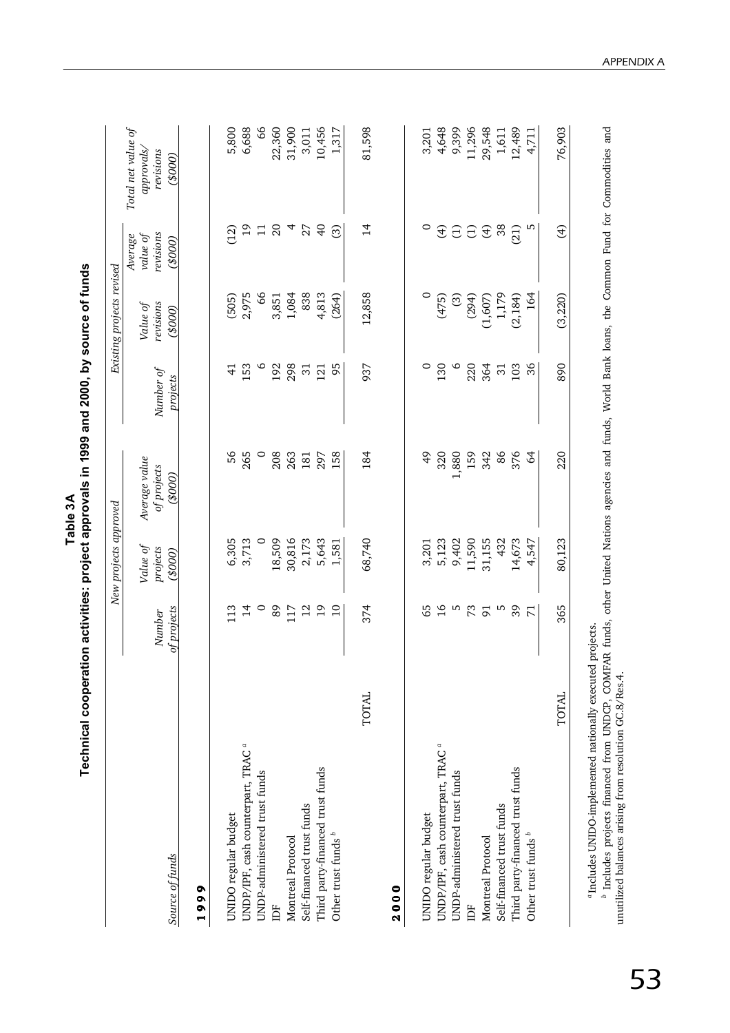|                                               |                       | New projects approved          |                                        |                       | Existing projects revised       |                                                         |                                                               |
|-----------------------------------------------|-----------------------|--------------------------------|----------------------------------------|-----------------------|---------------------------------|---------------------------------------------------------|---------------------------------------------------------------|
| Source of funds                               | of projects<br>Number | Value of<br>projects<br>(0008) | Average value<br>of projects<br>(0008) | Number of<br>projects | revisions<br>Value of<br>(0008) | revisions<br>Average<br>value of<br>(000 <sub>3</sub> ) | Total net value of<br><i>approvals</i><br>revisions<br>(0000) |
| 1999                                          |                       |                                |                                        |                       |                                 |                                                         |                                                               |
| UNIDO regular budget                          | 13                    | 6,305                          | 56                                     | $\frac{4}{3}$         | (505)                           | (12)                                                    | 5,800                                                         |
| UNDP/IPF, cash counterpart, TRAC <sup>ª</sup> | $\frac{1}{4}$         | 3,713                          | 265                                    | 153                   | 2,975                           | $\overline{5}$                                          | 6,688                                                         |
| UNDP-administered trust funds                 | $\circ$               | $\circ$                        | $\circ$                                | $\circ$               | 8                               | $\Box$                                                  | 66                                                            |
| IDF                                           | 89                    | 18,509                         | 208                                    | 192                   | 3,851                           | $\Omega$                                                | 22,360                                                        |
| Montreal Protocol                             | 117                   | 30,816                         | 263                                    | 298                   | 1,084                           | 4                                                       | 31,900                                                        |
| Self-financed trust funds                     | $\overline{2}$        | 2,173                          | 181                                    | $\overline{3}$        | 838                             | 27                                                      | 3,011                                                         |
| Third party-financed trust funds              | $\overline{1}9$       | 5,643                          | 297                                    | 121                   | 4,813                           | $\overline{a}$                                          | 10,456                                                        |
| Other trust funds <sup>b</sup>                | $\overline{10}$       | 1,581                          | 158                                    | 95                    | (264)                           | ි                                                       | 1,317                                                         |
| <b>TOTAL</b>                                  | 374                   | 68,740                         | 184                                    | 937                   | 12,858                          | $\overline{4}$                                          | 81,598                                                        |
| 2000                                          |                       |                                |                                        |                       |                                 |                                                         |                                                               |
| UNIDO regular budget                          | 65                    | 3,201                          | $\frac{49}{5}$                         | $\circ$               | $\circ$                         | $\circ$                                                 | 3,201                                                         |
| UNDP/IPF, cash counterpart, TRAC <sup>ª</sup> | $\overline{16}$       | 5,123                          | 320                                    | 130                   | (475)                           | $\bigoplus$                                             | 4,648                                                         |
| UNDP-administered trust funds                 | LN,                   | 9,402                          | 1,880                                  | $\circ$               | ලි                              | $\ominus$                                               | 9,399                                                         |
| DF                                            | 73                    | 11,590                         | 159                                    | 220                   | (294)                           | $\ominus$                                               | 11,296                                                        |
| Montreal Protocol                             | $\overline{9}$        | 31,155                         | 342                                    | 364                   | (1,607)                         | $\bigoplus$                                             | 29,548                                                        |
| Self-financed trust funds                     | S                     | 432                            | 86                                     | $\overline{31}$       | 1,179                           | 38                                                      | 1,611                                                         |
| Third party-financed trust funds              | 39                    | 14,673                         | 376                                    | 103                   | (2, 184)                        | (21)                                                    | 12,489                                                        |
| Other trust funds <sup>b</sup>                | $\overline{\pi}$      | 4,547                          | $\mathcal{A}$                          | 36                    | 164                             |                                                         | 4,711                                                         |
| TOTAL                                         | 365                   | 80,123                         | 220                                    | 890                   | (3, 220)                        | E                                                       | 76.903                                                        |

APPENDIX A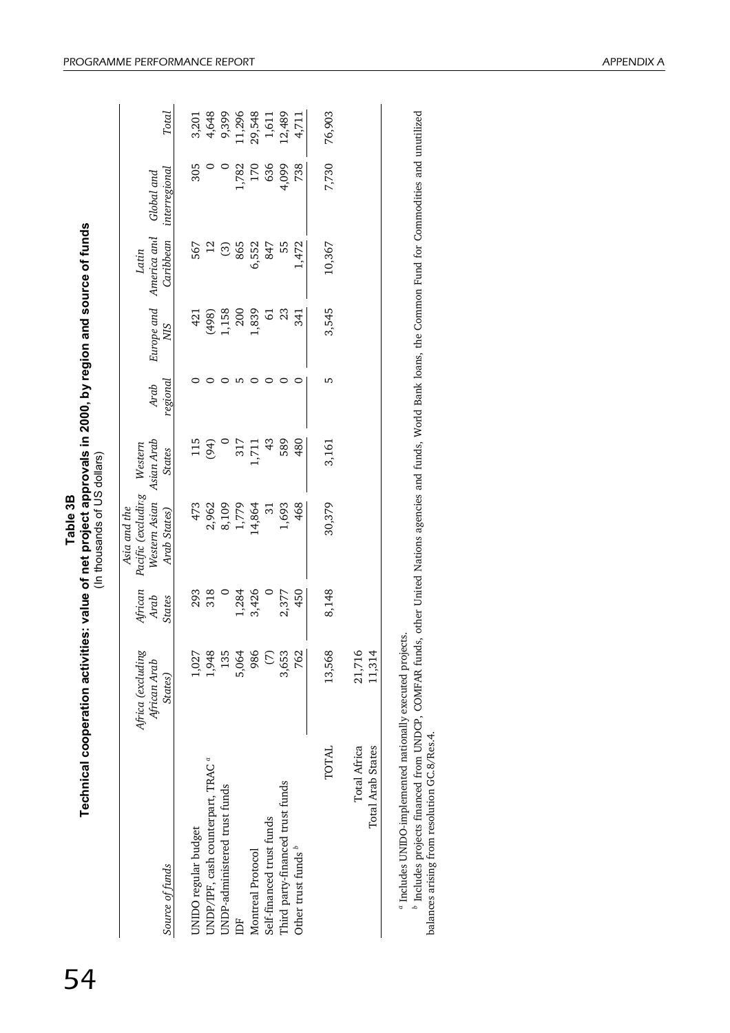|                                               | Africa (excluding<br>African Arab | African<br>Arab | Pacific (excludir.g<br>Western Asian<br>Asia and the | Asian Arab<br>Western | Arab     | Europe and       | America and<br>Latin | Global and    |        |
|-----------------------------------------------|-----------------------------------|-----------------|------------------------------------------------------|-----------------------|----------|------------------|----------------------|---------------|--------|
| Source of funds                               | States)                           | <b>States</b>   | Arab States)                                         | <b>States</b>         | regional | SIN              | Caribbean            | interregional | Total  |
| UNIDO regular budget                          | 1,027                             |                 | 473                                                  | 115                   |          | 421              | 567                  | 305           | 3,201  |
| UNDP/IPF, cash counterpart, TRAC <sup>a</sup> | 1,948                             | 293<br>318      |                                                      | (94)                  |          |                  | $\overline{12}$      |               | 4,648  |
| UNDP-administered trust funds                 | 135                               |                 | 2,962<br>8,109                                       |                       |          | $(498)$<br>1,158 |                      |               | 9,399  |
|                                               | 5,064                             | 1,284           | 1,779                                                | 317                   |          | 200              | $\frac{6}{8}$        | 1,782         | 11,296 |
| Montreal Protocol                             | 986                               | 3,426           | 14,864                                               | 1,711                 |          | 1,839            | 6,552                | 170           | 29,548 |
| Self-financed trust funds                     | $\odot$                           |                 | $\Xi$                                                | $\frac{3}{4}$         |          | 5                | 847                  | 636           | 1,611  |
| Third party-financed trust funds              | 3,653                             | 2,377           | 1,693                                                | 589                   |          | 23               | 55                   | 4,099         | 12,489 |
| Other trust funds <sup>b</sup>                | 762                               | 450             | 468                                                  | 480                   |          | 341              | 1,472                | 738           | 4,711  |
| TOTAL                                         | 13,568                            | 8,148           | 30,379                                               | 3,161                 | ء        | 3,545            | 10,367               | 7,730         | 76,903 |
| <b>Total Africa</b><br>Total Arab States      | 21,716<br>11,314                  |                 |                                                      |                       |          |                  |                      |               |        |

54

Table 3B

<sup>a</sup> Includes UNIDO-implemented nationally executed projects. Includes UNIDO-implemented nationally executed projects.

<sup>b</sup> Includes projects financed from UNDCP, COMFAR funds, other United Nations agencies and funds, World Bank loans, the Common Fund for Commodities and unutilized<br>balances arising from resolution GC.8/Res.4. Includes projects financed from UNDCP, COMFAR funds, other United Nations agencies and funds, World Bank loans, the Common Fund for Commodities and unutilized balances arising from resolution GC.8/Res.4.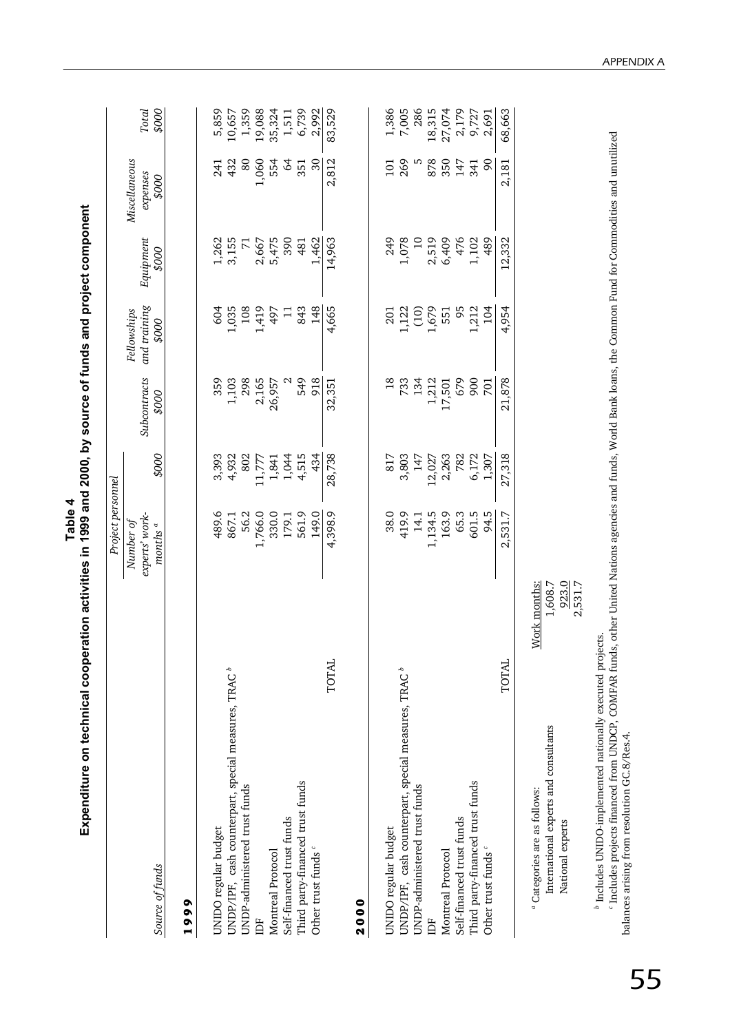| Expenditure on technical cooper                                                                                      | ration activities in 1999 and 2000, by source of funds and project component<br>Table 4 |        |                       |                                      |                             |                                    |                |
|----------------------------------------------------------------------------------------------------------------------|-----------------------------------------------------------------------------------------|--------|-----------------------|--------------------------------------|-----------------------------|------------------------------------|----------------|
|                                                                                                                      | Project personnel                                                                       |        |                       |                                      |                             |                                    |                |
| Source of funds                                                                                                      | experts' work-<br>Number of<br>months $\mathrm{^a}$                                     | 000\$  | Subcontracts<br>000\$ | and training<br>Fellowships<br>000\$ | Equipment<br>000\$          | Miscellaneous<br>expenses<br>\$000 | Total<br>000\$ |
| 1999                                                                                                                 |                                                                                         |        |                       |                                      |                             |                                    |                |
|                                                                                                                      |                                                                                         |        |                       |                                      |                             |                                    |                |
| UNIDO regular budget                                                                                                 | 489.6                                                                                   | 3,393  | 359                   | 604                                  | 1,262                       | 241                                | 5,859          |
| UNDP/IPF, cash counterpart, special measures, TRAC <sup>b</sup>                                                      | 867.1                                                                                   | 4,932  | 1,103                 | 1,035                                | 3,155                       | 432                                | 10,657         |
| UNDP-administered trust funds                                                                                        | 56.2                                                                                    | 802    | 298                   | 108                                  | $\mathcal{L}_{\mathcal{A}}$ | 80                                 | 1,359          |
| IDF                                                                                                                  | 1,766.0                                                                                 | 11,777 | 2,165                 | 1,419                                | 2,667                       | 1,060                              | 19,088         |
| Montreal Protocol                                                                                                    | 330.0                                                                                   | 1,841  | 26,957                | 497                                  | 5,475                       | 554                                | 35,324         |
| Self-financed trust funds                                                                                            | 179.1                                                                                   | 1,044  |                       | $\Xi$                                | 390                         | $\mathcal{Q}$                      | 1,511          |
| Third party-financed trust funds                                                                                     | 561.9                                                                                   | 4,515  | 549                   | 843                                  | 481                         | 55                                 | 6,739          |
| Other trust funds <sup>c</sup>                                                                                       | 149.0                                                                                   | 434    | 918                   | 148                                  | 1,462                       | $\mathcal{S}$                      | 2,992          |
| TOTAL                                                                                                                | 4,398.9                                                                                 | 28,738 | 32,351                | 4,665                                | 14,963                      | 2,812                              | 83,529         |
| 2000                                                                                                                 |                                                                                         |        |                       |                                      |                             |                                    |                |
| UNIDO regular budget                                                                                                 | 38.0                                                                                    | 817    | $\frac{8}{18}$        | 201                                  | 249                         | Ξ                                  | 1,386          |
| UNDP/IPF, cash counterpart, special measures, TRAC <sup>b</sup>                                                      | 419.9                                                                                   | 3,803  | 733                   | 1,122                                | 1,078                       | 269                                | 7,005          |
| UNDP-administered trust funds                                                                                        | 14.1                                                                                    | 147    | 134                   | $\frac{1}{2}$                        | $\overline{a}$              | w                                  | 286            |
| Ë                                                                                                                    | 1,134.5                                                                                 | 12,027 | 1,212                 | 1,679                                | 2,519                       | 878                                | 18,315         |
| Montreal Protocol                                                                                                    | 163.9                                                                                   | 2,263  | 17,501                | 551                                  | 6,409                       | 350                                | 27,074         |
| Self-financed trust funds                                                                                            | 65.3                                                                                    | 782    | 679                   | 95                                   | 476                         | 147                                | 2,179          |
| Third party-financed trust funds                                                                                     | 601.5                                                                                   | 6,172  | 900                   | 1,212                                | 1,102                       | 341                                | 9,727<br>2,691 |
| Other trust funds <sup>c</sup>                                                                                       | 94.5                                                                                    | 1,307  | 701                   | 104                                  | 489                         | $\infty$                           |                |
| TOTAL                                                                                                                | 2,531.7                                                                                 | 27,318 | 21,878                | 4,954                                | 12,332                      | 2,181                              | 68,663         |
| Work months:<br>International experts and consultants<br><sup>a</sup> Categories are as follows:<br>National experts | 923.0<br>2,531.7<br>1,608.7                                                             |        |                       |                                      |                             |                                    |                |

Includes UNIDO-implemented nationally executed projects.

*bc* Includes projects financed from UNDCP, COMFAR funds, other United Nations agencies and funds, World Bank loans, the Common Fund for Commodities and unutilized balances arising from resolution GC.8/Res.4.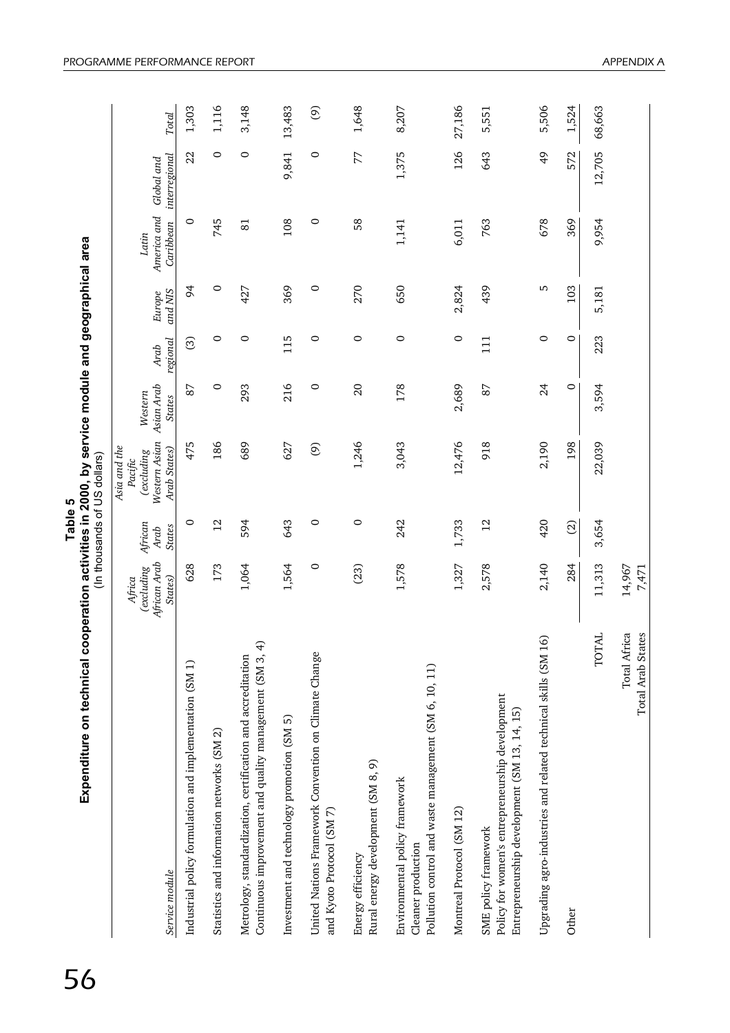| Expenditure on technical cooperation activities in 2000, by service module and geographical area                                      |                                                 |                                  | (In thousands of US dollars)                                           |                                        |                  |                   |                                   |                             |        |
|---------------------------------------------------------------------------------------------------------------------------------------|-------------------------------------------------|----------------------------------|------------------------------------------------------------------------|----------------------------------------|------------------|-------------------|-----------------------------------|-----------------------------|--------|
| Service module                                                                                                                        | African Arab<br>(excluding<br>States)<br>Africa | African<br><b>States</b><br>Arab | Western Asian<br>Asia and the<br>Arab States)<br>(excluding<br>Pacific | Asian Arab<br>Western<br><b>States</b> | regional<br>Arab | and NIS<br>Europe | America and<br>Caribbean<br>Latin | interregional<br>Global and | Total  |
| Industrial policy formulation and implementation (SM 1)                                                                               | 628                                             | $\circ$                          | 475                                                                    | 87                                     | ල                | 54                | 0                                 | 22                          | 1,303  |
| Statistics and information networks (SM 2)                                                                                            | 173                                             | $\overline{2}$                   | 186                                                                    | $\circ$                                | 0                | $\circ$           | 745                               | 0                           | 1,116  |
| $\overline{+}$<br>Continuous improvement and quality management (SM 3,<br>Metrology, standardization, certification and accreditation | 1,064                                           | 594                              | 689                                                                    | 293                                    | 0                | 427               | $\overline{81}$                   | 0                           | 3,148  |
| Investment and technology promotion (SM 5)                                                                                            | 1,564                                           | 643                              | 627                                                                    | 216                                    | 115              | 369               | 108                               | 9,841                       | 13,483 |
| United Nations Framework Convention on Climate Change<br>and Kyoto Protocol (SM 7)                                                    | $\circ$                                         | 0                                | $\odot$                                                                | $\circ$                                | 0                | $\circ$           | $\circ$                           | 0                           | ම      |
| Rural energy development (SM 8, 9)<br>Energy efficiency                                                                               | (23)                                            | 0                                | 1,246                                                                  | $\Omega$                               | $\circ$          | 270               | 58                                | 77                          | 1,648  |
| Pollution control and waste management (SM 6, 10, 11)<br>Environmental policy framework<br>Cleaner production                         | 1,578                                           | 242                              | 3,043                                                                  | 178                                    | $\circ$          | 650               | 1,141                             | 1,375                       | 8,207  |
| Montreal Protocol (SM 12)                                                                                                             | 1,327                                           | 1,733                            | 12,476                                                                 | 2,689                                  | 0                | 2,824             | 6,011                             | 126                         | 27,186 |
| Policy for women's entrepreneurship development<br>Entrepreneurship development (SM 13, 14, 15)<br>SME policy framework               | 2,578                                           | $\overline{c}$                   | 918                                                                    | 87                                     | $\overline{11}$  | 439               | 763                               | 643                         | 5,551  |
| 6<br>Upgrading agro-industries and related technical skills (SM 1                                                                     | 2,140                                           | 420                              | 2,190                                                                  | 24                                     | 0                | Б                 | 678                               | $\frac{4}{9}$               | 5,506  |
| Other                                                                                                                                 | 284                                             | $\odot$                          | 198                                                                    | $\circ$                                | $\circ$          | 103               | 369                               | 572                         | 1,524  |
| Ę<br><b>TOT</b>                                                                                                                       | 11,313                                          | 3,654                            | 22,039                                                                 | 3,594                                  | 223              | 5,181             | 9,954                             | 12,705                      | 68,663 |
| <b>Total Arab States</b><br>Total Africa                                                                                              | 14,967<br>7,471                                 |                                  |                                                                        |                                        |                  |                   |                                   |                             |        |

**Table 5 Expenditure on technical cooperation activities in 2000, by service module and geographical area** (In thousands of US dollars) ŕ Table 5  $\vdots$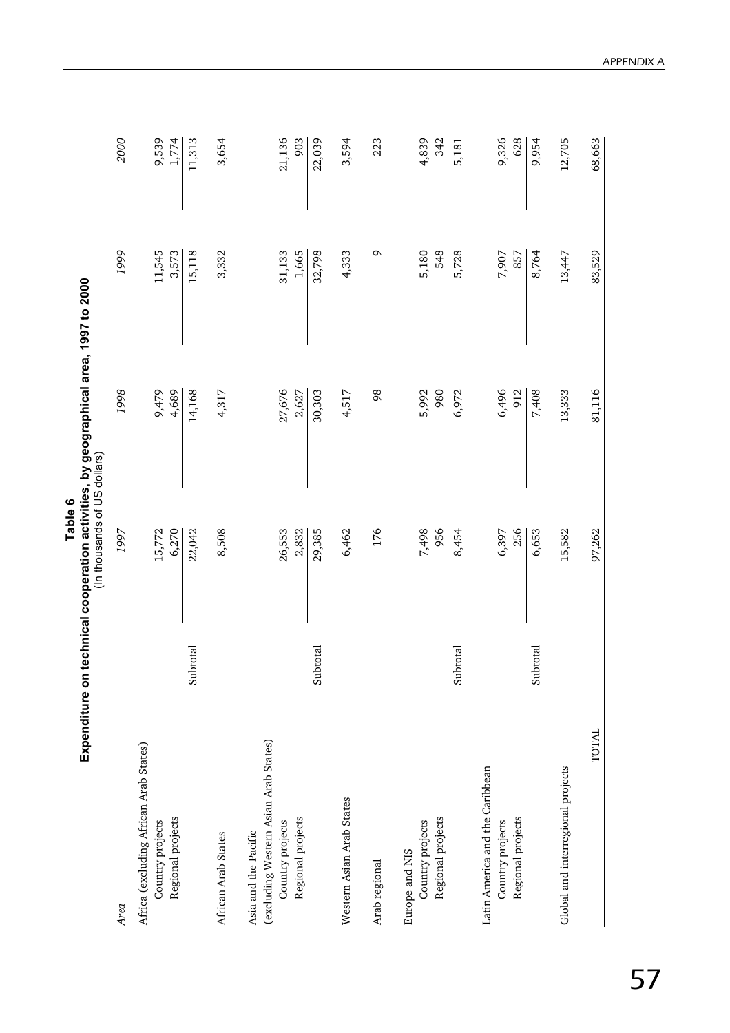| Expenditure on                                                                                         |          | (In thousands of US dollars) | technical cooperation activities, by geographical area, 1997 to 2000 |                 |                |
|--------------------------------------------------------------------------------------------------------|----------|------------------------------|----------------------------------------------------------------------|-----------------|----------------|
| Area                                                                                                   |          | 1997                         | 1998                                                                 | 1999            | 2000           |
| Africa (excluding African Arab States)<br>Regional projects<br>Country projects                        |          | 6,270<br>15,772              | 9,479<br>4,689                                                       | 11,545<br>3,573 | 9,539<br>1,774 |
|                                                                                                        | Subtotal | 22,042                       | 14,168                                                               | 15,118          | 11,313         |
| African Arab States                                                                                    |          | 8,508                        | 4,317                                                                | 3,332           | 3,654          |
| (excluding Western Asian Arab States)<br>Regional projects<br>Country projects<br>Asia and the Pacific |          | 26,553<br>2,832              | 27,676<br>2,627                                                      | 1,665<br>31,133 | 21,136<br>903  |
|                                                                                                        | Subtotal | 29,385                       | 30,303                                                               | 32,798          | 22,039         |
| Western Asian Arab States                                                                              |          | 6,462                        | 4,517                                                                | 4,333           | 3,594          |
| Arab regional                                                                                          |          | 176                          | 98                                                                   | Q               | 223            |
| Regional projects<br>Country projects<br>Europe and NIS                                                |          | 956<br>7,498                 | 980<br>5,992                                                         | 5,180<br>548    | 4,839<br>342   |
|                                                                                                        | Subtotal | 8,454                        | 6,972                                                                | 5,728           | 5,181          |
| Latin America and the Caribbean<br>Regional projects<br>Country projects                               |          | 256<br>6,397                 | 6,496<br>912                                                         | 7,907<br>857    | 9,326<br>628   |
|                                                                                                        | Subtotal | 6,653                        | 7,408                                                                | 8,764           | 9,954          |
| Global and interregional projects                                                                      |          | 15,582                       | 13,333                                                               | 13,447          | 12,705         |
| TOTAL                                                                                                  |          | 97,262                       | 81,116                                                               | 83,529          | 68,663         |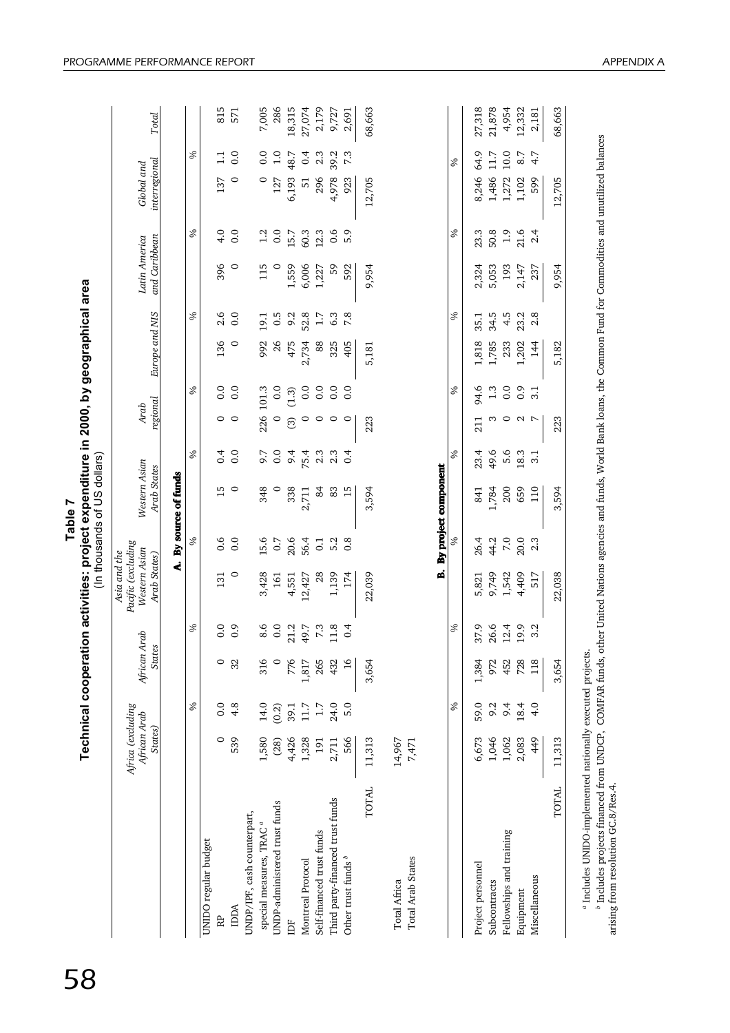| Table, | Technical cooperation activities: project expenditure in 2000, by geographical a | (In thousands of US dollars) |
|--------|----------------------------------------------------------------------------------|------------------------------|
|        |                                                                                  |                              |

rea

58

18,315 12,332 68,663 815<br>571 7,005<br>286 27,074 2,179 9,727 68,663 27,318 21,878 4,954 2,181 RP 0 0.0 0 0.0 131 0.6 15 0.4 0 0.0 136 2.6 396 4.0 137 1.1 815 special measures, TRAC *a* 1,580 14.0 316 8.6 3,428 15.6 348 9.7 226 101.3 992 19.1 115 1.2 0 0.0 7,005 UNDP-administered trust funds (28) (0.2) 0 0.0 161 0.7 0 0.0 0 0.0 26 0.5 0 0.0 127 1.0 286 IDF 4,426 39.1 776 21.2 4,551 20.6 338 9.4 (3) (1.3) 475 9.2 1,559 15.7 6,193 48.7 18,315 Montreal Protocol 1,328 11.7 1,817 49.7 12,427 56.4 2,711 75.4 2,734 52.4 52.8 52.8 60.06 60.3 51 0.4 27,074 Self-financed trust funds trust funds trust funds to the S4 2.3  $\frac{2.3}{1.7}$  2.3  $\frac{2.3}{2.17}$   $\frac{2.3}{2.17}$   $\frac{2.3}{2.17}$   $\frac{2.3}{2.17}$   $\frac{2.3}{2.17}$   $\frac{2.3}{2.17}$   $\frac{2.3}{2.17}$ Third party-financed trust funds trust funds funds 2,3 0.0 0.0 0.0 0.3 2.4.2 17.21 24.0 432 0.5 0.5 0.3 0.3 0.3 2,691 TOTAL 11,313 3,654 22,039 3,594 223 5,181 9,954 12,705 68,663 Project personnel 6,673 59.0 1,384 37.9 5,821 26.4 841 23.4 23.4 23.4 25.4 25.1 2,318 20.3 23.3 8,246 64.9 27,318 Subcontracts 1,486 11.7 20.6 9.2 26.6 9.74 44.2 1,784 49.6 3 1.3 1,785 34.5 5,053 5,053 50.8 11.486 11.7 21,878 Fellowships and training 1,062 9.4 452 12.4 1,542 7.0 200 5.6 0 0.0 233 4.5 193 1.9 1,272 10.0 4,954 Equipment 2,147 1,142 18.4 2,083 18.4 4,409 20.0 0.9 2 0.9 2 0.9 2 0.9 2 0.9 2 0.9 2,332 TOTAL 11,313 3,654 22,038 3,594 223 5,182 9,954 12,705 68,663 Total IDDA 539 4.8 32 0.9 0 0.0 0 0.0 0 0.0 0 0.0 0 0.0 0 0.0 571 Other trust funds 5.0 5.0 5.0 16.0 16 0.4 0.0 16 0.4 0.4 174 0.4 0.4 0.5 0.6 9.6 9.6 9.6 9.6 9.7.3 2,691 9.691 Miscellaneous 4.9 4.9 4.9 4.9 4.0 1.8 3.2 5.1 5.1 5.1 7 3.1 5.1 5.1 5.1 5.1 7 3.1 5.1 5.1 5.1 5.1 5.1 5.181 5.1 Table 7<br>Technical cooperation activities: project expenditure in 2000, by geographical area<br>Africa (excluding Asia and the Pacific (excluding Western Asian<br>African Arab African Arab Western Asian Western Asian Arab Arab Lu 48.7  $10.0$ 8.7  $0.4$ 39.2 11.7 % $\overline{11}$  $\overline{0}$ .  $0.0$ <br>1.0  $2.3$ 7.3 64.9 4.7  $\delta$ interregiona Global and 6,193<br>51 4,978 1,486  $\circ$  $\circ$ 127 296 923 12,705 8,246 1,272 1,102 599 12,705 137 15.7 60.3  $12.3$ 50.8  $21.6$ % $4.0$  $0.0$  $0.6$ 5.9 % $23.3$  $1.9$  $2.4$  $1.2$  $0.0$ Latin America and Caribbean  $\circ$ 1,559 6,006 1,227 9,954 5,053 193 2,147 396 237 115 59 592 2,324 9,954  $2.8$  $2.6$ 52.8 34.5 23.2  $\delta$  $\overline{0}$ . 19.1  $0.5$ 9.2  $6.3$ 7.8 %35.1  $4.5$ Europe and NIS  $1.7$  $\circ$ 475 2,734 1,818 1,785 233 1,202 144 136 992 26 325 405 5,181 88 5,182  $\begin{array}{c} (1.3) \\ 0.0 \\ 0.0 \end{array}$  $\delta$  $\begin{array}{c} 0.0 \\ 0.0 \end{array}$ %94.6  $1.3$  $0.0$  $0.9$ <br>3.1  $0.0$ 226 101.3  $0.0$ regional Arab  $\odot$  $\circ$  $\circ$  $\circ$  $\circ$  $\circ$  $\circ$  $\circ$ 223 211  $\circ$  $\triangleright$ 223 18.3  $\overline{\phantom{0}}$ % $0.0$  $9.4$ 75.4  $2.3$  $2.3$ % $23.4$ 49.6  $5.6$  $0.4$  $9.7$ <br>0.0  $0.4$  $3.1$ Western Asian By project component Arab States B. By project component A. By source of funds  $\frac{15}{9}$ 659  $110$ 338 1,784 2,711 3,594 200 3,594 348  $84$ 83  $15$ 841  $0.6$  $\overline{0}$ .  $15.6$ <br>0.7 20.6 56.4 5.2 %44.2 7.0  $20.0$ % $0.1$  $0.\overline{8}$ 26.4  $2.3$ Pacific (excluding Western Asian Asia and the Arab States)  $\ddot{a}$ 4,409  $\circ$ 4,551 12,427 1,139 174 22,039 9,749 1,542 517 3,428 28 22,038 131 5,821 161  $\ddot{\phantom{0}}$ 26.6 19.9 % $\ddot{0}$ . 8.6  $21.2$ 49.7 11.8  $\delta$ 37.9  $12.4$  $3.2$  $0.0$  $0.0$  $7.3$  $0.4$ African Arab **States** 1,817 432 3,654 452 728 118 3,654  $\circ$  $32$ 316 776 265  $16$ ,384 972 24.0 18.4  $\delta$  $4.8$ 14.0 39.1 11.7  $5.0$ %59.0 9.2  $9.4$  $4.0$  $0.0$  $(0.2)$  $1.7\,$ Africa (excluding African Arab States) 4,426 1,328 14,967 1,046 1,062 2,083 449 11,313  $\circ$ 539 2,711 566 11,313 7,471 ,580  $(28)$ 191 6,673 Total Africa 14,967 Total Arab States 7,471 **TOTAL TOTAL** Third party-financed trust funds JNDP-administered trust funds JNDP/IPF, cash counterpart, UNDP/IPF, cash counterpart, special measures, TRAC<sup>a</sup> Self-financed trust funds Fellowships and training JNIDO regular budget UNIDO regular budget Other trust funds<sup>b</sup> **Total Arab States Montreal Protocol** Project personnel Miscellaneous **Total Africa** Subcontracts Equipment **NODA** RP. Ĕ

<sup>a</sup> Includes UNIDO-implemented nationally executed projects. Includes UNIDO-implemented nationally executed projects.

<sup>b</sup> Includes projects financed from UNDCP, COMFAR funds, other United Nations agencies and funds, World Bank loans, the Common Fund for Commodities and unutilized balances *b* Includes projects financed from UNDCP, COMFAR funds, other United Nations agencies and funds, World Bank loans, the Common Fund for Commodities and unutilized balances arising from resolution GC.8/Res.4. arising from resolution GC.8/Res.4.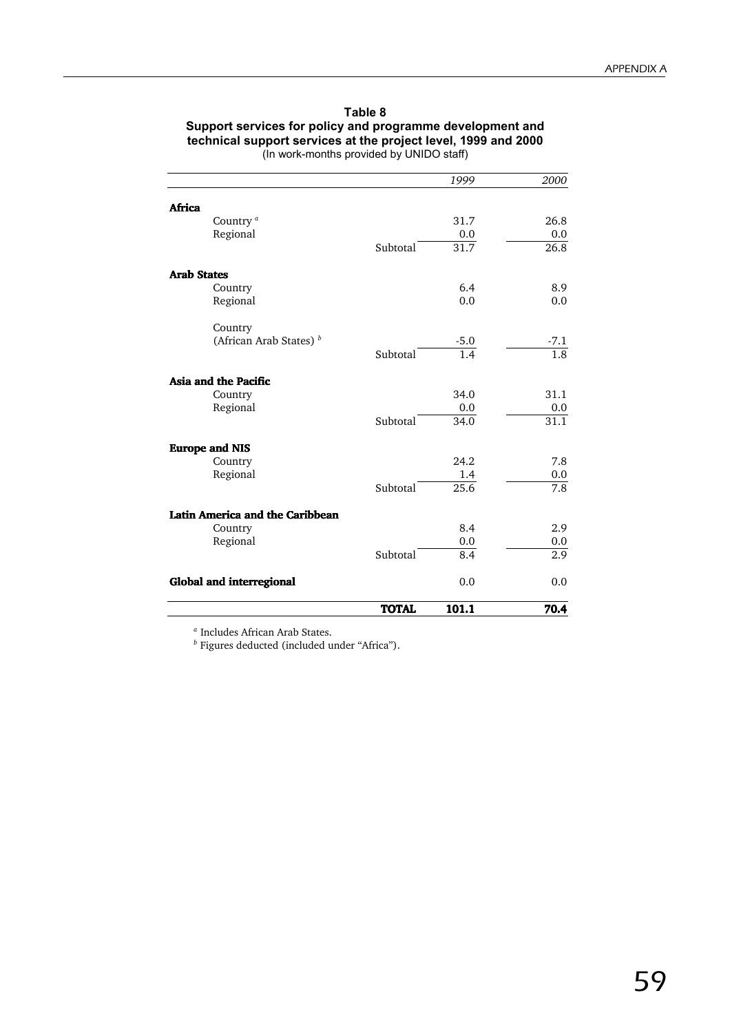| Table 8                                                        |
|----------------------------------------------------------------|
| Support services for policy and programme development and      |
| technical support services at the project level, 1999 and 2000 |
| (In work-months provided by UNIDO staff)                       |

|                                               | <b>TOTAL</b> | 101.1             | 70.4             |
|-----------------------------------------------|--------------|-------------------|------------------|
| <b>Global and interregional</b>               |              | 0.0               | 0.0              |
|                                               | Subtotal     | 8.4               | 2.9              |
| Regional                                      |              | 0.0               | $0.0\,$          |
| Latin America and the Caribbean<br>Country    |              | 8.4               | 2.9              |
|                                               |              |                   |                  |
| Regional                                      | Subtotal     | 1.4<br>25.6       | 7.8              |
| Country                                       |              | 24.2              | 7.8<br>0.0       |
| <b>Europe and NIS</b>                         |              |                   |                  |
|                                               | Subtotal     | $\overline{34.0}$ | 31.1             |
| Regional                                      |              | 0.0               | 0.0              |
| Asia and the Pacific<br>Country               |              | 34.0              | 31.1             |
|                                               | Subtotal     | $\overline{1.4}$  | $\overline{1.8}$ |
| Country<br>(African Arab States) <sup>b</sup> |              | $-5.0$            | $-7.1$           |
| Regional                                      |              | 0.0               | 0.0              |
| <b>Arab States</b><br>Country                 |              | 6.4               | 8.9              |
|                                               | Subtotal     | 31.7              | 26.8             |
| Regional                                      |              | 0.0               | 0.0              |
| Africa<br>Country <sup>a</sup>                |              | 31.7              | 26.8             |
|                                               |              |                   |                  |
|                                               |              | 1999              | 2000             |

*<sup>a</sup>* Includes African Arab States.

*<sup>b</sup>* Figures deducted (included under "Africa").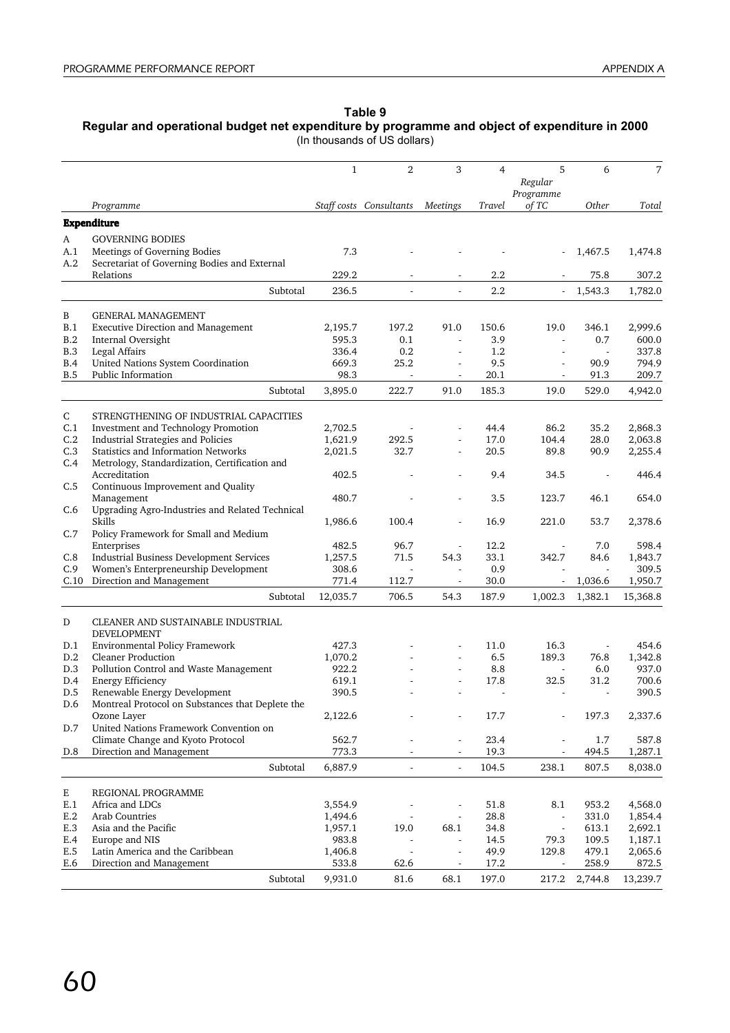#### **Table 9**

**Regular and operational budget net expenditure by programme and object of expenditure in 2000**

(In thousands of US dollars)

|              |                                                  | $\mathbf{1}$ | 2                        | 3                        | 4       | 5<br>Regular<br>Programme | 6       | 7        |
|--------------|--------------------------------------------------|--------------|--------------------------|--------------------------|---------|---------------------------|---------|----------|
|              | Programme                                        |              | Staff costs Consultants  | Meetings                 | Travel  | of TC                     | Other   | Total    |
|              | <b>Expenditure</b>                               |              |                          |                          |         |                           |         |          |
| A            | <b>GOVERNING BODIES</b>                          |              |                          |                          |         |                           |         |          |
| A.1          | Meetings of Governing Bodies                     | 7.3          |                          |                          |         |                           | 1,467.5 | 1,474.8  |
| A.2          | Secretariat of Governing Bodies and External     |              |                          |                          |         |                           |         |          |
|              | Relations                                        | 229.2        |                          | ÷,                       | 2.2     |                           | 75.8    | 307.2    |
|              | Subtotal                                         | 236.5        | $\blacksquare$           | $\mathbf{r}$             | 2.2     | $\overline{\phantom{a}}$  | 1,543.3 | 1,782.0  |
| B            | <b>GENERAL MANAGEMENT</b>                        |              |                          |                          |         |                           |         |          |
| B.1          | <b>Executive Direction and Management</b>        | 2,195.7      | 197.2                    | 91.0                     | 150.6   | 19.0                      | 346.1   | 2,999.6  |
| B.2          | Internal Oversight                               | 595.3        | 0.1                      | $\sim$                   | 3.9     | $\overline{\phantom{a}}$  | 0.7     | 600.0    |
| B.3          | Legal Affairs                                    | 336.4        | 0.2                      | $\bar{a}$                | $1.2\,$ | ÷.                        |         | 337.8    |
| B.4          | United Nations System Coordination               | 669.3        | 25.2                     | $\overline{\phantom{a}}$ | 9.5     | $\overline{\phantom{a}}$  | 90.9    | 794.9    |
| B.5          | Public Information                               | 98.3         | $\blacksquare$           | ÷.                       | 20.1    | $\overline{\phantom{a}}$  | 91.3    | 209.7    |
|              | Subtotal                                         | 3,895.0      | 222.7                    | 91.0                     | 185.3   | 19.0                      | 529.0   | 4,942.0  |
| C            | STRENGTHENING OF INDUSTRIAL CAPACITIES           |              |                          |                          |         |                           |         |          |
| C.1          | Investment and Technology Promotion              | 2,702.5      |                          |                          | 44.4    | 86.2                      | 35.2    | 2,868.3  |
| C.2          | Industrial Strategies and Policies               | 1,621.9      | 292.5                    | ä,                       | 17.0    | 104.4                     | 28.0    | 2,063.8  |
| C.3          | Statistics and Information Networks              | 2,021.5      | 32.7                     | ä,                       | 20.5    | 89.8                      | 90.9    | 2,255.4  |
| C.4          | Metrology, Standardization, Certification and    |              |                          |                          |         |                           |         |          |
|              | Accreditation                                    | 402.5        |                          |                          | 9.4     | 34.5                      | ÷,      | 446.4    |
| C.5          | Continuous Improvement and Quality               |              |                          |                          |         |                           |         |          |
|              | Management                                       | 480.7        |                          | ÷.                       | 3.5     | 123.7                     | 46.1    | 654.0    |
| C.6          | Upgrading Agro-Industries and Related Technical  |              |                          |                          |         |                           |         |          |
|              | Skills                                           | 1,986.6      | 100.4                    |                          | 16.9    | 221.0                     | 53.7    | 2,378.6  |
| C.7          | Policy Framework for Small and Medium            |              |                          |                          |         |                           |         |          |
|              | Enterprises                                      | 482.5        | 96.7                     |                          | 12.2    |                           | 7.0     | 598.4    |
| C.8          | Industrial Business Development Services         | 1,257.5      | 71.5                     | 54.3                     | 33.1    | 342.7                     | 84.6    | 1,843.7  |
| C.9          | Women's Enterpreneurship Development             | 308.6        | $\Box$                   | ä,                       | 0.9     |                           |         | 309.5    |
| C.10         | Direction and Management                         | 771.4        | 112.7                    | $\overline{\phantom{a}}$ | 30.0    |                           | 1,036.6 | 1,950.7  |
|              | Subtotal                                         | 12,035.7     | 706.5                    | 54.3                     | 187.9   | 1,002.3                   | 1,382.1 | 15,368.8 |
| D            | CLEANER AND SUSTAINABLE INDUSTRIAL               |              |                          |                          |         |                           |         |          |
|              | DEVELOPMENT                                      |              |                          |                          |         |                           |         |          |
| D.1          | Environmental Policy Framework                   | 427.3        |                          |                          | 11.0    | 16.3                      |         | 454.6    |
| D.2          | <b>Cleaner Production</b>                        | 1,070.2      |                          | $\overline{\phantom{a}}$ | 6.5     | 189.3                     | 76.8    | 1,342.8  |
| D.3          | Pollution Control and Waste Management           | 922.2        |                          |                          | 8.8     |                           | 6.0     | 937.0    |
| D.4          | <b>Energy Efficiency</b>                         | 619.1        |                          | ÷.                       | 17.8    | 32.5                      | 31.2    | 700.6    |
| D.5          | Renewable Energy Development                     | 390.5        |                          |                          |         |                           |         | 390.5    |
| D.6          | Montreal Protocol on Substances that Deplete the |              |                          |                          |         |                           |         |          |
|              | Ozone Layer                                      | 2,122.6      |                          |                          | 17.7    | ÷,                        | 197.3   | 2,337.6  |
| D.7          | United Nations Framework Convention on           |              |                          |                          |         |                           |         |          |
|              | Climate Change and Kyoto Protocol                | 562.7        |                          | ÷,                       | 23.4    |                           | 1.7     | 587.8    |
| D.8          | Direction and Management                         | 773.3        | $\overline{\phantom{a}}$ | ä,                       | 19.3    | $\blacksquare$            | 494.5   | 1,287.1  |
|              | Subtotal                                         | 6,887.9      | $\overline{\phantom{a}}$ | $\sim$                   | 104.5   | 238.1                     | 807.5   | 8,038.0  |
| $\mathbf E$  | REGIONAL PROGRAMME                               |              |                          |                          |         |                           |         |          |
| E.1          | Africa and LDCs                                  | 3,554.9      |                          |                          | 51.8    | 8.1                       | 953.2   | 4,568.0  |
| $\mbox{E.2}$ | Arab Countries                                   | 1,494.6      |                          |                          | 28.8    | $\Box$                    | 331.0   | 1,854.4  |
| E.3          | Asia and the Pacific                             | 1,957.1      | 19.0                     | 68.1                     | 34.8    | ÷,                        | 613.1   | 2,692.1  |
| E.4          | Europe and NIS                                   | 983.8        |                          |                          | 14.5    | 79.3                      | 109.5   | 1,187.1  |
| E.5          | Latin America and the Caribbean                  | 1,406.8      |                          | ä,                       | 49.9    | 129.8                     | 479.1   | 2,065.6  |
| E.6          | Direction and Management                         | 533.8        | 62.6                     | ÷,                       | 17.2    | $\overline{\phantom{a}}$  | 258.9   | 872.5    |
|              | Subtotal                                         | 9,931.0      | 81.6                     | 68.1                     | 197.0   | 217.2                     | 2,744.8 | 13,239.7 |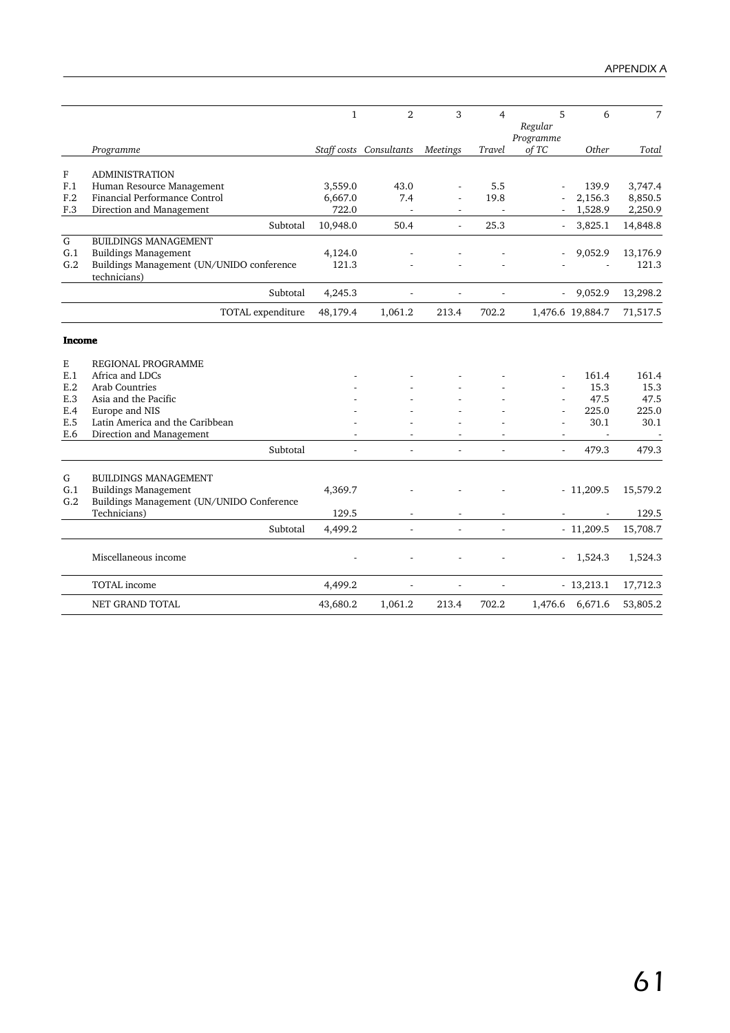|               |                                                                          | $\mathbf{1}$ | $\overline{2}$          | 3                        | 4                        | 5<br>Regular<br>Programme | 6                | 7        |
|---------------|--------------------------------------------------------------------------|--------------|-------------------------|--------------------------|--------------------------|---------------------------|------------------|----------|
|               | Programme                                                                |              | Staff costs Consultants | <b>Meetings</b>          | Travel                   | of TC                     | Other            | Total    |
| ${\bf F}$     | <b>ADMINISTRATION</b>                                                    |              |                         |                          |                          |                           |                  |          |
| F.1           | Human Resource Management                                                | 3,559.0      | 43.0                    |                          | 5.5                      |                           | 139.9            | 3,747.4  |
| F.2           | Financial Performance Control                                            | 6,667.0      | 7.4                     |                          | 19.8                     |                           | 2,156.3          | 8,850.5  |
| F.3           | Direction and Management                                                 | 722.0        |                         |                          |                          |                           | 1,528.9          | 2,250.9  |
|               | Subtotal                                                                 | 10,948.0     | 50.4                    | ä,                       | 25.3                     |                           | 3,825.1          | 14,848.8 |
| ${\bf G}$     | <b>BUILDINGS MANAGEMENT</b>                                              |              |                         |                          |                          |                           |                  |          |
| G.1           | <b>Buildings Management</b>                                              | 4,124.0      |                         |                          |                          |                           | 9,052.9          | 13,176.9 |
| G.2           | Buildings Management (UN/UNIDO conference<br>technicians)                | 121.3        |                         |                          |                          |                           |                  | 121.3    |
|               | Subtotal                                                                 | 4,245.3      |                         |                          |                          |                           | 9,052.9          | 13,298.2 |
|               | TOTAL expenditure                                                        | 48,179.4     | 1,061.2                 | 213.4                    | 702.2                    |                           | 1,476.6 19,884.7 | 71,517.5 |
| <b>Income</b> |                                                                          |              |                         |                          |                          |                           |                  |          |
| Ε             | REGIONAL PROGRAMME                                                       |              |                         |                          |                          |                           |                  |          |
| E.1           | Africa and LDCs                                                          |              |                         |                          |                          |                           | 161.4            | 161.4    |
| E.2           | <b>Arab Countries</b>                                                    |              |                         |                          |                          |                           | 15.3             | 15.3     |
| E.3           | Asia and the Pacific                                                     |              |                         |                          |                          |                           | 47.5             | 47.5     |
| E.4           | Europe and NIS                                                           |              |                         |                          |                          |                           | 225.0            | 225.0    |
| E.5           | Latin America and the Caribbean                                          |              |                         |                          |                          |                           | 30.1             | 30.1     |
| E.6           | Direction and Management                                                 |              |                         |                          |                          | $\sim$                    | $\sim$           |          |
|               | Subtotal                                                                 |              |                         | ÷.                       |                          | ÷.                        | 479.3            | 479.3    |
| ${\bf G}$     | <b>BUILDINGS MANAGEMENT</b>                                              |              |                         |                          |                          |                           |                  |          |
| G.1<br>G.2    | <b>Buildings Management</b><br>Buildings Management (UN/UNIDO Conference | 4,369.7      |                         |                          |                          |                           | $-11,209.5$      | 15,579.2 |
|               | Technicians)                                                             | 129.5        |                         |                          |                          |                           |                  | 129.5    |
|               | Subtotal                                                                 | 4,499.2      | ä,                      | $\overline{\phantom{a}}$ | ÷.                       |                           | $-11,209.5$      | 15,708.7 |
|               | Miscellaneous income                                                     |              |                         |                          |                          |                           | 1,524.3          | 1,524.3  |
|               | <b>TOTAL</b> income                                                      | 4,499.2      | ÷,                      | $\overline{\phantom{a}}$ | $\overline{\phantom{a}}$ |                           | $-13,213.1$      | 17,712.3 |
|               | <b>NET GRAND TOTAL</b>                                                   | 43,680.2     | 1,061.2                 | 213.4                    | 702.2                    | 1,476.6                   | 6,671.6          | 53,805.2 |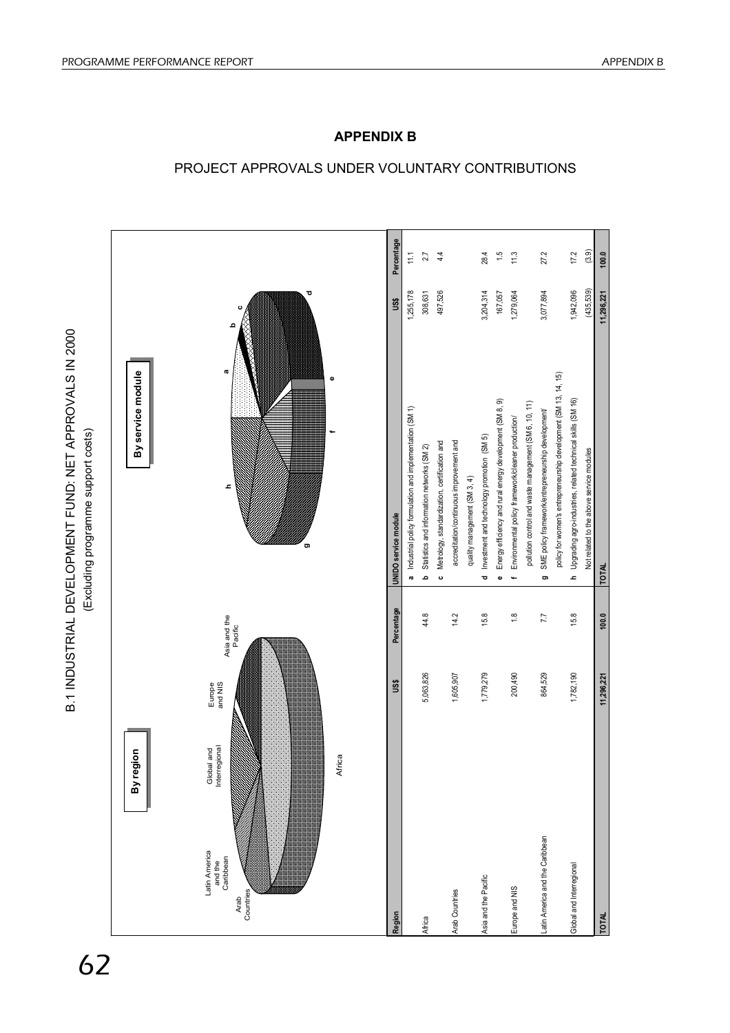

# PROJECT APPROVALS UNDER VOLUNTARY CONTRIBUTIONS

**APPENDIX B**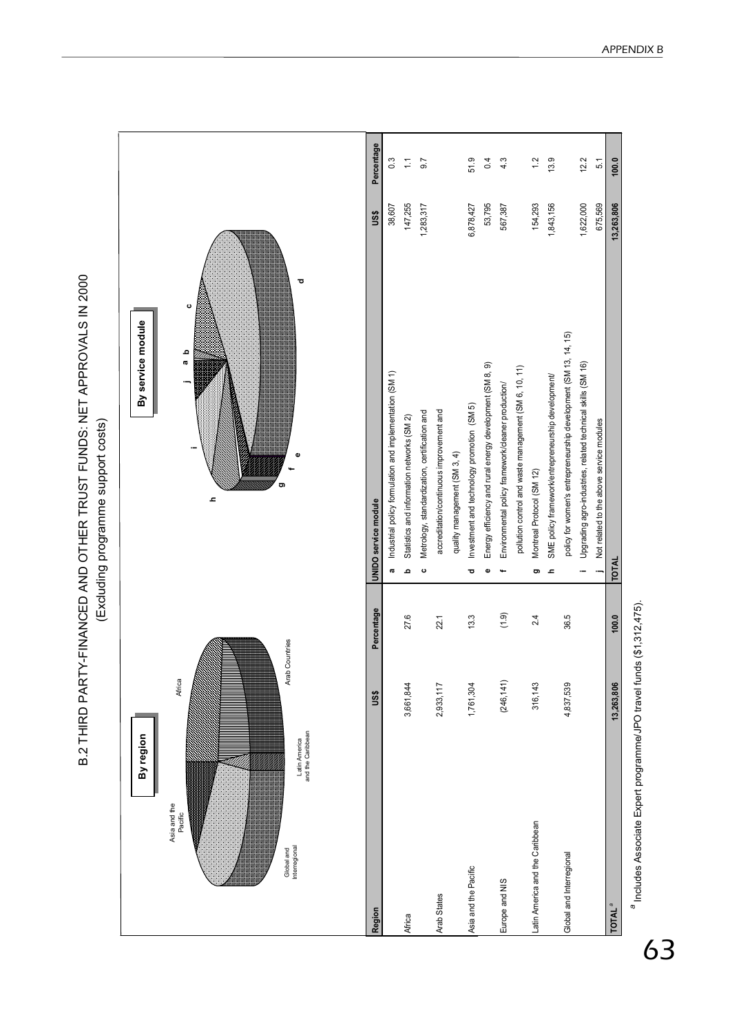|                                                                                                           |                          |            | (stsoo troddns aluuenoold fourphoxil)                                         |        |                         |
|-----------------------------------------------------------------------------------------------------------|--------------------------|------------|-------------------------------------------------------------------------------|--------|-------------------------|
| Latin America<br>and the Caribbean<br>By region<br>Asia and the<br>Pacific<br>Global and<br>Interregional | Arab Countries<br>Africa |            | ರ<br>ပ<br>By service module<br>م<br>œ<br>õ<br>2                               |        |                         |
| Region                                                                                                    | US\$                     | Percentage | US\$<br>UNIDO service module                                                  |        | Percentage              |
|                                                                                                           |                          |            | 38,607<br>Industrial policy formulation and implementation (SM 1)<br><b>a</b> |        | $0.\overline{3}$        |
| Africa                                                                                                    | 3,661,844                | 27.6       | 147,255<br>Statistics and information networks (SM 2)<br>ء                    |        | $\overline{\mathbb{C}}$ |
|                                                                                                           |                          |            | 1,283,317<br>Metrology, standardization, certification and<br>$\mathbf{c}$    |        | 9.7                     |
| Arab States                                                                                               | 2,933,117                | 22.1       | accreditation/continuous improvement and                                      |        |                         |
|                                                                                                           |                          |            | quality management (SM 3, 4)                                                  |        |                         |
| Asia and the Pacific                                                                                      | 1,761,304                | 13.3       | 6,878,427<br>Investment and technology promotion (SM 5)<br>ठ                  |        | 51.9                    |
|                                                                                                           |                          |            | Energy efficiency and rural energy development (SM 8, 9)<br>Φ                 | 53,795 | 0.4                     |
| Europe and NIS                                                                                            | (246, 141)               | (1.9)      | 567,387<br>Environmental policy framework/cleaner production/                 |        | 4.3                     |
|                                                                                                           |                          |            | pollution control and waste management (SM 6, 10, 11)                         |        |                         |
| Latin America and the Caribbean                                                                           | 316,143                  | 2.4        | 154,293<br>Montreal Protocol (SM 12)<br>o                                     |        | 1.2                     |
|                                                                                                           |                          |            | 1,843,156<br>SME policy framework/entrepreneurship development/<br><b>L</b>   |        | 13.9                    |
| Global and Interregional                                                                                  | 4,837,539                | 36.5       | policy for women's entrepreneurship development (SM 13, 14, 15)               |        |                         |
|                                                                                                           |                          |            | 1,622,000<br>Upgrading agro-industries, related technical skills (SM 16)      |        | 12.2                    |
|                                                                                                           |                          |            | 675,569<br>Not related to the above service modules                           |        | 51                      |
| <b>TOTAL<sup>ª</sup></b>                                                                                  | 13,263,806               | 100.0      | 13,263,806<br><b>TOTAL</b>                                                    |        | 100.0                   |

B.2 THIRD PARTY-FINANCED AND OTHER TRUST FUNDS: NET APPROVALS IN 2000 B.2 THIRD PARTY-FINANCED AND OTHER TRUST FUNDS: NET APPROVALS IN 2000 (Excluding programme support costs)

a Includes Associate Expert programme/JPO travel funds (\$1,312,475). *a* Includes Associate Expert programme/JPO travel funds (\$1,312,475).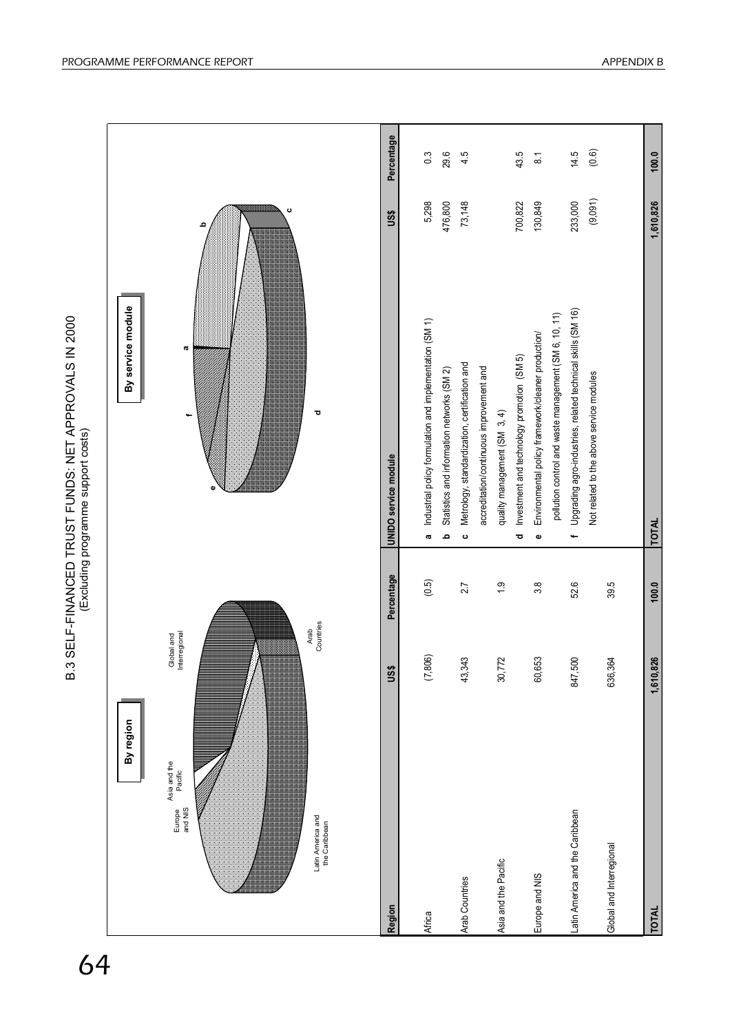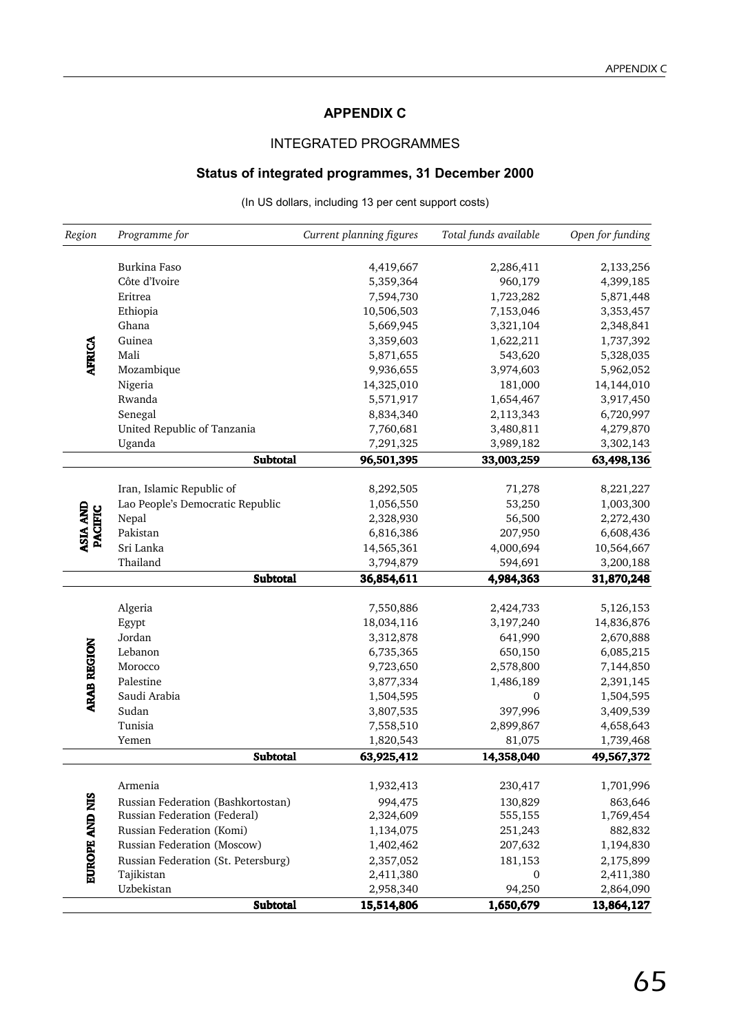## **APPENDIX C**

## INTEGRATED PROGRAMMES

## **Status of integrated programmes, 31 December 2000**

(In US dollars, including 13 per cent support costs)

| Region                            | Programme for                       | Current planning figures | Total funds available | Open for funding       |
|-----------------------------------|-------------------------------------|--------------------------|-----------------------|------------------------|
|                                   | Burkina Faso                        |                          | 2,286,411             |                        |
|                                   | Côte d'Ivoire                       | 4,419,667<br>5,359,364   | 960,179               | 2,133,256<br>4,399,185 |
|                                   | Eritrea                             | 7,594,730                | 1,723,282             | 5,871,448              |
|                                   | Ethiopia                            | 10,506,503               | 7,153,046             | 3,353,457              |
|                                   | Ghana                               | 5,669,945                | 3,321,104             | 2,348,841              |
|                                   | Guinea                              | 3,359,603                | 1,622,211             | 1,737,392              |
| <b>AFRICA</b>                     | Mali                                | 5,871,655                | 543,620               | 5,328,035              |
|                                   | Mozambique                          | 9,936,655                | 3,974,603             | 5,962,052              |
|                                   | Nigeria                             | 14,325,010               | 181,000               | 14,144,010             |
|                                   | Rwanda                              | 5,571,917                | 1,654,467             | 3,917,450              |
|                                   | Senegal                             | 8,834,340                | 2,113,343             | 6,720,997              |
|                                   | United Republic of Tanzania         | 7,760,681                | 3,480,811             | 4,279,870              |
|                                   | Uganda                              | 7,291,325                | 3,989,182             | 3,302,143              |
|                                   | <b>Subtotal</b>                     | 96,501,395               | 33,003,259            | 63,498,136             |
|                                   |                                     |                          |                       |                        |
|                                   | Iran, Islamic Republic of           | 8,292,505                | 71,278                | 8,221,227              |
|                                   | Lao People's Democratic Republic    | 1,056,550                | 53,250                | 1,003,300              |
|                                   | Nepal                               | 2,328,930                | 56,500                | 2,272,430              |
| <b>ASIA AND</b><br><b>PACIFIC</b> | Pakistan                            | 6,816,386                | 207,950               | 6,608,436              |
|                                   | Sri Lanka                           | 14,565,361               | 4,000,694             | 10,564,667             |
|                                   | Thailand                            | 3,794,879                | 594,691               | 3,200,188              |
|                                   | <b>Subtotal</b>                     | 36,854,611               | 4,984,363             | 31,870,248             |
|                                   |                                     |                          |                       |                        |
|                                   | Algeria                             | 7,550,886                | 2,424,733             | 5,126,153              |
|                                   | Egypt                               | 18,034,116               | 3,197,240             | 14,836,876             |
|                                   | Jordan                              | 3,312,878                | 641,990               | 2,670,888              |
|                                   | Lebanon                             | 6,735,365                | 650,150               | 6,085,215              |
|                                   | Morocco                             | 9,723,650                | 2,578,800             | 7,144,850              |
| <b>ARAB REGION</b>                | Palestine                           | 3,877,334                | 1,486,189             | 2,391,145              |
|                                   | Saudi Arabia                        | 1,504,595                | $\mathbf{0}$          | 1,504,595              |
|                                   | Sudan                               | 3,807,535                | 397,996               | 3,409,539              |
|                                   | Tunisia                             | 7,558,510                | 2,899,867             | 4,658,643              |
|                                   | Yemen                               | 1,820,543                | 81,075                | 1,739,468              |
|                                   | <b>Subtotal</b>                     | 63,925,412               | 14,358,040            | 49,567,372             |
|                                   | Armenia                             | 1,932,413                | 230,417               | 1,701,996              |
|                                   | Russian Federation (Bashkortostan)  | 994,475                  | 130,829               | 863,646                |
|                                   | Russian Federation (Federal)        | 2,324,609                | 555,155               | 1,769,454              |
|                                   | Russian Federation (Komi)           | 1,134,075                | 251,243               | 882,832                |
| <b>EUROPE AND NIS</b>             | Russian Federation (Moscow)         | 1,402,462                | 207,632               | 1,194,830              |
|                                   | Russian Federation (St. Petersburg) | 2,357,052                | 181,153               | 2,175,899              |
|                                   | Tajikistan                          | 2,411,380                | 0                     | 2,411,380              |
|                                   | Uzbekistan                          | 2,958,340                | 94,250                | 2,864,090              |
|                                   | <b>Subtotal</b>                     | 15,514,806               | 1,650,679             | 13,864,127             |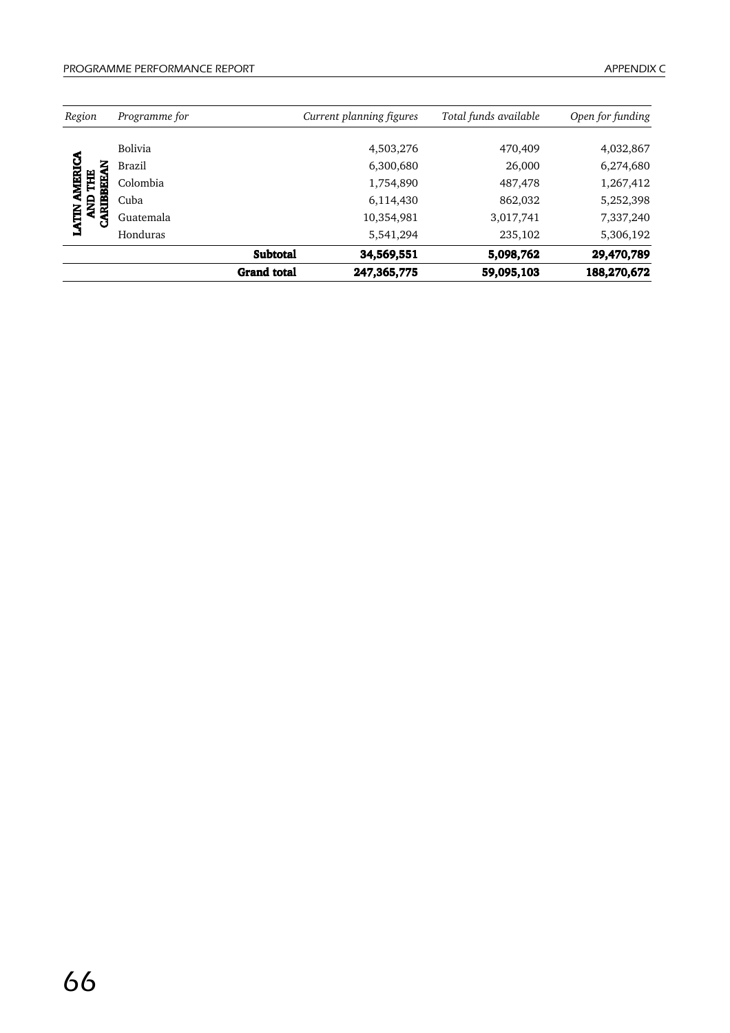| Region            | Programme for |                    | Current planning figures | Total funds available | Open for funding |
|-------------------|---------------|--------------------|--------------------------|-----------------------|------------------|
|                   |               |                    |                          |                       |                  |
|                   | Bolivia       |                    | 4,503,276                | 470,409               | 4,032,867        |
| ვ<br>ζ            | Brazil        |                    | 6,300,680                | 26,000                | 6,274,680        |
| <b>AMERI</b><br>Ħ | Colombia      |                    | 1,754,890                | 487,478               | 1,267,412        |
| 号                 | Cuba          |                    | 6,114,430                | 862,032               | 5,252,398        |
| CARIBBEE<br>LATIN | Guatemala     |                    | 10,354,981               | 3,017,741             | 7,337,240        |
|                   | Honduras      |                    | 5,541,294                | 235,102               | 5,306,192        |
|                   |               | <b>Subtotal</b>    | 34,569,551               | 5,098,762             | 29,470,789       |
|                   |               | <b>Grand</b> total | 247,365,775              | 59,095,103            | 188,270,672      |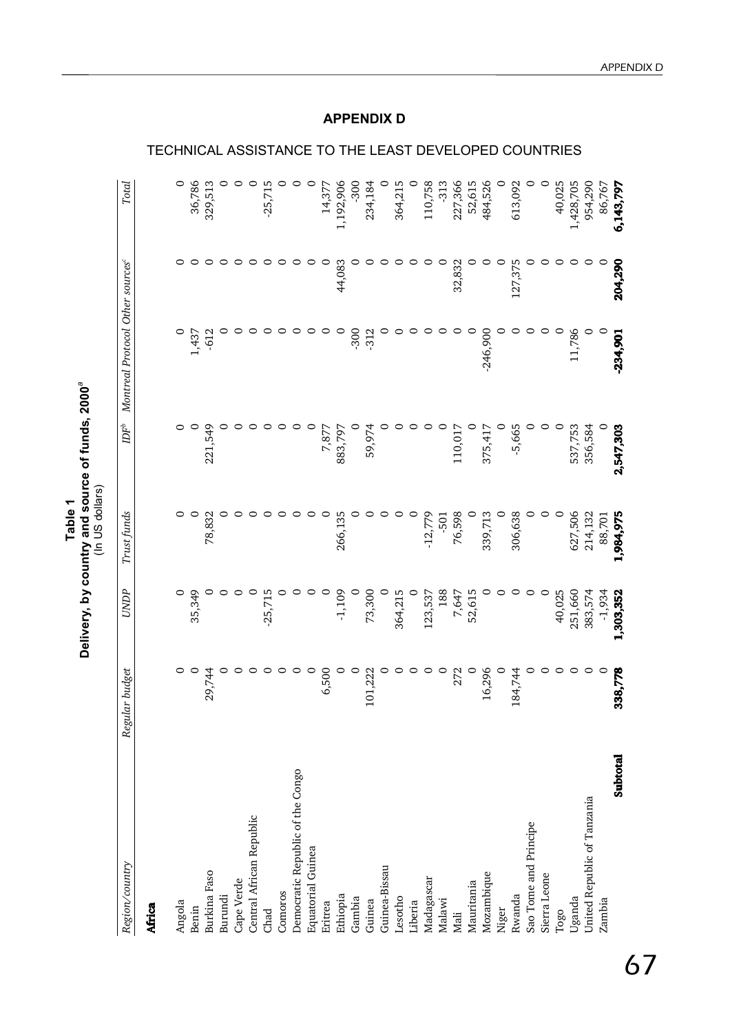Table 1<br>Delivery, by country and source of funds, 2000<sup>ª</sup> **Delivery, by country and source of funds, 2000***a*

|                                  |                |           | (In US dollars) |                  |                                 |         |           |
|----------------------------------|----------------|-----------|-----------------|------------------|---------------------------------|---------|-----------|
| Region/country                   | Regular budget | UNDP      | Trust funds     | $\mathbb{D} F^b$ | Montreal Protocol Other sources |         | Total     |
| Africa                           |                |           |                 |                  |                                 |         |           |
| Angola                           | O              |           |                 |                  |                                 | 0       | $\circ$   |
| Benin                            | $\circ$        | 35,349    | $\circ$         | 0                | 1,437                           |         | 36,786    |
| Burkina Faso                     | 29,744         |           | 78,832          | 221,549          | $-612$                          |         | 329,513   |
| Burundi                          |                |           |                 |                  |                                 |         |           |
| Cape Verde                       | 0              |           |                 |                  |                                 |         |           |
| Central African Republic         | $\circ$        | 0         | ○               |                  |                                 |         | 0         |
| Chad                             | 0              | $-25,715$ | ○               |                  |                                 |         | $-25,715$ |
| Comoros                          | 0              |           |                 |                  |                                 |         |           |
| Democratic Republic of the Congo | っ              |           |                 |                  |                                 | ⊂       |           |
| <b>Equatorial Guinea</b>         | $\circ$        |           |                 |                  |                                 | ○       |           |
| Eritrea                          | 6,500          | 0         | 0               | 7,877            |                                 | 0       | 14,377    |
| Ethiopia                         |                | $-1,109$  | 266,135         | 883,797          |                                 | 44,083  | 1,192,906 |
| Gambia                           | $\circ$        |           |                 |                  | $-300$                          | ⊂       | $-300$    |
| Guinea                           | 101,222        | 73,300    | ○               | 59,974           | $-312$                          |         | 234,184   |
| Guinea-Bissau                    | ○              | 0         | c               |                  |                                 | c       |           |
| Lesotho                          | 0              | 364,215   | 0               |                  |                                 | ○       | 364,215   |
| Liberia                          | $\circ$        | $\circ$   | $\circ$         |                  |                                 | $\circ$ | 0         |
| Madagascar                       | $\circ$        | 123,537   | $-12,779$       |                  |                                 | ○       | 110,758   |
| Malawi                           | $\circ$        | 188       | $-501$          |                  |                                 | 0       | $-313$    |
| Mali                             | 272            | 7,647     | 76,598          | 110,017          |                                 | 32,832  | 227,366   |
| Mauritania                       | $\circ$        | 52,615    | $\circ$         |                  |                                 | 0       | 52,615    |
| Mozambique                       | 16,296         | 0         | 339,713         | 375,417          | $-246,900$                      | ⊂       | 484,526   |
| Niger                            | $\circ$        |           | 0               |                  |                                 | 0       | $\circ$   |
| Rwanda                           | 184,744        | ⊂         | 306,638         | $-5,665$         |                                 | 127,375 | 613,092   |
| Sao Tome and Principe            |                | 0         | 0               |                  |                                 |         | 0         |
| Sierra Leone                     | ○              | $\circ$   | 0               |                  |                                 | 0       | 0         |
| Togo                             | ○              | 40,025    | $\circ$         | $\circ$          |                                 | ○       | 40,025    |
| Uganda                           | ○              | 251,660   | 627,506         | 537,753          | 11,786                          | 0       | 1,428,705 |
| United Republic of Tanzania      | ○              | 383,574   | 214,132         | 356,584          |                                 | 0       | 954,290   |
| Zambia                           | O              | $-1,934$  | 88,701          |                  |                                 | $\circ$ | 86,767    |
| Subtotal                         | 338,778        | 1,303,352 | 1,984,975       | 2,547,303        | $-234,901$                      | 204,290 | 6,143,797 |

## TECHNICAL ASSISTANCE TO THE LEAST DEVELOPED COUNTRIES

**APPENDIX D**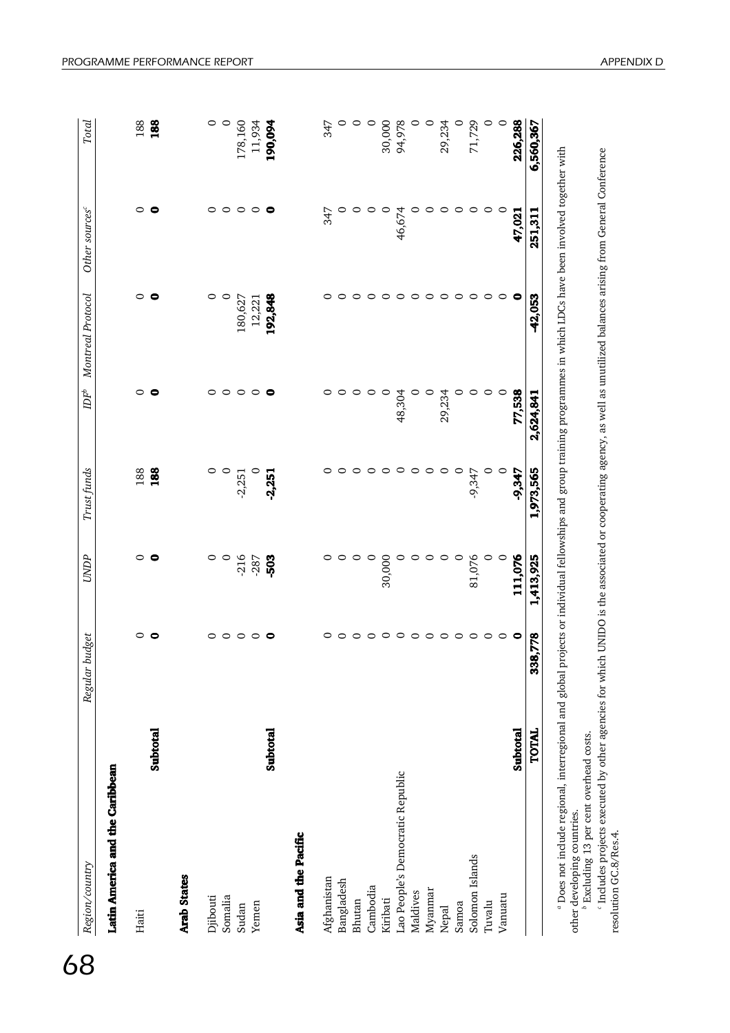| Region/country                   |              | budget<br>Regular | <b>UNDP</b> | Trust funds | $\ensuremath{D\!F}\xspace^b$ | Montreal Protocol | Other sources <sup>c</sup> | Total     |
|----------------------------------|--------------|-------------------|-------------|-------------|------------------------------|-------------------|----------------------------|-----------|
| Latin America and the Caribbean  |              |                   |             |             |                              |                   |                            |           |
| Haiti                            |              | ⊂                 | $\circ$     | 188         | $\circ$                      | $\circ$           | 0                          | 188       |
|                                  | Subtotal     | e                 | 0           | 188         | $\bullet$                    | 0                 | 0                          | 188       |
| <b>Arab States</b>               |              |                   |             |             |                              |                   |                            |           |
| Djibouti                         |              | 0                 | 0           | 0           | 0                            | 0                 | 0                          | 0         |
| Somalia                          |              | $\circ$           | $\circ$     | $\circ$     | $\circ$                      | $\circ$           | $\circ$                    | $\circ$   |
| Sudan                            |              | $\circ$           | $-216$      | $-2,251$    | $\circ$                      | 180,627           | $\circ$                    | 178,160   |
| Yemen                            |              | $\circ\,\bullet$  | $-287$      |             | $\circ$                      | 12,221            | $\circ$ $\circ$            | 11,934    |
|                                  | Subtotal     |                   | -503        | $-2,251$    | $\bullet$                    | 192,848           |                            | 190,094   |
| Asia and the Pacific             |              |                   |             |             |                              |                   |                            |           |
| Afghanistan                      |              | 0                 |             | 0           |                              | 0                 | 347                        | 347       |
| Bangladesh                       |              | $\circ$           |             | ○           |                              |                   | 0                          |           |
| Bhutan                           |              | $\circ$           |             | ○           |                              | 0                 |                            |           |
| Cambodia                         |              | $\circ$           | $\circ$     | 0           | 0                            | 0                 | 0                          | $\circ$   |
| Kiribati                         |              | $\circ$           | 30,000      | 0           | $\circ$                      | $\circ$           | $\circ$                    | 30,000    |
| Lao People's Democratic Republic |              | $\circ$           |             | $\circ$     | 48,304                       | $\circ$           | 46,674                     | 94,978    |
| Maldives                         |              | $\circ$           |             | $\circ$     |                              | $\circ$           | 0                          | O         |
| Myanmar                          |              | $\circ$           | ○           | $\circ$     |                              | $\circ$           | $\circ$                    |           |
| Nepal                            |              | $\circ$           | 0           | $\circ$     | 29,234                       | $\circ$           | $\circ$                    | 29,234    |
| Samoa                            |              | $\circ$           | $\circ$     | $\circ$     |                              | $\circ$           | $\circ$                    | 0         |
| Solomon Islands                  |              | $\circ$           | 81,076      | -9,347      | 0                            | $\circ$           | $\circ$                    | 71,729    |
| Tuvalu                           |              | $\circ$           | $\circ$     | $\circ$     | $\circ$                      | $\circ$           | $\circ$                    |           |
| Vanuatu                          |              | $\circ$           | $\circ$     | $\circ$     | $\circ$                      | $\circ$           | $\circ$                    |           |
|                                  | Subtotal     | 0                 | 111,076     | -9,347      | 77,538                       | $\bullet$         | 47,021                     | 226,288   |
|                                  | <b>TOTAL</b> | 338,778           | 1,413,925   | 1,973,565   | 2,624,841                    | 42,053            | 251,311                    | 6,560,367 |

other developing countries.  $$\circ$$  axcluding 13 per cent overhead costs.

other developing countries. *b* Excluding 13 per cent overhead costs.

' Includes projects executed by other agencies for which UNIDO is the associated or cooperating agency, as well as unutilized balances arising from General Conference<br>resolution GC.8/Res.4. *c* Includes projects executed by other agencies for which UNIDO is the associated or cooperating agency, as well as unutilized balances arising from General Conference resolution GC.8/Res.4.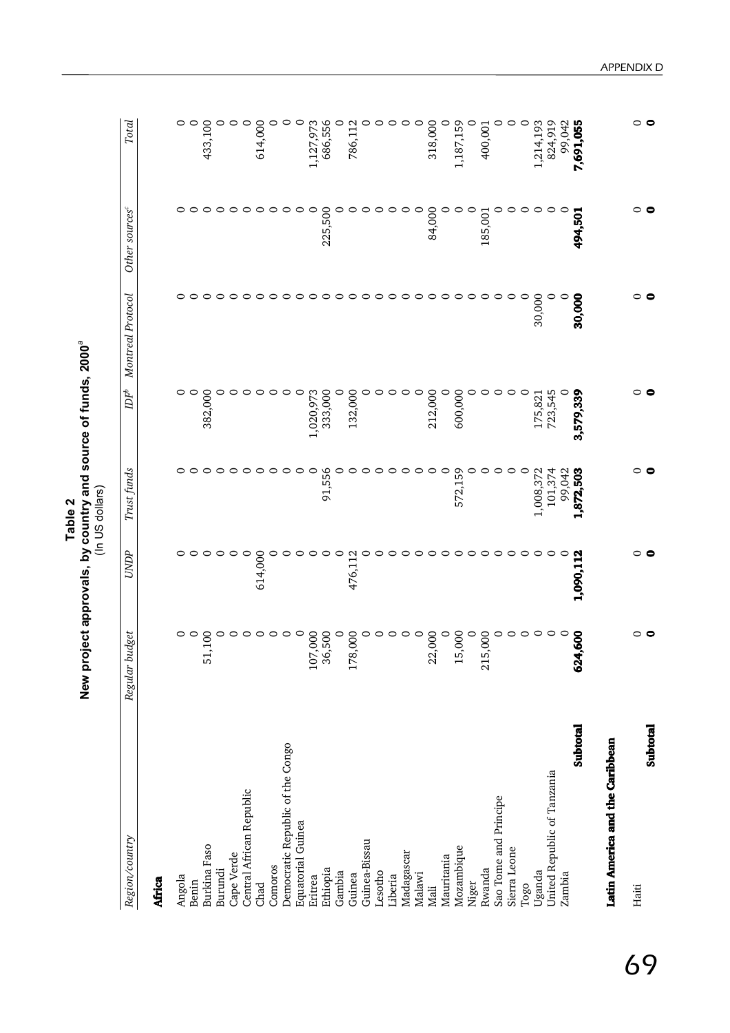| New project approvals, by country and source of funds, 2000'<br>'In US dollars<br>Table 2 |
|-------------------------------------------------------------------------------------------|
|-------------------------------------------------------------------------------------------|

| Region/country                   | idget<br>Regular bu     | UNDP      | Trust funds | $\mathbb{D} F^b$ | Montreal Protocol | Other sources <sup>c</sup> | Total     |
|----------------------------------|-------------------------|-----------|-------------|------------------|-------------------|----------------------------|-----------|
| Africa                           |                         |           |             |                  |                   |                            |           |
| Angola                           |                         |           |             | 0                |                   | 0                          |           |
| Benin                            |                         |           |             | ○                |                   |                            |           |
| <b>Burkina</b> Faso              | 51,                     |           |             | 382,000          |                   |                            | 433,100   |
| Burundi                          |                         |           |             |                  | 0                 |                            |           |
| Cape Verde                       |                         |           |             |                  |                   |                            |           |
| Central African Republic         |                         | 0         |             |                  |                   |                            |           |
| Chad                             |                         | 614,000   |             |                  |                   |                            | 614,000   |
| Comoros                          |                         |           |             |                  | ○                 |                            |           |
| Democratic Republic of the Congo |                         |           |             |                  | 0                 | c                          |           |
| Equatorial Guinea                |                         |           |             | 0                |                   |                            |           |
| Eritrea                          | 8<br>107,               |           |             | ,020,973         |                   | ○                          | ,127,973  |
| Ethiopia                         | 500<br>36,              | c         | 91,556      | 333,00C          | ○                 | 225,500                    | 686,556   |
| Gambia                           | 0                       | ○         |             |                  | $\circ$           |                            |           |
| Guinea                           | $\overline{0}0$<br>178, | 476,11    |             | 132,000          | ○                 |                            | 786,11    |
| Guinea-Bissau                    |                         |           |             |                  | ○                 |                            |           |
| Lesotho                          |                         |           |             |                  | ○                 |                            |           |
| Liberia                          | c                       | ⊂         |             | c                | $\circ$           | C                          |           |
| Madagascar                       |                         |           |             | ○                | ○                 |                            |           |
| Malawi                           |                         |           |             | ○                | 0                 | c                          |           |
| Mali                             | $\frac{8}{1}$<br>22,    | ○         |             | 212,000          |                   | 84,000                     | 318,000   |
| Mauritania                       |                         | ⊖         |             | 0                |                   |                            |           |
| Mozambique                       | $\frac{8}{2}$<br>15,    | $\circ$   | 59<br>572,  | 600,000          | $\circ$           | c                          | 1,187,159 |
| Niger                            | O                       | ⊖         |             |                  | ○                 | $\circ$                    |           |
| Rwanda                           | $\frac{00}{2}$<br>215,  | ◓         |             | ○                | 0                 | 185,001                    | 400,001   |
| Sao Tome and Principe            | ○                       | ◯         |             | ○                | ○                 | 0                          |           |
| Sierra Leone                     |                         | っ         |             | $\circ$          | $\circ$           | ○                          |           |
| $_{\rm Togo}$                    |                         | $\circ$   | 0           | $\circ$          | $\circ$           | c                          | c         |
| Uganda                           |                         | $\circ$   | 1,008,372   | 175,821          | 30,000            | ○                          | 1,214,193 |
| United Republic of Tanzania      |                         | $\circ$   | 101,374     | 723,545          | 0                 | 0                          | 824,919   |
| Zambia                           |                         |           | 99.042      |                  | $\circ$           | ⊂                          | 99.042    |
| Subtotal                         | 600<br>624,             | 1,090,112 | 1,872,503   | 3,579,339        | 30,000            | 494,501                    | 7,691,055 |
| Latin America and the Caribbean  |                         |           |             |                  |                   |                            |           |
| Haiti                            |                         |           |             |                  |                   |                            |           |
| Subtotal                         |                         |           |             |                  |                   |                            |           |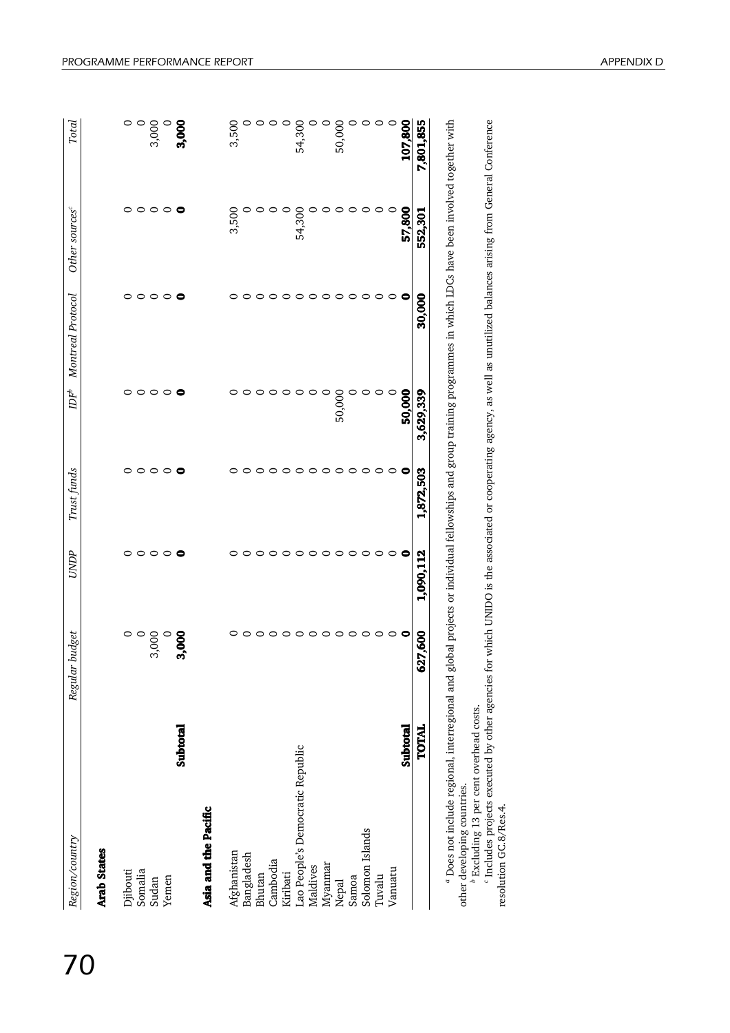| Region/country                   | budget<br>Regular | UNDP      | Trust funds     | $\mathbb{D} \mathbb{F}^b$ | Montreal Protocol        | Other sources <sup>c</sup> | Total     |
|----------------------------------|-------------------|-----------|-----------------|---------------------------|--------------------------|----------------------------|-----------|
| <b>Arab States</b>               |                   |           |                 |                           |                          |                            |           |
| Djibouti                         |                   |           |                 |                           |                          |                            |           |
| Somalia                          |                   | 0         |                 | ○                         |                          |                            |           |
| Sudan                            | 3,000             | $\circ$   | $\circ$ $\circ$ | $\circ$                   |                          | $\circ$                    | 3,000     |
| Yemen                            |                   | $\circ$   | $\circ$         | $\circ$                   | $\circ\circ\circ\bullet$ | $\circ\,\bullet$           |           |
| Subtotal                         | 3,000             | $\bullet$ | $\bullet$       | $\bullet$                 |                          |                            | 3,000     |
| Asia and the Pacific             |                   |           |                 |                           |                          |                            |           |
| Afghanistan                      |                   |           |                 |                           |                          | 3,500                      | 3,500     |
| Bangladesh                       | 0                 |           | 0               |                           |                          |                            |           |
| Bhutan                           | $\circ$           |           | 0               |                           |                          |                            |           |
| Cambodia                         | $\circ$           |           | $\circ$         | っ                         | ○                        |                            |           |
| Kiribati                         | $\circ$           | $\circ$   | 0               | ◠                         | $\circ$                  |                            |           |
| Lao People's Democratic Republic | $\circ$           | $\circ$   | $\circ$         |                           | $\circ$                  | 54,300                     | 54,300    |
| Maldives                         | $\circ$           | $\circ$   | $\circ$         | ⊂                         | ○                        |                            |           |
| Myanmar                          | $\circ$           | $\circ$   | $\circ$         |                           | $\circ$                  |                            |           |
| Nepal                            | $\circ$           | 0         | ○               | 50,000                    | ⊂                        | 0                          | 50,000    |
| Samoa                            | $\circ$ $\circ$   | ○         | ○               |                           | ◠                        | 0                          |           |
| Solomon Islands                  |                   | 0         | 0               |                           | 0                        | $\circ$                    |           |
| Tuvalu                           | $\circ$           | $\circ$   | $\circ$         | ⊂                         | $\circ$                  | $\circ$                    |           |
| Vanuatu                          | $\circ$           | $\circ$   | $\circ$         |                           | $\circ$                  | $\circ$                    |           |
| Subtotal                         | $\bullet$         | 0         | 0               | 50,000                    | 0                        | 57,800                     | 107,800   |
| TOTAL                            | 627,600           | 1,090,112 | 1,872,503       | 3,629,339                 | 30,000                   | 552,301                    | 7,801,855 |

other developing countries.<br><sup>8</sup> Excluding 13 per cent overhead costs.<br>' Includes projects executed by other agencies for which UNIDO is the associated or cooperating agency, as well as unutilized balances arising from Gene

b Excluding 13 per cent overhead costs.<br>' Includes projects executed by other agencies for which UNIDO is the associated or cooperating agency, as well as unutilized balances arising from General Conference<br>resolution GC.8 resolution GC.8/Res.4.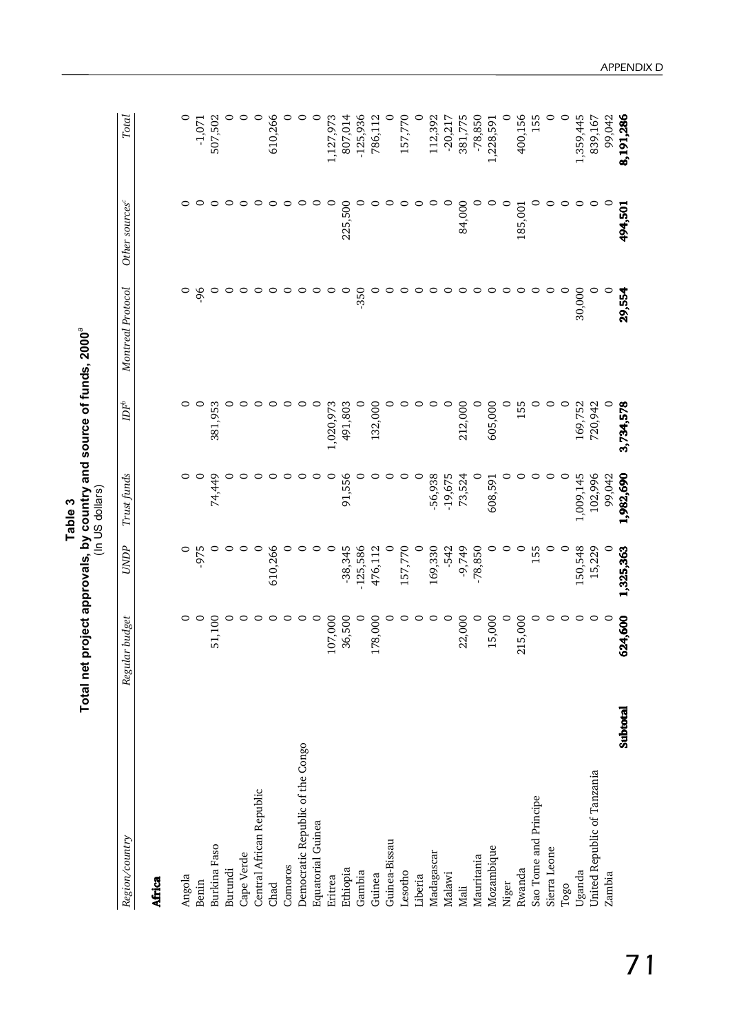|                                  | Total net project approvals, by country and source of funds, 2000° |             | (In US dollars)<br>Table 3 |                              |                   |                            |            |
|----------------------------------|--------------------------------------------------------------------|-------------|----------------------------|------------------------------|-------------------|----------------------------|------------|
| Region/country                   | <b>budget</b><br>Regular                                           | <b>UNDP</b> | Trust funds                | $\ensuremath{D\!F}\xspace^b$ | Montreal Protocol | Other sources <sup>c</sup> | Total      |
| Africa                           |                                                                    |             |                            |                              |                   |                            |            |
| Angola                           | $\circ$                                                            | $\circ$     | 0                          | 0                            | $\circ$           | 0                          | 0          |
| Benin                            | $\circ$                                                            | -975        | 0                          | $\circ$                      | 96                | 0                          | $-1,071$   |
| Burkina Faso                     | 51,100                                                             | 0           | 74,449                     | 381,953                      |                   | $\circ$                    | 507,502    |
| Burundi                          | 0                                                                  | c           |                            |                              | c                 | $\circ$                    |            |
| Cape Verde                       | 0                                                                  | 0           |                            |                              |                   | $\circ$                    |            |
| Central African Republic         | $\circ$                                                            | $\circ$     |                            |                              |                   | $\circ$                    | 0          |
| Chad                             | $\circ$                                                            | 610,266     |                            |                              |                   | 0                          | 610,266    |
| Comoros                          | ○                                                                  | 0           |                            |                              |                   | 0                          |            |
| Democratic Republic of the Congo | 0                                                                  | 0           |                            |                              |                   | 0                          |            |
| <b>Equatorial Guinea</b>         | $\circ$                                                            | 0           |                            | 0                            |                   | c                          |            |
| Eritrea                          | 07,000                                                             | $\circ$     | 0                          | 1,020,973                    |                   | 0                          | 1,127,973  |
| Ethiopia                         | 36,500                                                             | $-38,345$   | 91,556                     | 491,803                      |                   | 225,500                    | 807,014    |
| Gambia                           | $\circ$                                                            | $-125,586$  |                            | 0                            | $-350$            |                            | $-125,936$ |
| Guinea                           | 178,000                                                            | 476,112     |                            | 132,000                      |                   |                            | 786,112    |
| Guinea-Bissau                    | 0                                                                  | $\circ$     |                            |                              |                   | ⊂                          |            |
| Lesotho                          | 0                                                                  | 157,770     | 0                          |                              | 0                 | c                          | 157,770    |
| Liberia                          | 0                                                                  | 0           | $\circ$                    |                              |                   | ⊂                          |            |
| Madagascar                       | 0                                                                  | 169,330     | -56,938                    |                              |                   | ⊂                          | 112,392    |
| Malawi                           | $\circ$                                                            | $-542$      | $-19,675$                  |                              |                   | 0                          | $-20,217$  |
| Mali                             | 22,000                                                             | -9,749      | 73,524                     | 212,000                      |                   | 84,000                     | 381,775    |
| Mauritania                       | $\circ$                                                            | $-78,850$   | $\circ$                    |                              |                   | 0                          | $-78,850$  |
| Mozambique                       | 15,000                                                             | 0           | 608,591                    | 605,000                      |                   | 0                          | 1,228,591  |
| Niger                            | $\circ$                                                            | 0           |                            | 0                            |                   | $\circ$                    | $\circ$    |
| Rwanda                           | 215,000                                                            | $\circ$     |                            | 155                          |                   | 185,001                    | 400,156    |
| Sao Tome and Principe            | ○                                                                  | 155         |                            | 0                            |                   | c                          | 155        |
| Sierra Leone                     | 0                                                                  | $\circ$     | 0                          | 0                            | 0                 | c                          | ∊          |
| Togo                             | $\circ$                                                            | $\circ$     | $\circ$                    | $\circ$                      | $\circ$           | 0                          | $\circ$    |
| Uganda                           | $\circ$                                                            | 150,548     | 1,009,145                  | 169,752                      | 30,000            | ⊂                          | 1,359,445  |
| United Republic of Tanzania      | $\circ$                                                            | 15,229      | 102,996                    | 720,942                      | 0                 | ○                          | 839,167    |
| Zambia                           | $\circ$                                                            | $\circ$     | 99,042                     | 0                            | $\circ$           | $\circ$                    | 99,042     |
| Subtotal                         | 624,600                                                            | 1,325,363   | 1,982,690                  | 3,734,578                    | 29,554            | 494,501                    | 8,191,286  |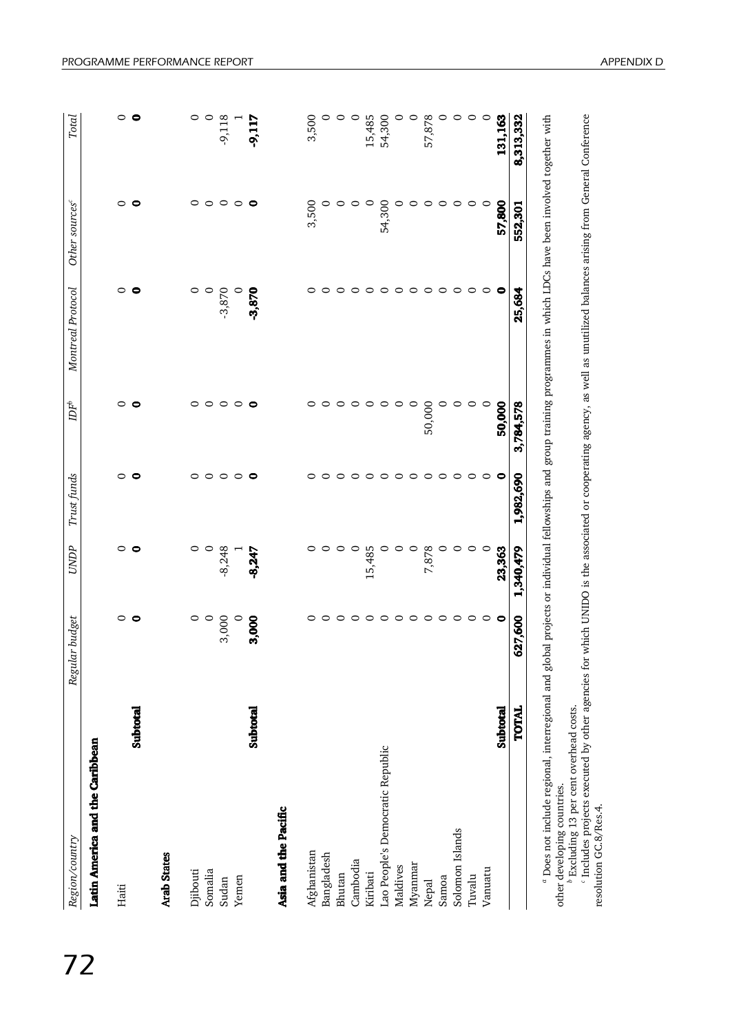| Region/country                   |              | Regular budget |           | Trust funds | $\ensuremath{DF}^\ensuremath{v}$ | Montreal Protocol | Other sources <sup>c</sup> | Total     |
|----------------------------------|--------------|----------------|-----------|-------------|----------------------------------|-------------------|----------------------------|-----------|
| Latin America and the Caribbean  |              |                |           |             |                                  |                   |                            |           |
| Haiti                            |              | 0              | 0         | $\circ$     | $\circ$                          | ○                 | 0                          |           |
|                                  | Subtotal     |                | 0         | $\bullet$   | 0                                | e                 | $\bullet$                  |           |
| <b>Arab States</b>               |              |                |           |             |                                  |                   |                            |           |
| Djibouti                         |              |                |           | 0           | 0                                | 0                 | 0                          |           |
| Somalia                          |              |                | 0         | $\circ$     | $\circ$                          | $\circ$           | $\circ$                    |           |
| Sudan                            |              | 3,000          | $-8,248$  | $\circ$     | $\circ$                          | $-3,870$          | $\circ$                    | -9,118    |
| Yemen                            |              |                |           | $\circ$     | $\circ$                          |                   | $\circ$                    |           |
|                                  | Subtotal     | 3,000          | $-8,247$  | $\bullet$   | $\bullet$                        | $-3,870$          | $\bullet$                  | -9,117    |
| Asia and the Pacific             |              |                |           |             |                                  |                   |                            |           |
| Afghanistan                      |              |                |           | 0           |                                  | 0                 | 3,500                      | 3,500     |
| Bangladesh                       |              |                |           | 0           |                                  | 0                 | 0                          |           |
| Bhutan                           |              |                |           | 0           | $\circ$                          | $\circ$           | 0                          |           |
| Cambodia                         |              | ○              | $\circ$   | 0           | 0                                | $\circ$           | 0                          |           |
| Kiribati                         |              | $\circ$        | 15,485    | $\circ$     | 0                                | $\circ$           | $\circ$                    | 15,485    |
| Lao People's Democratic Republic |              | $\circ$        |           | 0           | $\circ$                          | $\circ$           | 54,300                     | 54,300    |
| Maldives                         |              | $\circ$        |           | $\circ$     | ○                                | $\circ$           | 0                          |           |
| Myanmar                          |              | $\circ$        | 0         | 0           | $\circ$                          | $\circ$           | $\circ$                    |           |
| Nepal                            |              | 0              | 7,878     | 0           | 50,000                           | $\circ$           | $\circ$                    | 57,878    |
| Samoa                            |              | $\circ$        | 0         | 0           | 0                                | $\circ$           | $\circ$                    |           |
| Solomon Islands                  |              | $\circ$        | 0         | $\circ$     | $\circ$                          | $\circ$           | $\circ$                    |           |
| Tuvalu                           |              | $\circ$        | 0         | $\circ$     | 0                                | $\circ$           | $\circ$                    |           |
| Vanuatu                          |              | $\circ$        |           | $\circ$     |                                  | $\circ$           | $\circ$                    |           |
|                                  | Subtotal     | $\bullet$      | 23,363    | $\bullet$   | 50,000                           | $\bullet$         | 57,800                     | 131,163   |
|                                  | <b>TOTAL</b> | 627,600        | 1,340,479 | 1,982,690   | 3,784,578                        | 25,684            | 552,301                    | 8,313,332 |

other developing countries. *b* Excluding 13 per cent overhead costs.

ouler developing coultries.<br><sup>b</sup> Excluding 13 per cent overhead costs.<br>' Includes projects executed by other agencies for which UNIDO is the associated or cooperating agency, as well as unutilized balances arising from Gene *c* Includes projects executed by other agencies for which UNIDO is the associated or cooperating agency, as well as unutilized balances arising from General Conference resolution GC.8/Res.4.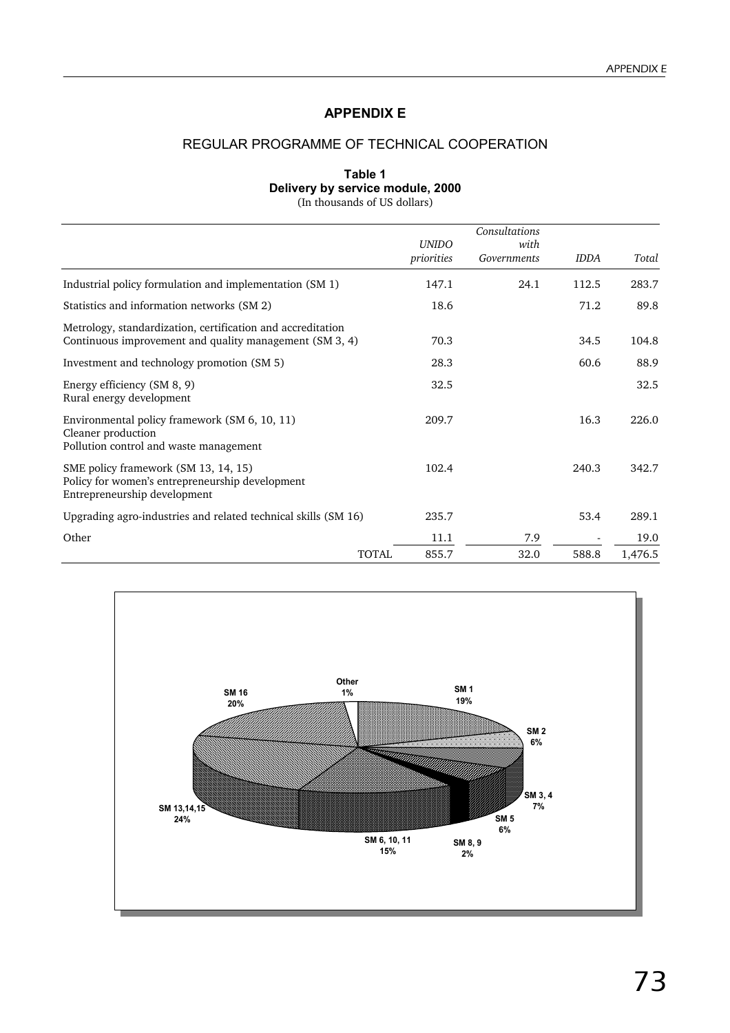## **APPENDIX E**

## REGULAR PROGRAMME OF TECHNICAL COOPERATION

#### **Table 1 Delivery by service module, 2000** (In thousands of US dollars)

|                                                                                                                         | <b>UNIDO</b>          | Consultations<br>with |             |         |
|-------------------------------------------------------------------------------------------------------------------------|-----------------------|-----------------------|-------------|---------|
|                                                                                                                         | priorities            | Governments           | <b>IDDA</b> | Total   |
| Industrial policy formulation and implementation (SM 1)                                                                 | 147.1                 | 24.1                  | 112.5       | 283.7   |
| Statistics and information networks (SM 2)                                                                              | 18.6                  |                       | 71.2        | 89.8    |
| Metrology, standardization, certification and accreditation<br>Continuous improvement and quality management (SM 3, 4)  | 70.3                  |                       | 34.5        | 104.8   |
| Investment and technology promotion (SM 5)                                                                              | 28.3                  |                       | 60.6        | 88.9    |
| Energy efficiency (SM 8, 9)<br>Rural energy development                                                                 | 32.5                  |                       |             | 32.5    |
| Environmental policy framework (SM 6, 10, 11)<br>Cleaner production<br>Pollution control and waste management           | 209.7                 |                       | 16.3        | 226.0   |
| SME policy framework (SM 13, 14, 15)<br>Policy for women's entrepreneurship development<br>Entrepreneurship development | 102.4                 |                       | 240.3       | 342.7   |
| Upgrading agro-industries and related technical skills (SM 16)                                                          | 235.7                 |                       | 53.4        | 289.1   |
| Other                                                                                                                   | 11.1                  | 7.9                   |             | 19.0    |
|                                                                                                                         | <b>TOTAL</b><br>855.7 | 32.0                  | 588.8       | 1,476.5 |

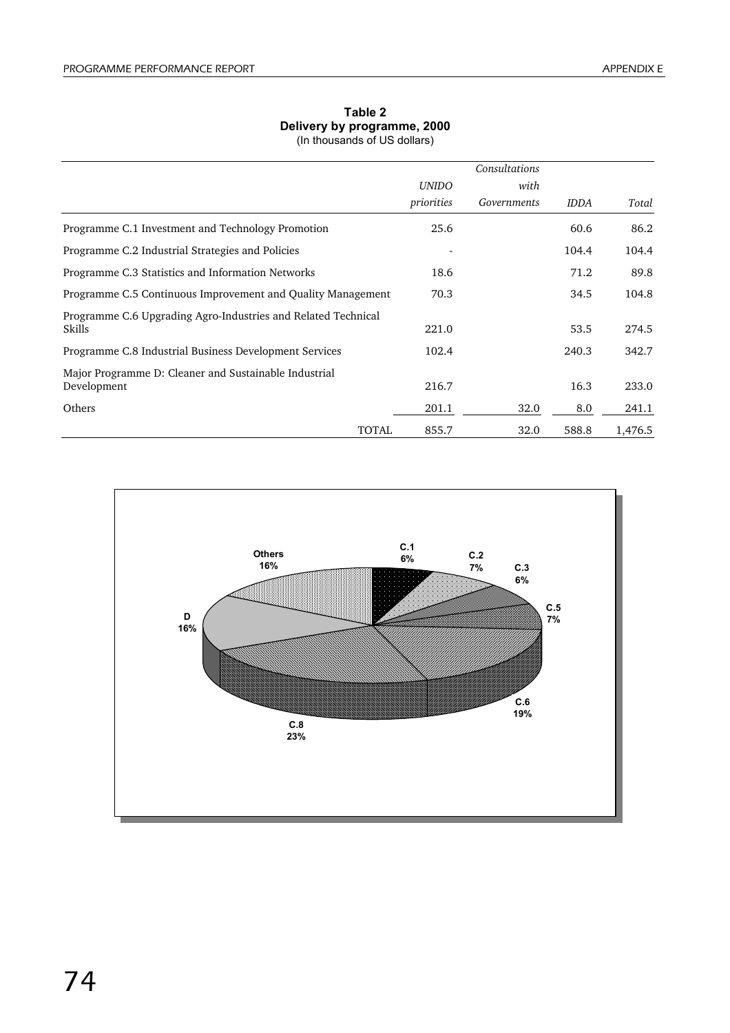## **Table 2 Delivery by programme, 2000**

(In thousands of US dollars)

|                                                                         |              | Consultations |             |         |
|-------------------------------------------------------------------------|--------------|---------------|-------------|---------|
|                                                                         | <b>UNIDO</b> | with          |             |         |
|                                                                         | priorities   | Governments   | <b>IDDA</b> | Total   |
| Programme C.1 Investment and Technology Promotion                       | 25.6         |               | 60.6        | 86.2    |
| Programme C.2 Industrial Strategies and Policies                        |              |               | 104.4       | 104.4   |
| Programme C.3 Statistics and Information Networks                       | 18.6         |               | 71.2        | 89.8    |
| Programme C.5 Continuous Improvement and Quality Management             | 70.3         |               | 34.5        | 104.8   |
| Programme C.6 Upgrading Agro-Industries and Related Technical<br>Skills | 221.0        |               | 53.5        | 274.5   |
| Programme C.8 Industrial Business Development Services                  | 102.4        |               | 240.3       | 342.7   |
| Major Programme D: Cleaner and Sustainable Industrial<br>Development    | 216.7        |               | 16.3        | 233.0   |
| Others                                                                  | 201.1        | 32.0          | 8.0         | 241.1   |
| TOTAL                                                                   | 855.7        | 32.0          | 588.8       | 1,476.5 |

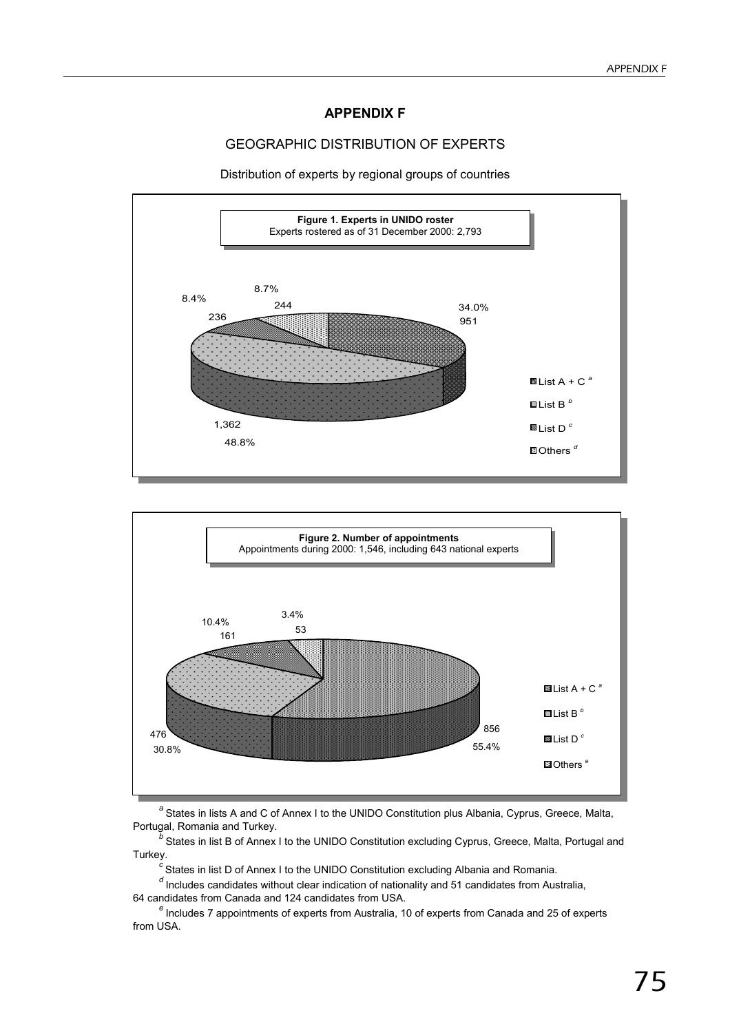#### **APPENDIX F**

## GEOGRAPHIC DISTRIBUTION OF EXPERTS

Distribution of experts by regional groups of countries





<sup>a</sup> States in lists A and C of Annex I to the UNIDO Constitution plus Albania, Cyprus, Greece, Malta, Portugal, Romania and Turkey.

States in list B of Annex I to the UNIDO Constitution excluding Cyprus, Greece, Malta, Portugal and Turkey.

<sup>c</sup> States in list D of Annex I to the UNIDO Constitution excluding Albania and Romania.

<sup>d</sup> Includes candidates without clear indication of nationality and 51 candidates from Australia, 64 candidates from Canada and 124 candidates from USA.

<sup>e</sup> Includes 7 appointments of experts from Australia, 10 of experts from Canada and 25 of experts from USA.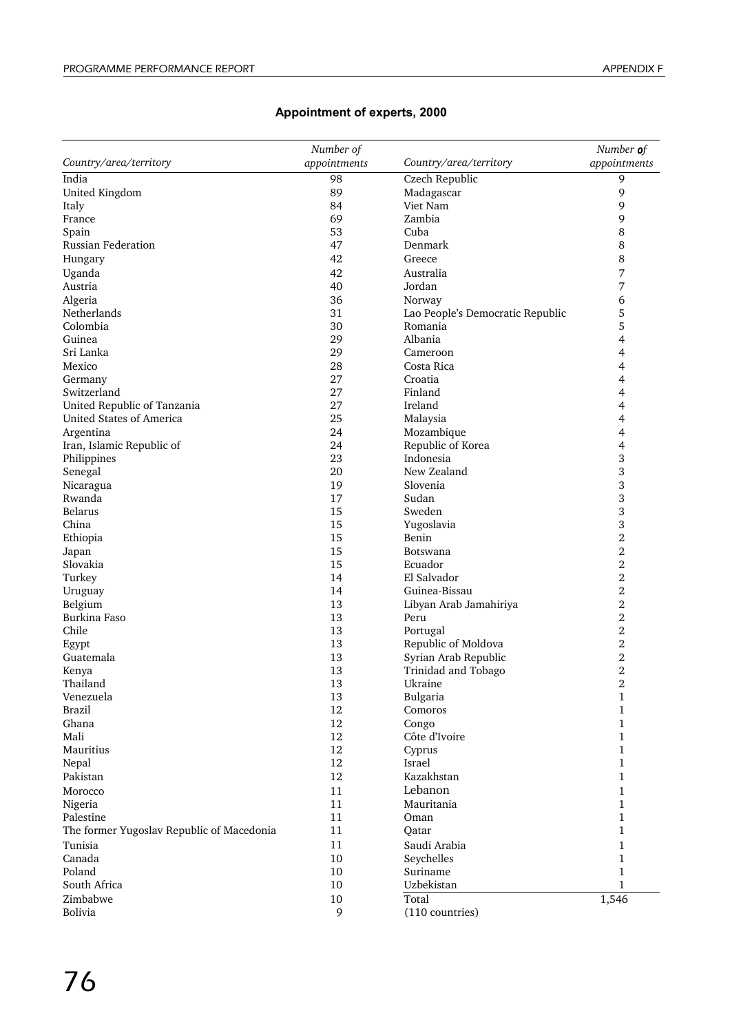## **Appointment of experts, 2000**

|                                           | Number of    |                                  | Number of        |
|-------------------------------------------|--------------|----------------------------------|------------------|
| Country/area/territory                    | appointments | Country/area/territory           | appointments     |
| India                                     | 98           | Czech Republic                   | 9                |
| United Kingdom                            | 89           | Madagascar                       | 9                |
| Italy                                     | 84           | Viet Nam                         | 9                |
| France                                    | 69           | Zambia                           | 9                |
| Spain                                     | 53           | Cuba                             | 8                |
| Russian Federation                        | 47           | Denmark                          | 8                |
| Hungary                                   | 42           | Greece                           | 8                |
| Uganda                                    | 42           | Australia                        | 7                |
| Austria                                   | 40           | Jordan                           | 7                |
| Algeria                                   | 36           | Norway                           | 6                |
| Netherlands                               | 31           | Lao People's Democratic Republic | 5                |
| Colombia                                  | 30           | Romania                          | 5                |
| Guinea                                    | 29           | Albania                          | 4                |
| Sri Lanka                                 | 29           | Cameroon                         | 4                |
| Mexico                                    | 28           | Costa Rica                       | 4                |
| Germany                                   | 27           | Croatia                          | 4                |
| Switzerland                               | 27           | Finland                          | 4                |
| United Republic of Tanzania               | 27           | Ireland                          | 4                |
| United States of America                  | 25           | Malaysia                         | 4                |
| Argentina                                 | 24           | Mozambique                       | 4                |
| Iran, Islamic Republic of                 | 24           | Republic of Korea                | 4                |
| Philippines                               | 23           | Indonesia                        | 3                |
| Senegal                                   | 20           | New Zealand                      | 3                |
| Nicaragua                                 | 19           | Slovenia                         | 3                |
| Rwanda                                    | 17           | Sudan                            | 3                |
| Belarus                                   | 15           | Sweden                           | 3                |
| China                                     | 15           | Yugoslavia                       | 3                |
| Ethiopia                                  | 15           | Benin                            | $\overline{2}$   |
| Japan                                     | 15           | Botswana                         | $\overline{2}$   |
| Slovakia                                  | 15           | Ecuador                          | $\overline{2}$   |
| Turkey                                    | 14           | El Salvador                      | 2                |
| Uruguay                                   | 14           | Guinea-Bissau                    | $\overline{2}$   |
| Belgium                                   | 13           | Libyan Arab Jamahiriya           | 2                |
| Burkina Faso                              | 13           | Peru                             | $\overline{2}$   |
| Chile                                     | 13           | Portugal                         | $\overline{2}$   |
|                                           | 13           | Republic of Moldova              | 2                |
| Egypt                                     | 13           | Syrian Arab Republic             | $\overline{2}$   |
| Guatemala                                 | 13           | Trinidad and Tobago              | $\overline{2}$   |
| Kenya<br>Thailand                         | 13           | Ukraine                          | $\overline{2}$   |
| Venezuela                                 | 13           | Bulgaria                         |                  |
| <b>Brazil</b>                             | 12           | Comoros                          | $\mathbf 1$<br>1 |
| Ghana                                     | 12           |                                  | 1                |
| Mali                                      | 12           | Congo<br>Côte d'Ivoire           | 1                |
| Mauritius                                 | 12           |                                  | 1                |
|                                           |              | Cyprus                           |                  |
| Nepal                                     | 12           | Israel                           | 1                |
| Pakistan                                  | 12           | Kazakhstan                       | 1                |
| Morocco                                   | 11           | Lebanon                          | 1                |
| Nigeria                                   | 11           | Mauritania                       | 1                |
| Palestine                                 | 11           | Oman                             | 1                |
| The former Yugoslav Republic of Macedonia | 11           | Qatar                            | 1                |
| Tunisia                                   | $11\,$       | Saudi Arabia                     | 1                |
| Canada                                    | 10           | Seychelles                       | 1                |
| Poland                                    | 10           | Suriname                         | 1                |
| South Africa                              | 10           | Uzbekistan                       | 1                |
| Zimbabwe                                  | $10\,$       | Total                            | 1,546            |
| Bolivia                                   | 9            | (110 countries)                  |                  |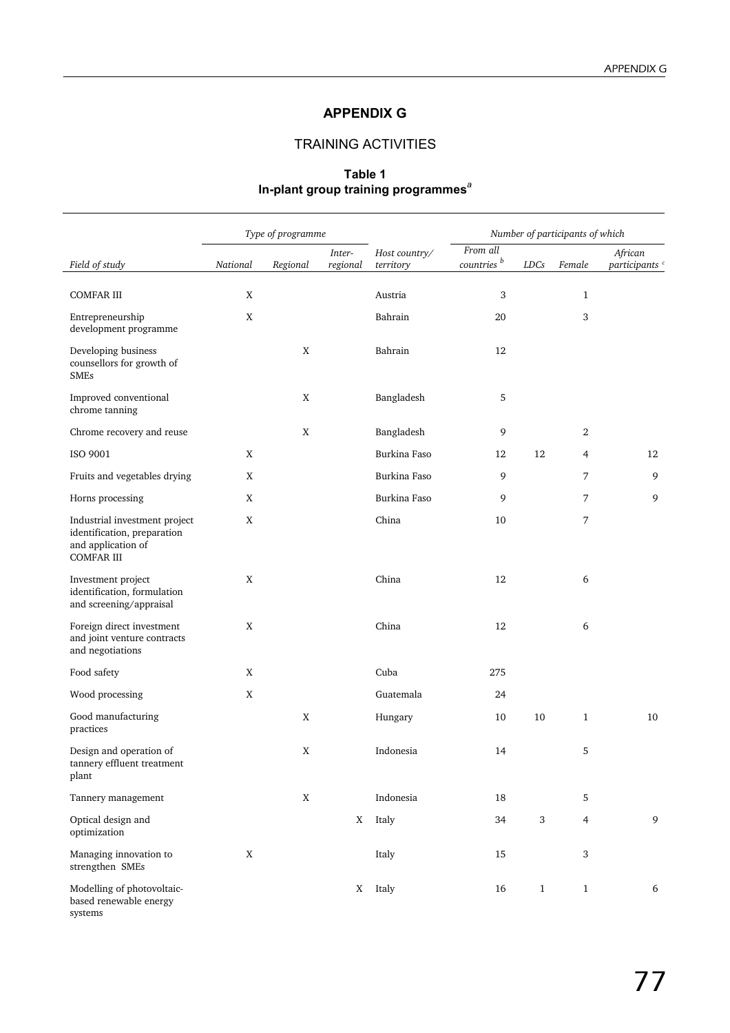## **APPENDIX G**

## TRAINING ACTIVITIES

## **Table 1 In-plant group training programmes***<sup>a</sup>*

|                                                                                                         | Type of programme<br>Number of participants of which |          |                    |                            |                                    |              |                |                                      |
|---------------------------------------------------------------------------------------------------------|------------------------------------------------------|----------|--------------------|----------------------------|------------------------------------|--------------|----------------|--------------------------------------|
| Field of study                                                                                          | National                                             | Regional | Inter-<br>regional | Host country/<br>territory | From all<br>countries <sup>b</sup> | LDCs         | Female         | African<br>participants <sup>c</sup> |
| <b>COMFAR III</b>                                                                                       | X                                                    |          |                    | Austria                    | 3                                  |              | $\mathbf{1}$   |                                      |
| Entrepreneurship<br>development programme                                                               | X                                                    |          |                    | Bahrain                    | 20                                 |              | 3              |                                      |
| Developing business<br>counsellors for growth of<br><b>SMEs</b>                                         |                                                      | X        |                    | Bahrain                    | 12                                 |              |                |                                      |
| Improved conventional<br>chrome tanning                                                                 |                                                      | X        |                    | Bangladesh                 | 5                                  |              |                |                                      |
| Chrome recovery and reuse                                                                               |                                                      | X        |                    | Bangladesh                 | 9                                  |              | 2              |                                      |
| ISO 9001                                                                                                | X                                                    |          |                    | Burkina Faso               | 12                                 | 12           | 4              | 12                                   |
| Fruits and vegetables drying                                                                            | X                                                    |          |                    | Burkina Faso               | 9                                  |              | 7              | 9                                    |
| Horns processing                                                                                        | X                                                    |          |                    | Burkina Faso               | 9                                  |              | 7              | 9                                    |
| Industrial investment project<br>identification, preparation<br>and application of<br><b>COMFAR III</b> | X                                                    |          |                    | China                      | 10                                 |              | 7              |                                      |
| Investment project<br>identification, formulation<br>and screening/appraisal                            | X                                                    |          |                    | China                      | 12                                 |              | 6              |                                      |
| Foreign direct investment<br>and joint venture contracts<br>and negotiations                            | X                                                    |          |                    | China                      | 12                                 |              | 6              |                                      |
| Food safety                                                                                             | X                                                    |          |                    | Cuba                       | 275                                |              |                |                                      |
| Wood processing                                                                                         | X                                                    |          |                    | Guatemala                  | 24                                 |              |                |                                      |
| Good manufacturing<br>practices                                                                         |                                                      | X        |                    | Hungary                    | 10                                 | 10           | 1              | 10                                   |
| Design and operation of<br>tannery effluent treatment<br>plant                                          |                                                      | X        |                    | Indonesia                  | 14                                 |              | 5              |                                      |
| Tannery management                                                                                      |                                                      | X        |                    | Indonesia                  | 18                                 |              | 5              |                                      |
| Optical design and<br>optimization                                                                      |                                                      |          | X                  | Italy                      | 34                                 | $\sqrt{3}$   | $\overline{4}$ | 9                                    |
| Managing innovation to<br>strengthen SMEs                                                               | X                                                    |          |                    | Italy                      | 15                                 |              | $\sqrt{3}$     |                                      |
| Modelling of photovoltaic-<br>based renewable energy<br>systems                                         |                                                      |          | X                  | Italy                      | 16                                 | $\mathbf{1}$ | $\mathbf{1}$   | 6                                    |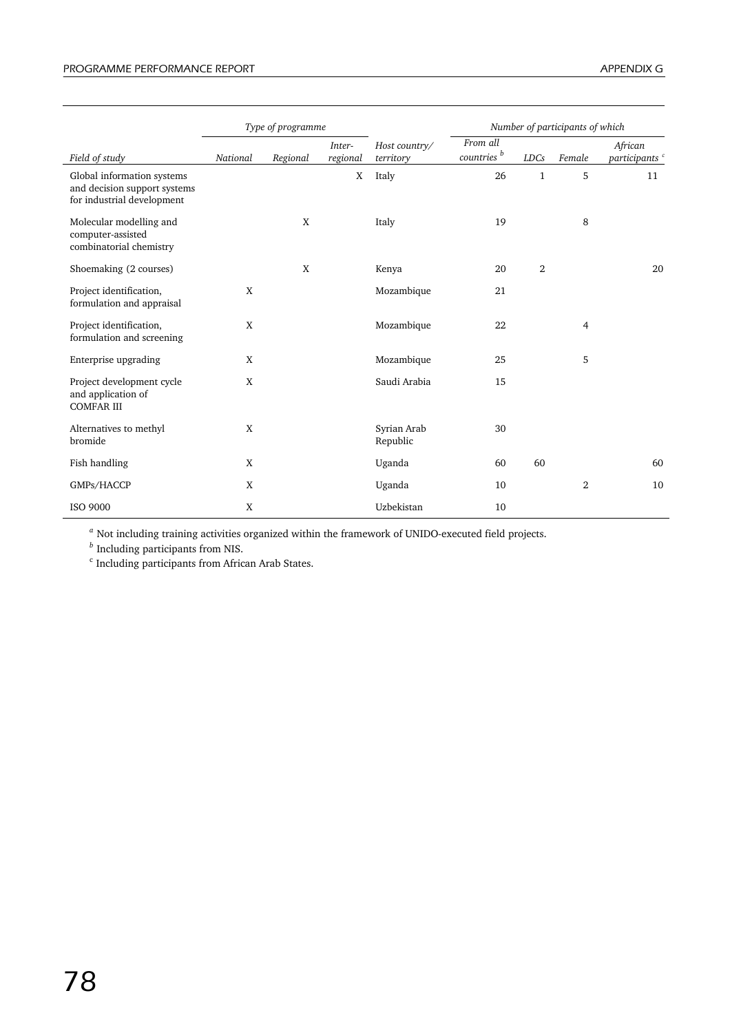|                                                                                          |          | Type of programme |                    |                            |                                    |                | Number of participants of which |                                      |
|------------------------------------------------------------------------------------------|----------|-------------------|--------------------|----------------------------|------------------------------------|----------------|---------------------------------|--------------------------------------|
| Field of study                                                                           | National | Regional          | Inter-<br>regional | Host country/<br>territory | From all<br>countries <sup>b</sup> | <b>LDCs</b>    | Female                          | African<br>participants <sup>c</sup> |
| Global information systems<br>and decision support systems<br>for industrial development |          |                   | X                  | Italy                      | 26                                 | $\mathbf{1}$   | 5                               | 11                                   |
| Molecular modelling and<br>computer-assisted<br>combinatorial chemistry                  |          | X                 |                    | Italy                      | 19                                 |                | 8                               |                                      |
| Shoemaking (2 courses)                                                                   |          | X                 |                    | Kenya                      | 20                                 | $\overline{2}$ |                                 | 20                                   |
| Project identification,<br>formulation and appraisal                                     | X        |                   |                    | Mozambique                 | 21                                 |                |                                 |                                      |
| Project identification,<br>formulation and screening                                     | X        |                   |                    | Mozambique                 | 22                                 |                | 4                               |                                      |
| Enterprise upgrading                                                                     | X        |                   |                    | Mozambique                 | 25                                 |                | 5                               |                                      |
| Project development cycle<br>and application of<br><b>COMFAR III</b>                     | X        |                   |                    | Saudi Arabia               | 15                                 |                |                                 |                                      |
| Alternatives to methyl<br>bromide                                                        | X        |                   |                    | Syrian Arab<br>Republic    | 30                                 |                |                                 |                                      |
| Fish handling                                                                            | X        |                   |                    | Uganda                     | 60                                 | 60             |                                 | 60                                   |
| GMPs/HACCP                                                                               | X        |                   |                    | Uganda                     | 10                                 |                | 2                               | 10                                   |
| <b>ISO 9000</b>                                                                          | X        |                   |                    | Uzbekistan                 | 10                                 |                |                                 |                                      |

*<sup>a</sup>* Not including training activities organized within the framework of UNIDO-executed field projects.

*<sup>b</sup>* Including participants from NIS.

<sup>c</sup> Including participants from African Arab States.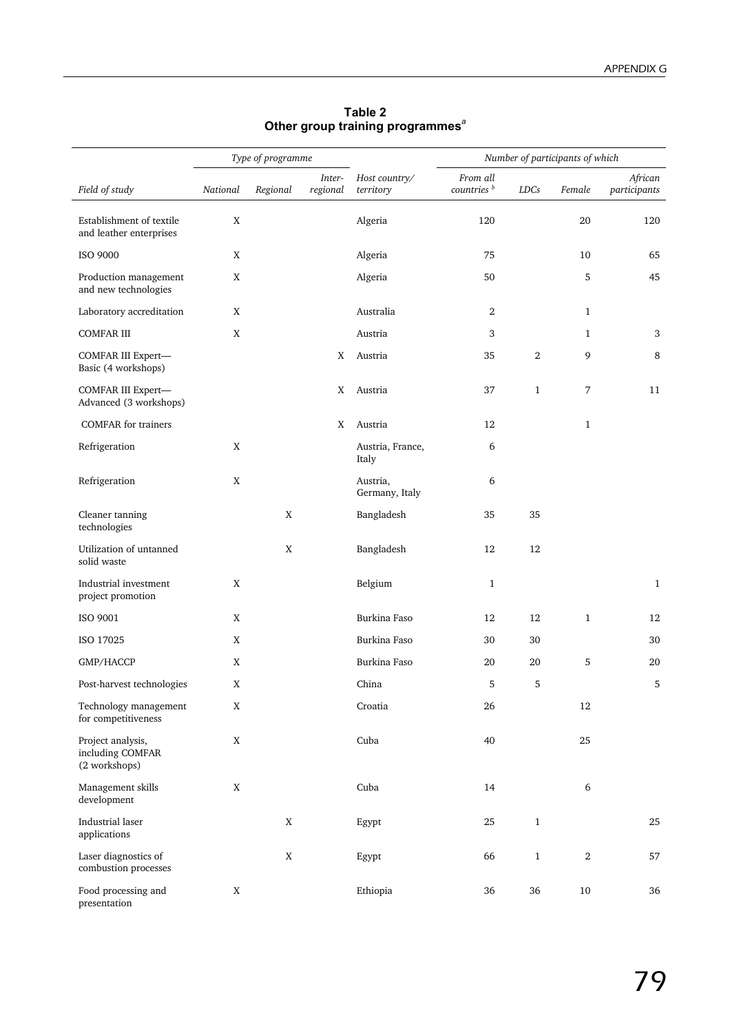|                                                        |             | Type of programme |                    |                            |                                    |                | Number of participants of which |                         |
|--------------------------------------------------------|-------------|-------------------|--------------------|----------------------------|------------------------------------|----------------|---------------------------------|-------------------------|
| Field of study                                         | National    | Regional          | Inter-<br>regional | Host country/<br>territory | From all<br>countries <sup>b</sup> | <b>LDCs</b>    | Female                          | African<br>participants |
| Establishment of textile<br>and leather enterprises    | $\mathbf X$ |                   |                    | Algeria                    | 120                                |                | 20                              | 120                     |
| <b>ISO 9000</b>                                        | $\mathbf X$ |                   |                    | Algeria                    | 75                                 |                | 10                              | 65                      |
| Production management<br>and new technologies          | X           |                   |                    | Algeria                    | 50                                 |                | 5                               | 45                      |
| Laboratory accreditation                               | X           |                   |                    | Australia                  | 2                                  |                | $\mathbf{1}$                    |                         |
| <b>COMFAR III</b>                                      | $\mathbf X$ |                   |                    | Austria                    | 3                                  |                | 1                               | 3                       |
| COMFAR III Expert-<br>Basic (4 workshops)              |             |                   | X                  | Austria                    | 35                                 | $\overline{2}$ | 9                               | 8                       |
| COMFAR III Expert-<br>Advanced (3 workshops)           |             |                   | X                  | Austria                    | 37                                 | $\mathbf{1}$   | 7                               | 11                      |
| <b>COMFAR</b> for trainers                             |             |                   | X                  | Austria                    | 12                                 |                | $\mathbf{1}$                    |                         |
| Refrigeration                                          | $\mathbf X$ |                   |                    | Austria, France,<br>Italy  | 6                                  |                |                                 |                         |
| Refrigeration                                          | X           |                   |                    | Austria,<br>Germany, Italy | 6                                  |                |                                 |                         |
| Cleaner tanning<br>technologies                        |             | X                 |                    | Bangladesh                 | 35                                 | 35             |                                 |                         |
| Utilization of untanned<br>solid waste                 |             | X                 |                    | Bangladesh                 | 12                                 | 12             |                                 |                         |
| Industrial investment<br>project promotion             | $\mathbf X$ |                   |                    | Belgium                    | $\mathbf{1}$                       |                |                                 | $\mathbf{1}$            |
| ISO 9001                                               | $\mathbf X$ |                   |                    | Burkina Faso               | 12                                 | 12             | $\mathbf{1}$                    | 12                      |
| ISO 17025                                              | $\mathbf X$ |                   |                    | Burkina Faso               | 30                                 | 30             |                                 | 30                      |
| GMP/HACCP                                              | X           |                   |                    | Burkina Faso               | 20                                 | 20             | 5                               | 20                      |
| Post-harvest technologies                              | $\mathbf X$ |                   |                    | China                      | 5                                  | 5              |                                 | 5                       |
| Technology management<br>for competitiveness           | X           |                   |                    | Croatia                    | 26                                 |                | 12                              |                         |
| Project analysis,<br>including COMFAR<br>(2 workshops) | $\mathbf X$ |                   |                    | Cuba                       | 40                                 |                | 25                              |                         |
| Management skills<br>development                       | X           |                   |                    | Cuba                       | 14                                 |                | 6                               |                         |
| Industrial laser<br>applications                       |             | $\mathbf X$       |                    | Egypt                      | 25                                 | $\,1\,$        |                                 | 25                      |
| Laser diagnostics of<br>combustion processes           |             | $\mathbf X$       |                    | Egypt                      | 66                                 | $\mathbf{1}$   | $\,2$                           | 57                      |
| Food processing and<br>presentation                    | X           |                   |                    | Ethiopia                   | 36                                 | 36             | $10\,$                          | 36                      |

#### **Table 2 Other group training programmes***<sup>a</sup>*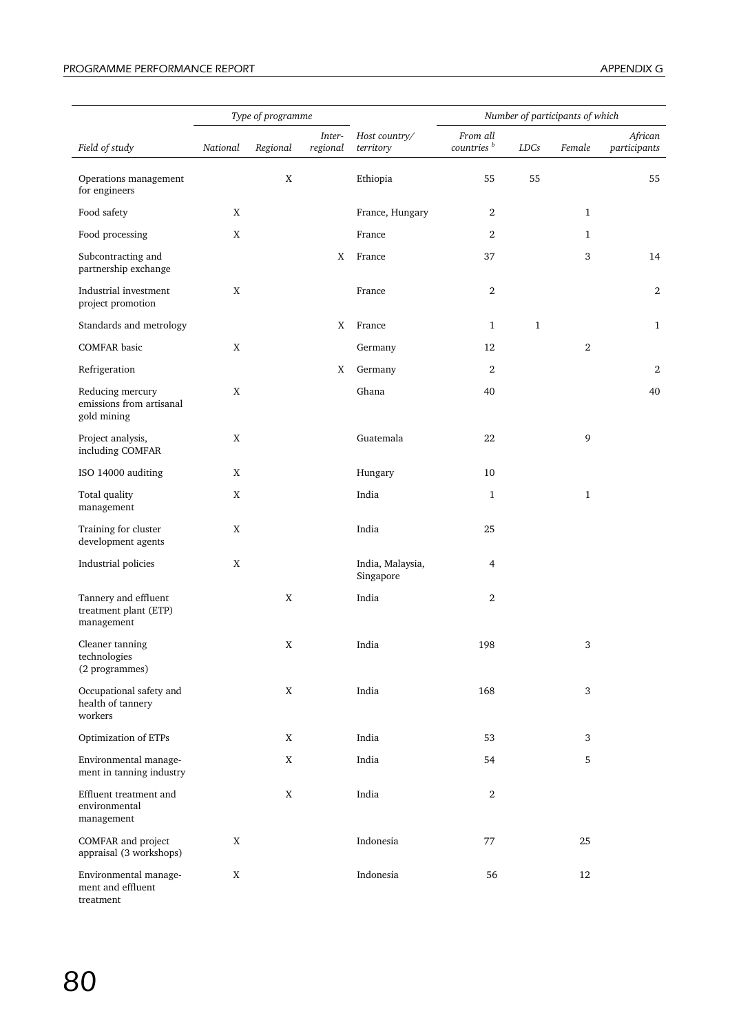|                                                             |             | Type of programme |                    |                               |                                    |              | Number of participants of which |                         |
|-------------------------------------------------------------|-------------|-------------------|--------------------|-------------------------------|------------------------------------|--------------|---------------------------------|-------------------------|
| Field of study                                              | National    | Regional          | Inter-<br>regional | Host country/<br>territory    | From all<br>countries <sup>b</sup> | LDCs         | Female                          | African<br>participants |
| Operations management<br>for engineers                      |             | X                 |                    | Ethiopia                      | 55                                 | 55           |                                 | 55                      |
| Food safety                                                 | X           |                   |                    | France, Hungary               | 2                                  |              | $\mathbf{1}$                    |                         |
| Food processing                                             | $\mathbf X$ |                   |                    | France                        | 2                                  |              | $\mathbf{1}$                    |                         |
| Subcontracting and<br>partnership exchange                  |             |                   | X                  | France                        | 37                                 |              | 3                               | 14                      |
| Industrial investment<br>project promotion                  | X           |                   |                    | France                        | 2                                  |              |                                 | $\overline{2}$          |
| Standards and metrology                                     |             |                   | X                  | France                        | $\mathbf{1}$                       | $\mathbf{1}$ |                                 | $\mathbf{1}$            |
| COMFAR basic                                                | X           |                   |                    | Germany                       | 12                                 |              | 2                               |                         |
| Refrigeration                                               |             |                   | X                  | Germany                       | 2                                  |              |                                 | $\overline{2}$          |
| Reducing mercury<br>emissions from artisanal<br>gold mining | X           |                   |                    | Ghana                         | 40                                 |              |                                 | 40                      |
| Project analysis,<br>including COMFAR                       | $\mathbf X$ |                   |                    | Guatemala                     | 22                                 |              | 9                               |                         |
| ISO 14000 auditing                                          | X           |                   |                    | Hungary                       | 10                                 |              |                                 |                         |
| Total quality<br>management                                 | X           |                   |                    | India                         | $\mathbf{1}$                       |              | $\mathbf{1}$                    |                         |
| Training for cluster<br>development agents                  | $\mathbf X$ |                   |                    | India                         | 25                                 |              |                                 |                         |
| Industrial policies                                         | $\mathbf X$ |                   |                    | India, Malaysia,<br>Singapore | 4                                  |              |                                 |                         |
| Tannery and effluent<br>treatment plant (ETP)<br>management |             | X                 |                    | India                         | 2                                  |              |                                 |                         |
| Cleaner tanning<br>technologies<br>(2 programmes)           |             | X                 |                    | India                         | 198                                |              | 3                               |                         |
| Occupational safety and<br>health of tannery<br>workers     |             | X                 |                    | India                         | 168                                |              | 3                               |                         |
| Optimization of ETPs                                        |             | X                 |                    | India                         | 53                                 |              | 3                               |                         |
| Environmental manage-<br>ment in tanning industry           |             | X                 |                    | India                         | 54                                 |              | 5                               |                         |
| Effluent treatment and<br>environmental<br>management       |             | X                 |                    | India                         | $\,2$                              |              |                                 |                         |
| COMFAR and project<br>appraisal (3 workshops)               | X           |                   |                    | Indonesia                     | 77                                 |              | 25                              |                         |
| Environmental manage-<br>ment and effluent<br>treatment     | X           |                   |                    | Indonesia                     | 56                                 |              | 12                              |                         |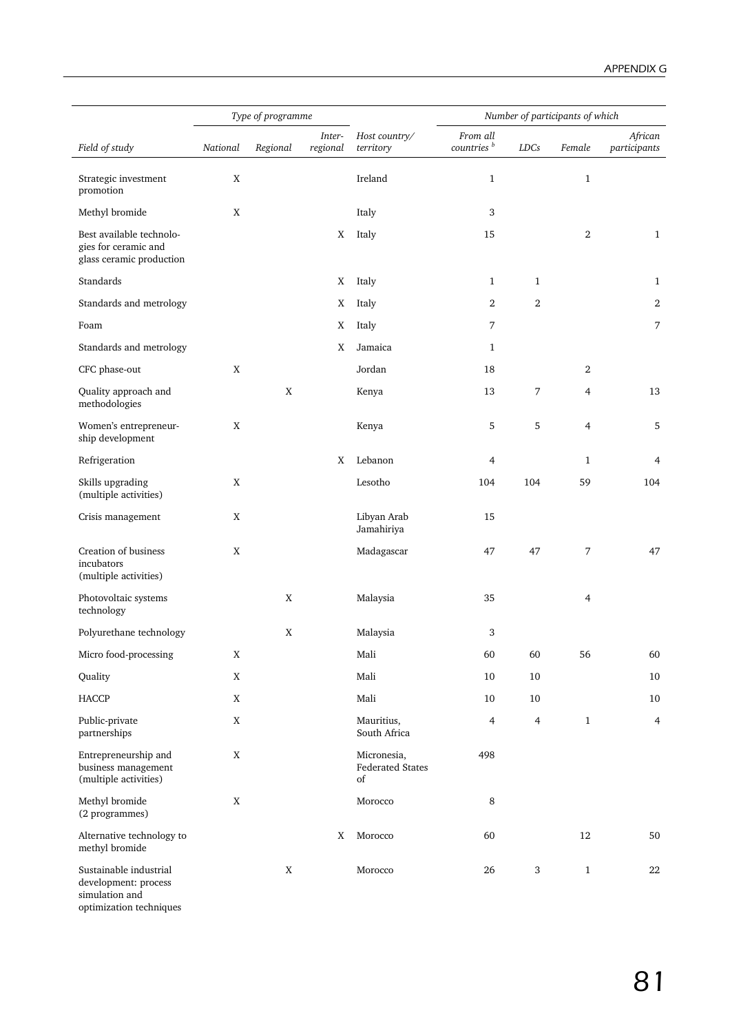|                                                                              |             | Type of programme |                    |                                              |                                    |                | Number of participants of which |                         |
|------------------------------------------------------------------------------|-------------|-------------------|--------------------|----------------------------------------------|------------------------------------|----------------|---------------------------------|-------------------------|
| Field of study                                                               | National    | Regional          | Inter-<br>regional | Host country/<br>territory                   | From all<br>countries <sup>b</sup> | LDCs           | Female                          | African<br>participants |
| Strategic investment<br>promotion                                            | X           |                   |                    | Ireland                                      | $\mathbf{1}$                       |                | $\mathbf{1}$                    |                         |
| Methyl bromide                                                               | X           |                   |                    | Italy                                        | 3                                  |                |                                 |                         |
| Best available technolo-<br>gies for ceramic and<br>glass ceramic production |             |                   | X                  | Italy                                        | 15                                 |                | 2                               | $\mathbf{1}$            |
| Standards                                                                    |             |                   | X                  | Italy                                        | $\mathbf{1}$                       | $\mathbf{1}$   |                                 | $\mathbf{1}$            |
| Standards and metrology                                                      |             |                   | Χ                  | Italy                                        | $\mathbf{2}$                       | $\overline{2}$ |                                 | 2                       |
| Foam                                                                         |             |                   | X                  | Italy                                        | 7                                  |                |                                 | 7                       |
| Standards and metrology                                                      |             |                   | X                  | Jamaica                                      | $\mathbf{1}$                       |                |                                 |                         |
| CFC phase-out                                                                | $\mathbf X$ |                   |                    | Jordan                                       | 18                                 |                | 2                               |                         |
| Quality approach and<br>methodologies                                        |             | X                 |                    | Kenya                                        | 13                                 | 7              | 4                               | 13                      |
| Women's entrepreneur-<br>ship development                                    | X           |                   |                    | Kenya                                        | 5                                  | 5              | 4                               | 5                       |
| Refrigeration                                                                |             |                   | X                  | Lebanon                                      | 4                                  |                | $\mathbf{1}$                    | 4                       |
| Skills upgrading<br>(multiple activities)                                    | X           |                   |                    | Lesotho                                      | 104                                | 104            | 59                              | 104                     |
| Crisis management                                                            | X           |                   |                    | Libyan Arab<br>Jamahiriya                    | 15                                 |                |                                 |                         |
| Creation of business<br>incubators<br>(multiple activities)                  | X           |                   |                    | Madagascar                                   | 47                                 | 47             | 7                               | 47                      |
| Photovoltaic systems<br>technology                                           |             | X                 |                    | Malaysia                                     | 35                                 |                | 4                               |                         |
| Polyurethane technology                                                      |             | X                 |                    | Malaysia                                     | 3                                  |                |                                 |                         |
| Micro food-processing                                                        | $\mathbf X$ |                   |                    | Mali                                         | 60                                 | 60             | 56                              | 60                      |
| Quality                                                                      | X           |                   |                    | Mali                                         | 10                                 | 10             |                                 | 10                      |
| HACCP                                                                        | $\mathbf X$ |                   |                    | Mali                                         | 10                                 | 10             |                                 | 10                      |
| Public-private<br>partnerships                                               | $\mathbf X$ |                   |                    | Mauritius,<br>South Africa                   | $\overline{4}$                     | $\overline{4}$ | $\mathbf{1}$                    | $\overline{4}$          |
| Entrepreneurship and<br>business management<br>(multiple activities)         | $\mathbf X$ |                   |                    | Micronesia,<br><b>Federated States</b><br>of | 498                                |                |                                 |                         |
| Methyl bromide<br>(2 programmes)                                             | $\mathbf X$ |                   |                    | Morocco                                      | $\,8\,$                            |                |                                 |                         |
| Alternative technology to<br>methyl bromide                                  |             |                   | X                  | Morocco                                      | 60                                 |                | 12                              | 50                      |
| Sustainable industrial<br>development: process<br>simulation and             |             | $\mathbf X$       |                    | Morocco                                      | 26                                 | 3              | $\,1\,$                         | 22                      |

optimization techniques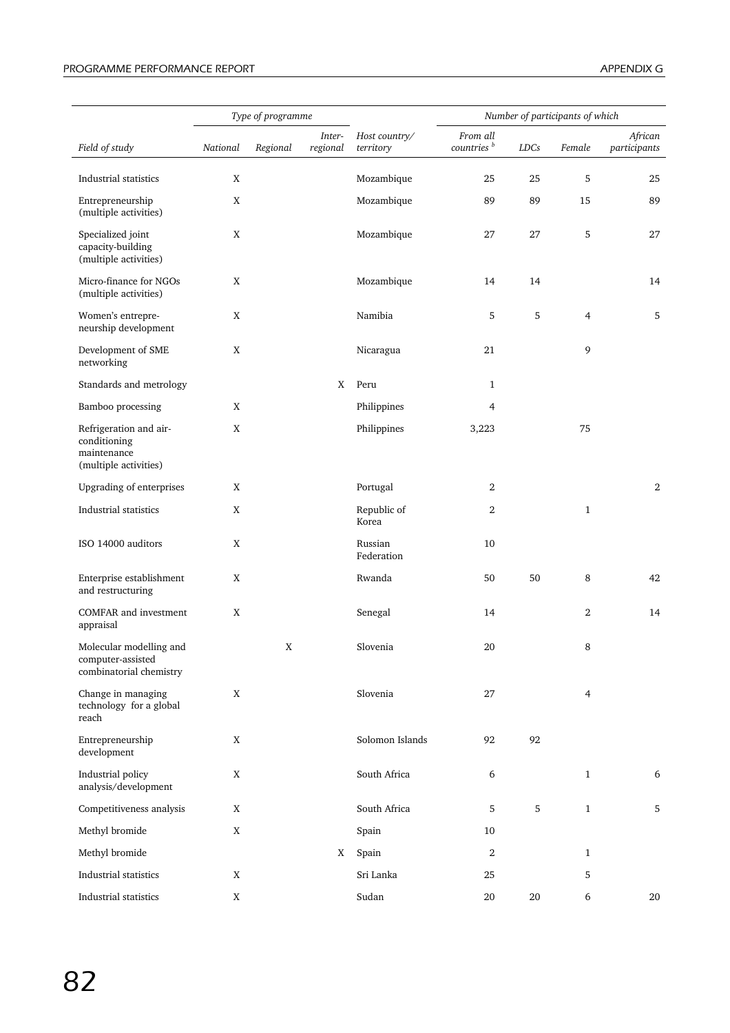|                                                                                |             | Type of programme |                    |                            |                                    |             | Number of participants of which |                         |
|--------------------------------------------------------------------------------|-------------|-------------------|--------------------|----------------------------|------------------------------------|-------------|---------------------------------|-------------------------|
| Field of study                                                                 | National    | Regional          | Inter-<br>regional | Host country/<br>territory | From all<br>countries <sup>b</sup> | LDCs        | Female                          | African<br>participants |
| Industrial statistics                                                          | X           |                   |                    | Mozambique                 | 25                                 | 25          | 5                               | 25                      |
| Entrepreneurship<br>(multiple activities)                                      | X           |                   |                    | Mozambique                 | 89                                 | 89          | 15                              | 89                      |
| Specialized joint<br>capacity-building<br>(multiple activities)                | X           |                   |                    | Mozambique                 | 27                                 | 27          | 5                               | 27                      |
| Micro-finance for NGOs<br>(multiple activities)                                | X           |                   |                    | Mozambique                 | 14                                 | 14          |                                 | 14                      |
| Women's entrepre-<br>neurship development                                      | X           |                   |                    | Namibia                    | 5                                  | $\mathbf 5$ | $\overline{4}$                  | 5                       |
| Development of SME<br>networking                                               | $\mathbf X$ |                   |                    | Nicaragua                  | 21                                 |             | 9                               |                         |
| Standards and metrology                                                        |             |                   | X                  | Peru                       | 1                                  |             |                                 |                         |
| Bamboo processing                                                              | X           |                   |                    | Philippines                | 4                                  |             |                                 |                         |
| Refrigeration and air-<br>conditioning<br>maintenance<br>(multiple activities) | X           |                   |                    | Philippines                | 3,223                              |             | 75                              |                         |
| Upgrading of enterprises                                                       | X           |                   |                    | Portugal                   | 2                                  |             |                                 | 2                       |
| Industrial statistics                                                          | X           |                   |                    | Republic of<br>Korea       | $\mathbf{2}$                       |             | $\mathbf{1}$                    |                         |
| ISO 14000 auditors                                                             | X           |                   |                    | Russian<br>Federation      | 10                                 |             |                                 |                         |
| Enterprise establishment<br>and restructuring                                  | $\mathbf X$ |                   |                    | Rwanda                     | 50                                 | 50          | 8                               | 42                      |
| <b>COMFAR</b> and investment<br>appraisal                                      | X           |                   |                    | Senegal                    | 14                                 |             | 2                               | 14                      |
| Molecular modelling and<br>computer-assisted<br>combinatorial chemistry        |             | X                 |                    | Slovenia                   | 20                                 |             | 8                               |                         |
| Change in managing<br>technology for a global<br>reach                         | X           |                   |                    | Slovenia                   | 27                                 |             | $\overline{4}$                  |                         |
| Entrepreneurship<br>development                                                | X           |                   |                    | Solomon Islands            | 92                                 | 92          |                                 |                         |
| Industrial policy<br>analysis/development                                      | X           |                   |                    | South Africa               | 6                                  |             | $\mathbf{1}$                    | 6                       |
| Competitiveness analysis                                                       | $\mathbf X$ |                   |                    | South Africa               | 5                                  | $\sqrt{5}$  | $\mathbf{1}$                    | 5                       |
| Methyl bromide                                                                 | $\mathbf X$ |                   |                    | Spain                      | 10                                 |             |                                 |                         |
| Methyl bromide                                                                 |             |                   | X                  | Spain                      | $\,2$                              |             | $\mathbf{1}$                    |                         |
| Industrial statistics                                                          | X           |                   |                    | Sri Lanka                  | 25                                 |             | 5                               |                         |
| Industrial statistics                                                          | X           |                   |                    | Sudan                      | 20                                 | 20          | 6                               | 20                      |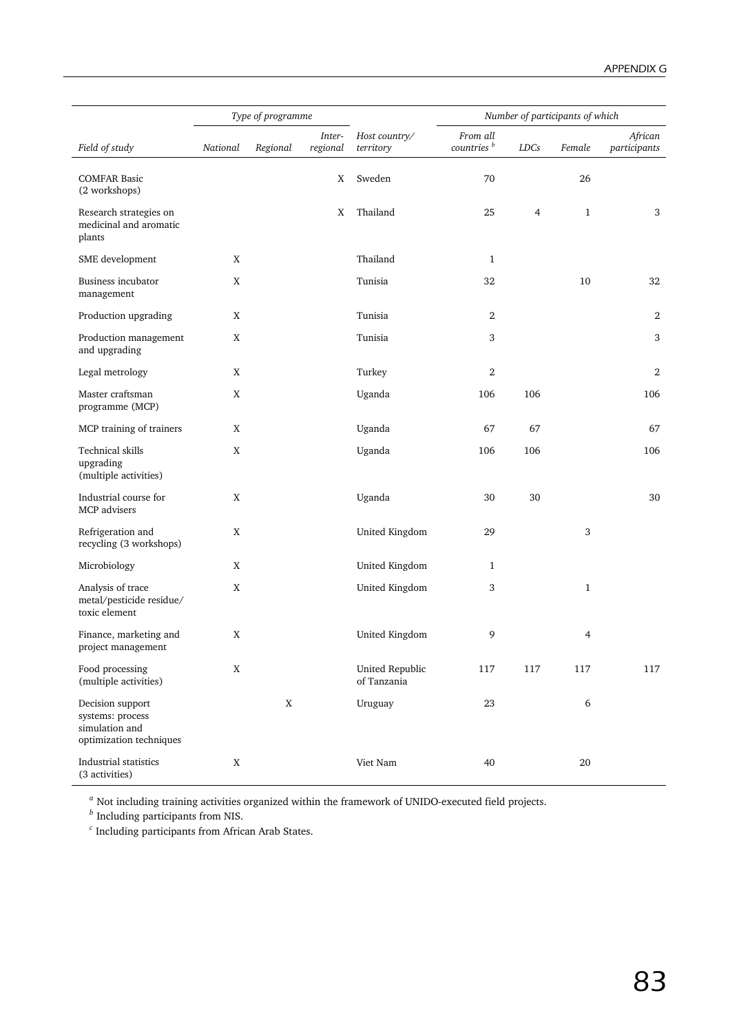|                                                                                   |          | Type of programme |                    |                                |                                    |                | Number of participants of which |                         |
|-----------------------------------------------------------------------------------|----------|-------------------|--------------------|--------------------------------|------------------------------------|----------------|---------------------------------|-------------------------|
| Field of study                                                                    | National | Regional          | Inter-<br>regional | Host country/<br>territory     | From all<br>countries <sup>b</sup> | LDCs           | Female                          | African<br>participants |
| <b>COMFAR Basic</b><br>(2 workshops)                                              |          |                   | X                  | Sweden                         | 70                                 |                | 26                              |                         |
| Research strategies on<br>medicinal and aromatic<br>plants                        |          |                   | X                  | Thailand                       | 25                                 | $\overline{4}$ | $\mathbf{1}$                    | 3                       |
| SME development                                                                   | X        |                   |                    | Thailand                       | $\mathbf{1}$                       |                |                                 |                         |
| <b>Business incubator</b><br>management                                           | X        |                   |                    | Tunisia                        | 32                                 |                | 10                              | 32                      |
| Production upgrading                                                              | X        |                   |                    | Tunisia                        | 2                                  |                |                                 | 2                       |
| Production management<br>and upgrading                                            | X        |                   |                    | Tunisia                        | 3                                  |                |                                 | 3                       |
| Legal metrology                                                                   | X        |                   |                    | Turkey                         | $\boldsymbol{2}$                   |                |                                 | 2                       |
| Master craftsman<br>programme (MCP)                                               | X        |                   |                    | Uganda                         | 106                                | 106            |                                 | 106                     |
| MCP training of trainers                                                          | X        |                   |                    | Uganda                         | 67                                 | 67             |                                 | 67                      |
| Technical skills<br>upgrading<br>(multiple activities)                            | X        |                   |                    | Uganda                         | 106                                | 106            |                                 | 106                     |
| Industrial course for<br>MCP advisers                                             | X        |                   |                    | Uganda                         | 30                                 | 30             |                                 | 30                      |
| Refrigeration and<br>recycling (3 workshops)                                      | X        |                   |                    | United Kingdom                 | 29                                 |                | 3                               |                         |
| Microbiology                                                                      | X        |                   |                    | United Kingdom                 | 1                                  |                |                                 |                         |
| Analysis of trace<br>metal/pesticide residue/<br>toxic element                    | X        |                   |                    | United Kingdom                 | 3                                  |                | $\mathbf{1}$                    |                         |
| Finance, marketing and<br>project management                                      | X        |                   |                    | United Kingdom                 | 9                                  |                | 4                               |                         |
| Food processing<br>(multiple activities)                                          | X        |                   |                    | United Republic<br>of Tanzania | 117                                | 117            | 117                             | 117                     |
| Decision support<br>systems: process<br>simulation and<br>optimization techniques |          | X                 |                    | Uruguay                        | 23                                 |                | $\boldsymbol{6}$                |                         |
| Industrial statistics<br>(3 activities)                                           | X        |                   |                    | Viet Nam                       | 40                                 |                | $20\,$                          |                         |

*<sup>a</sup>* Not including training activities organized within the framework of UNIDO-executed field projects.

*<sup>b</sup>* Including participants from NIS.

*<sup>c</sup>* Including participants from African Arab States.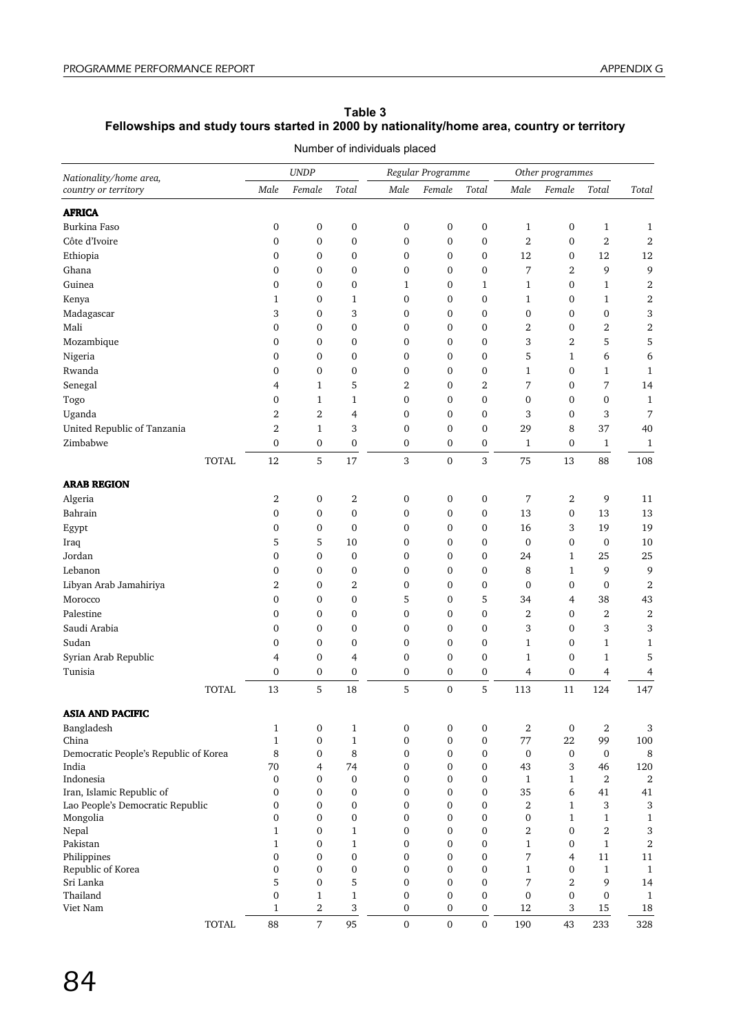## **Table 3 Fellowships and study tours started in 2000 by nationality/home area, country or territory**

| Nationality/home area,                |                        | <b>UNDP</b>           |                        |                  | Regular Programme                |                       |                       | Other programmes  |                        |                       |
|---------------------------------------|------------------------|-----------------------|------------------------|------------------|----------------------------------|-----------------------|-----------------------|-------------------|------------------------|-----------------------|
| country or territory                  | Male                   | Female                | Total                  | Male             | Female                           | Total                 | Male                  | Female            | Total                  | Total                 |
| <b>AFRICA</b>                         |                        |                       |                        |                  |                                  |                       |                       |                   |                        |                       |
| Burkina Faso                          | $\boldsymbol{0}$       | $\boldsymbol{0}$      | $\boldsymbol{0}$       | 0                | 0                                | 0                     | $\mathbf{1}$          | 0                 | $\mathbf{1}$           | $\mathbf 1$           |
| Côte d'Ivoire                         | $\mathbf{0}$           | $\boldsymbol{0}$      | 0                      | $\boldsymbol{0}$ | 0                                | 0                     | $\overline{2}$        | 0                 | $\overline{2}$         | $\boldsymbol{2}$      |
| Ethiopia                              | 0                      | $\boldsymbol{0}$      | 0                      | 0                | 0                                | 0                     | 12                    | 0                 | 12                     | 12                    |
| Ghana                                 | $\mathbf{0}$           | $\boldsymbol{0}$      | $\boldsymbol{0}$       | 0                | 0                                | 0                     | 7                     | $\overline{2}$    | 9                      | 9                     |
| Guinea                                | $\mathbf{0}$           | $\boldsymbol{0}$      | $\boldsymbol{0}$       | 1                | 0                                | $\mathbf{1}$          | $\mathbf{1}$          | 0                 | $\mathbf{1}$           | $\boldsymbol{2}$      |
| Kenya                                 | $\mathbf{1}$           | $\boldsymbol{0}$      | 1                      | 0                | $\mathbf{0}$                     | 0                     | $\mathbf{1}$          | 0                 | $\mathbf{1}$           | $\boldsymbol{2}$      |
| Madagascar                            | 3                      | $\boldsymbol{0}$      | 3                      | 0                | 0                                | $\mathbf{0}$          | $\boldsymbol{0}$      | 0                 | 0                      | 3                     |
| Mali                                  | $\mathbf{0}$           | 0                     | 0                      | 0                | $\mathbf{0}$                     | 0                     | 2                     | 0                 | $\boldsymbol{2}$       | $\boldsymbol{2}$      |
| Mozambique                            | $\mathbf{0}$           | 0                     | 0                      | 0                | 0                                | 0                     | 3                     | 2                 | 5                      | 5                     |
| Nigeria                               | $\mathbf{0}$           | 0                     | $\boldsymbol{0}$       | 0                | 0                                | 0                     | 5                     | $\mathbf{1}$      | 6                      | 6                     |
| Rwanda                                | 0                      | $\boldsymbol{0}$      | $\boldsymbol{0}$       | 0                | 0                                | 0                     | $\mathbf{1}$          | 0                 | $\mathbf{1}$           | $\mathbf{1}$          |
| Senegal                               | 4                      | 1                     | 5                      | 2                | 0                                | $\overline{2}$        | 7                     | 0                 | 7                      | 14                    |
| Togo                                  | $\mathbf{0}$           | $\mathbf{1}$          | 1                      | $\boldsymbol{0}$ | 0                                | $\boldsymbol{0}$      | $\boldsymbol{0}$      | 0                 | $\boldsymbol{0}$       | $\mathbf{1}$          |
| Uganda                                | 2                      | 2                     | 4                      | 0                | 0                                | 0                     | 3                     | 0                 | 3                      | 7                     |
| United Republic of Tanzania           | 2                      | $\mathbf{1}$          | 3                      | 0                | 0                                | 0                     | 29                    | 8                 | 37                     | 40                    |
| Zimbabwe                              | $\boldsymbol{0}$       | $\boldsymbol{0}$      | $\boldsymbol{0}$       | 0                | $\boldsymbol{0}$                 | 0                     | $\mathbf{1}$          | 0                 | $\mathbf{1}$           | $\mathbf{1}$          |
| <b>TOTAL</b>                          | 12                     | 5                     | 17                     | 3                | $\mathbf{0}$                     | 3                     | 75                    | 13                | 88                     | 108                   |
| <b>ARAB REGION</b>                    |                        |                       |                        |                  |                                  |                       |                       |                   |                        |                       |
|                                       |                        |                       |                        |                  |                                  |                       |                       |                   |                        |                       |
| Algeria<br>Bahrain                    | 2<br>$\mathbf{0}$      | $\boldsymbol{0}$<br>0 | 2<br>$\boldsymbol{0}$  | 0<br>0           | 0<br>0                           | 0<br>$\boldsymbol{0}$ | 7<br>13               | 2<br>0            | 9<br>13                | 11<br>13              |
|                                       |                        |                       |                        |                  |                                  |                       |                       | 3                 |                        | 19                    |
| Egypt                                 | $\boldsymbol{0}$       | $\boldsymbol{0}$      | $\boldsymbol{0}$       | 0                | 0                                | 0                     | 16                    | 0                 | 19                     |                       |
| Iraq<br>Jordan                        | 5<br>$\mathbf{0}$      | 5                     | $10\,$                 | 0                | 0<br>$\mathbf 0$                 | 0                     | $\boldsymbol{0}$      |                   | 0                      | 10                    |
|                                       |                        | $\boldsymbol{0}$      | $\boldsymbol{0}$       | 0                |                                  | 0                     | 24                    | $\mathbf{1}$      | 25                     | 25                    |
| Lebanon                               | $\mathbf{0}$           | $\boldsymbol{0}$      | $\boldsymbol{0}$       | 0<br>0           | 0                                | 0<br>0                | 8<br>$\boldsymbol{0}$ | $\mathbf{1}$<br>0 | 9<br>$\boldsymbol{0}$  | 9<br>$\boldsymbol{2}$ |
| Libyan Arab Jamahiriya<br>Morocco     | 2<br>$\mathbf{0}$      | 0<br>$\boldsymbol{0}$ | 2<br>0                 | 5                | 0                                | 5                     | 34                    |                   | 38                     | 43                    |
|                                       |                        |                       |                        |                  | 0                                |                       |                       | 4                 |                        |                       |
| Palestine<br>Saudi Arabia             | 0                      | 0                     | $\boldsymbol{0}$       | 0                | 0                                | $\boldsymbol{0}$      | 2<br>3                | 0                 | $\,2$                  | $\boldsymbol{2}$      |
|                                       | $\boldsymbol{0}$       | $\boldsymbol{0}$      | $\boldsymbol{0}$       | 0                | 0                                | 0                     |                       | 0                 | 3                      | 3                     |
| Sudan                                 | $\boldsymbol{0}$       | $\boldsymbol{0}$      | 0                      | 0                | 0                                | 0                     | $\mathbf{1}$          | 0                 | $\mathbf{1}$           | $\mathbf{1}$          |
| Syrian Arab Republic<br>Tunisia       | 4                      | 0                     | 4                      | 0                | 0                                | 0                     | $\mathbf{1}$          | 0                 | $\mathbf{1}$           | 5                     |
| <b>TOTAL</b>                          | $\boldsymbol{0}$<br>13 | 0<br>5                | 0<br>18                | 0<br>5           | $\boldsymbol{0}$<br>$\mathbf{0}$ | 0<br>5                | 4<br>113              | 0<br>11           | 4<br>124               | 4<br>147              |
|                                       |                        |                       |                        |                  |                                  |                       |                       |                   |                        |                       |
| <b>ASIA AND PACIFIC</b>               |                        |                       |                        |                  |                                  |                       |                       |                   |                        |                       |
| Bangladesh                            | $\mathbf{1}$           | $\boldsymbol{0}$      | $\mathbf{1}$           | 0                | 0                                | $\boldsymbol{0}$      | $\overline{2}$        | 0                 | $\boldsymbol{2}$       | 3                     |
| China                                 | $\mathbf{1}$           | $\boldsymbol{0}$      | $\mathbf{1}$           | $\boldsymbol{0}$ | $\boldsymbol{0}$                 | $\boldsymbol{0}$      | 77                    | 22                | 99                     | 100                   |
| Democratic People's Republic of Korea | 8                      | 0                     | 8                      | 0                | 0                                | 0                     | $\mathbf 0$           | 0                 | $\boldsymbol{0}$       | 8                     |
| India<br>Indonesia                    | 70<br>$\boldsymbol{0}$ | 4<br>$\boldsymbol{0}$ | 74<br>$\boldsymbol{0}$ | 0<br>0           | 0<br>0                           | 0<br>0                | 43<br>$\mathbf{1}$    | 3<br>$\mathbf{1}$ | 46<br>$\boldsymbol{2}$ | 120                   |
| Iran, Islamic Republic of             | $\boldsymbol{0}$       | 0                     | $\boldsymbol{0}$       | 0                | $\boldsymbol{0}$                 | $\boldsymbol{0}$      | 35                    | 6                 | 41                     | 2<br>41               |
| Lao People's Democratic Republic      | $\boldsymbol{0}$       | 0                     | $\boldsymbol{0}$       | 0                | $\boldsymbol{0}$                 | 0                     | $\boldsymbol{2}$      | $\mathbf{1}$      | 3                      | 3                     |
| Mongolia                              | 0                      | $\boldsymbol{0}$      | $\boldsymbol{0}$       | 0                | $\boldsymbol{0}$                 | $\boldsymbol{0}$      | $\boldsymbol{0}$      | $\mathbf{1}$      | $\mathbf{1}$           | $\mathbf{1}$          |
| Nepal                                 | $\mathbf{1}$           | 0                     | $\mathbf{1}$           | 0                | $\boldsymbol{0}$                 | 0                     | 2                     | 0                 | $\,2$                  | 3                     |
| Pakistan                              | $\mathbf{1}$           | $\boldsymbol{0}$      | $\mathbf{1}$           | 0                | $\boldsymbol{0}$                 | 0                     | 1                     | 0                 | $\mathbf{1}$           | $\boldsymbol{2}$      |
| Philippines                           | $\boldsymbol{0}$       | $\boldsymbol{0}$      | $\boldsymbol{0}$       | 0                | 0                                | 0                     | 7                     | 4                 | 11                     | 11                    |
| Republic of Korea                     | $\boldsymbol{0}$       | $\boldsymbol{0}$      | $\boldsymbol{0}$       | 0                | $\boldsymbol{0}$                 | 0                     | $\mathbf{1}$          | 0                 | $\mathbf{1}$           | $\mathbf{1}$          |
| Sri Lanka                             | 5                      | $\boldsymbol{0}$      | 5                      | 0                | $\boldsymbol{0}$                 | 0                     | 7                     | $\boldsymbol{2}$  | 9                      | 14                    |
| Thailand                              | $\mathbf 0$            | $\mathbf{1}$          | $\mathbf{1}$           | 0                | $\boldsymbol{0}$                 | 0                     | $\boldsymbol{0}$      | 0                 | 0                      | $\mathbf{1}$          |
| Viet Nam                              | $\mathbf{1}$           | $\boldsymbol{2}$      | 3                      | 0                | $\boldsymbol{0}$                 | 0                     | 12                    | 3                 | 15                     | 18                    |
| <b>TOTAL</b>                          | 88                     | $\boldsymbol{7}$      | 95                     | 0                | $\mathbf 0$                      | $\mathbf 0$           | 190                   | 43                | 233                    | 328                   |

Number of individuals placed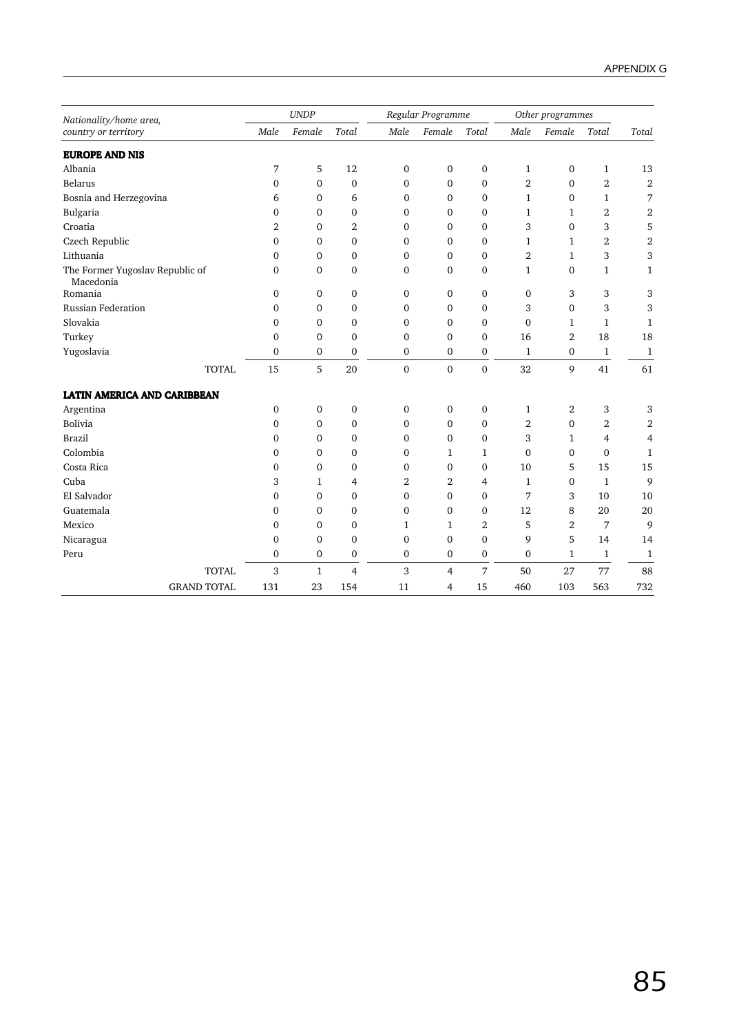| Nationality/home area,                       |                | <b>UNDP</b>      |                  |                  | Regular Programme |                  |                | Other programmes |                  |                  |
|----------------------------------------------|----------------|------------------|------------------|------------------|-------------------|------------------|----------------|------------------|------------------|------------------|
| country or territory                         | Male           | Female           | Total            | Male             | Female            | Total            | Male           | Female           | Total            | Total            |
| <b>EUROPE AND NIS</b>                        |                |                  |                  |                  |                   |                  |                |                  |                  |                  |
| Albania                                      | 7              | 5                | 12               | $\boldsymbol{0}$ | $\boldsymbol{0}$  | $\boldsymbol{0}$ | $\mathbf{1}$   | 0                | $\mathbf{1}$     | 13               |
| <b>Belarus</b>                               | 0              | 0                | $\boldsymbol{0}$ | $\boldsymbol{0}$ | $\mathbf{0}$      | $\mathbf 0$      | $\overline{2}$ | $\mathbf 0$      | $\boldsymbol{2}$ | $\boldsymbol{2}$ |
| Bosnia and Herzegovina                       | 6              | 0                | 6                | $\mathbf{0}$     | $\mathbf{0}$      | 0                | 1              | $\mathbf 0$      | 1                | 7                |
| Bulgaria                                     | 0              | 0                | 0                | $\mathbf{0}$     | 0                 | 0                | 1              | 1                | 2                | $\boldsymbol{2}$ |
| Croatia                                      | $\overline{2}$ | 0                | $\overline{2}$   | $\mathbf{0}$     | $\mathbf{0}$      | 0                | 3              | $\mathbf 0$      | 3                | 5                |
| Czech Republic                               | 0              | 0                | $\boldsymbol{0}$ | $\mathbf 0$      | $\mathbf{0}$      | 0                | 1              | $\mathbf 1$      | 2                | $\overline{2}$   |
| Lithuania                                    | 0              | $\mathbf{0}$     | $\mathbf{0}$     | $\mathbf{0}$     | $\mathbf{0}$      | 0                | $\overline{2}$ | $\mathbf{1}$     | 3                | 3                |
| The Former Yugoslav Republic of<br>Macedonia | 0              | 0                | $\mathbf 0$      | $\mathbf{0}$     | $\mathbf{0}$      | $\mathbf 0$      | $\mathbf{1}$   | $\mathbf{0}$     | $\mathbf{1}$     | 1                |
| Romania                                      | 0              | 0                | $\boldsymbol{0}$ | $\mathbf{0}$     | $\mathbf{0}$      | 0                | $\mathbf{0}$   | 3                | 3                | 3                |
| Russian Federation                           | 0              | 0                | 0                | $\mathbf 0$      | 0                 | 0                | 3              | $\mathbf{0}$     | 3                | 3                |
| Slovakia                                     | $\Omega$       | 0                | $\mathbf{0}$     | $\mathbf{0}$     | $\Omega$          | $\Omega$         | $\mathbf{0}$   | $\mathbf{1}$     | $\mathbf{1}$     | 1                |
| Turkey                                       | 0              | 0                | 0                | $\mathbf 0$      | $\mathbf{0}$      | $\mathbf 0$      | 16             | $\overline{2}$   | 18               | 18               |
| Yugoslavia                                   | $\mathbf 0$    | 0                | $\boldsymbol{0}$ | $\mathbf{0}$     | $\boldsymbol{0}$  | 0                | $\mathbf{1}$   | $\boldsymbol{0}$ | $\mathbf{1}$     | $\mathbf{1}$     |
| <b>TOTAL</b>                                 | 15             | 5                | 20               | $\mathbf{0}$     | $\mathbf{0}$      | $\overline{0}$   | 32             | 9                | 41               | 61               |
| <b>LATIN AMERICA AND CARIBBEAN</b>           |                |                  |                  |                  |                   |                  |                |                  |                  |                  |
| Argentina                                    | $\mathbf 0$    | 0                | $\boldsymbol{0}$ | $\mathbf 0$      | $\mathbf{0}$      | $\boldsymbol{0}$ | $\mathbf{1}$   | 2                | 3                | 3                |
| Bolivia                                      | 0              | 0                | 0                | $\mathbf{0}$     | $\mathbf{0}$      | $\mathbf 0$      | 2              | 0                | 2                | 2                |
| <b>Brazil</b>                                | 0              | 0                | $\mathbf{0}$     | $\mathbf{0}$     | $\mathbf{0}$      | 0                | 3              | $\mathbf{1}$     | 4                | 4                |
| Colombia                                     | 0              | 0                | 0                | $\mathbf 0$      | 1                 | $\mathbf{1}$     | $\mathbf{0}$   | $\boldsymbol{0}$ | 0                | 1                |
| Costa Rica                                   | 0              | $\mathbf{0}$     | $\mathbf 0$      | $\mathbf{0}$     | $\mathbf{0}$      | 0                | 10             | 5                | 15               | 15               |
| Cuba                                         | 3              | 1                | 4                | $\overline{2}$   | 2                 | 4                | 1              | 0                | $\mathbf{1}$     | 9                |
| El Salvador                                  | 0              | $\mathbf{0}$     | $\mathbf 0$      | $\mathbf{0}$     | $\mathbf{0}$      | $\mathbf{0}$     | 7              | 3                | 10               | 10               |
| Guatemala                                    | 0              | 0                | 0                | $\mathbf{0}$     | $\mathbf{0}$      | $\mathbf 0$      | 12             | 8                | 20               | 20               |
| Mexico                                       | $\mathbf 0$    | $\mathbf{0}$     | $\mathbf{0}$     | $\mathbf{1}$     | $\mathbf{1}$      | $\overline{2}$   | 5              | $\overline{2}$   | 7                | 9                |
| Nicaragua                                    | $\mathbf 0$    | 0                | 0                | $\mathbf{0}$     | $\mathbf{0}$      | $\mathbf{0}$     | 9              | 5                | 14               | 14               |
| Peru                                         | $\mathbf 0$    | $\boldsymbol{0}$ | $\boldsymbol{0}$ | $\boldsymbol{0}$ | $\mathbf{0}$      | $\boldsymbol{0}$ | $\mathbf{0}$   | $\mathbf{1}$     | $\mathbf{1}$     | $\mathbf{1}$     |
| <b>TOTAL</b>                                 | 3              | $\mathbf{1}$     | $\overline{4}$   | 3                | $\overline{4}$    | 7                | 50             | 27               | 77               | 88               |
| <b>GRAND TOTAL</b>                           | 131            | 23               | 154              | 11               | 4                 | 15               | 460            | 103              | 563              | 732              |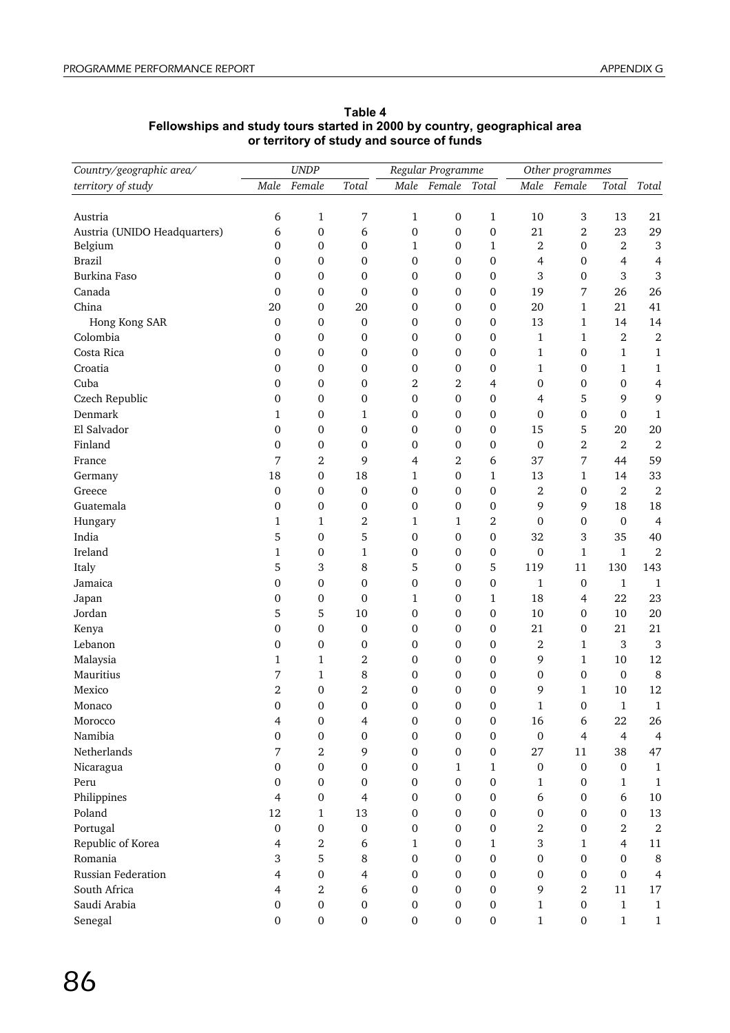| Country/geographic area/     |                          | <b>UNDP</b>      |                  |                  | Regular Programme |                  | Other programmes |                  |                   |                  |
|------------------------------|--------------------------|------------------|------------------|------------------|-------------------|------------------|------------------|------------------|-------------------|------------------|
| territory of study           | Male                     | Female           | Total            |                  | Male Female       | Total            | Male             | Female           | Total             | Total            |
|                              |                          |                  |                  |                  |                   |                  |                  |                  |                   |                  |
| Austria                      | 6                        | $\mathbf{1}$     | 7                | 1                | $\boldsymbol{0}$  | 1                | $10\,$           | 3                | 13                | 21               |
| Austria (UNIDO Headquarters) | 6                        | 0                | 6                | 0                | $\boldsymbol{0}$  | $\boldsymbol{0}$ | 21               | $\boldsymbol{2}$ | 23                | 29               |
| Belgium                      | $\boldsymbol{0}$         | 0                | 0                | $\mathbf{1}$     | 0                 | 1                | $\boldsymbol{2}$ | $\boldsymbol{0}$ | $\overline{2}$    | $\mathbf{3}$     |
| <b>Brazil</b>                | 0                        | 0                | 0                | 0                | 0                 | $\boldsymbol{0}$ | 4                | 0                | 4                 | 4                |
| Burkina Faso                 | 0                        | 0                | 0                | 0                | 0                 | 0                | 3                | 0                | 3                 | $\,3$            |
| Canada                       | $\mathbf{0}$             | 0                | $\boldsymbol{0}$ | 0                | 0                 | $\boldsymbol{0}$ | 19               | 7                | 26                | 26               |
| China                        | 20                       | 0                | 20               | 0                | 0                 | $\mathbf 0$      | 20               | $\mathbf{1}$     | 21                | 41               |
| Hong Kong SAR                | $\boldsymbol{0}$         | 0                | $\boldsymbol{0}$ | 0                | 0                 | $\mathbf 0$      | 13               | 1                | 14                | 14               |
| Colombia                     | 0                        | 0                | 0                | 0                | 0                 | 0                | $\mathbf{1}$     | $\mathbf{1}$     | $\boldsymbol{2}$  | $\overline{2}$   |
| Costa Rica                   | 0                        | $\boldsymbol{0}$ | $\boldsymbol{0}$ | 0                | 0                 | $\mathbf 0$      | 1                | $\boldsymbol{0}$ | 1                 | $\mathbf{1}$     |
| Croatia                      | 0                        | 0                | $\boldsymbol{0}$ | 0                | 0                 | $\boldsymbol{0}$ | 1                | 0                | 1                 | $\mathbf{1}$     |
| Cuba                         | $\mathbf 0$              | 0                | $\boldsymbol{0}$ | $\overline{2}$   | 2                 | 4                | $\boldsymbol{0}$ | $\mathbf{0}$     | $\mathbf 0$       | $\overline{4}$   |
| Czech Republic               | 0                        | $\mathbf 0$      | 0                | 0                | 0                 | $\boldsymbol{0}$ | 4                | 5                | 9                 | 9                |
| Denmark                      | 1                        | 0                | $\mathbf{1}$     | 0                | 0                 | $\boldsymbol{0}$ | 0                | 0                | $\boldsymbol{0}$  | $\mathbf{1}$     |
| El Salvador                  | $\mathbf 0$              | 0                | 0                | 0                | 0                 | 0                | 15               | 5                | 20                | $20\,$           |
| Finland                      | 0                        | 0                | 0                | 0                | 0                 | $\mathbf 0$      | $\boldsymbol{0}$ | $\boldsymbol{2}$ | $\overline{2}$    | $\overline{2}$   |
| France                       | 7                        | 2                | 9                | $\overline{4}$   | 2                 | 6                | 37               | 7                | 44                | 59               |
| Germany                      | 18                       | 0                | 18               | 1                | 0                 | 1                | 13               | $\mathbf{1}$     | 14                | 33               |
| Greece                       | $\mathbf 0$              | 0                | $\boldsymbol{0}$ | 0                | $\mathbf 0$       | $\mathbf{0}$     | $\boldsymbol{2}$ | 0                | $\overline{2}$    | $\sqrt{2}$       |
| Guatemala                    | 0                        | 0                | 0                | 0                | 0                 | $\mathbf 0$      | 9                | 9                | 18                | 18               |
| Hungary                      | 1                        | $\mathbf{1}$     | 2                | 1                | 1                 | 2                | $\mathbf{0}$     | 0                | $\boldsymbol{0}$  | $\overline{4}$   |
| India                        | 5                        | 0                | 5                | 0                | 0                 | $\boldsymbol{0}$ | 32               | 3                | 35                | 40               |
| Ireland                      | 1                        | 0                | 1                | 0                | 0                 | $\boldsymbol{0}$ | $\mathbf{0}$     | $\mathbf{1}$     | $\mathbf{1}$      | $\overline{2}$   |
| Italy                        | 5                        | 3                | 8                | 5                | 0                 | 5                | 119              | 11               | 130               | 143              |
| Jamaica                      | $\mathbf 0$              | $\mathbf 0$      | $\boldsymbol{0}$ | 0                | $\boldsymbol{0}$  | $\boldsymbol{0}$ | $\mathbf{1}$     | 0                | $\mathbf{1}$      | $\mathbf{1}$     |
| Japan                        | 0                        | $\boldsymbol{0}$ | 0                | $\mathbf{1}$     | 0                 | 1                | 18               | 4                | 22                | 23               |
| Jordan                       | 5                        | 5                | 10               | 0                | 0                 | $\boldsymbol{0}$ | 10               | 0                | 10                | 20               |
| Kenya                        | $\boldsymbol{0}$         | $\mathbf 0$      | $\boldsymbol{0}$ | 0                | 0                 | $\mathbf 0$      | 21               | 0                | 21                | 21               |
| Lebanon                      | 0                        | 0                | $\mathbf 0$      | 0                | 0                 | $\mathbf 0$      | 2                | $\mathbf{1}$     | 3                 | 3                |
| Malaysia                     | $\mathbf{1}$             | $\mathbf{1}$     | $\overline{2}$   | 0                | 0                 | $\mathbf 0$      | 9                | $\mathbf{1}$     | 10                | 12               |
| Mauritius                    | $\boldsymbol{7}$         | $\mathbf{1}$     | 8                | 0                | $\mathbf 0$       | $\mathbf{0}$     | 0                | 0                | $\mathbf 0$       | $\,8\,$          |
| Mexico                       | $\overline{2}$           | $\mathbf 0$      | 2                | 0                | $\mathbf 0$       | $\mathbf{0}$     | 9                | 1                | 10                | 12               |
| Monaco                       | $\Omega$                 | $\Omega$         | $\Omega$         | 0                | $\Omega$          | $\Omega$         | 1                | $\Omega$         | $\mathbf{1}$      | $\mathbf{1}$     |
| Morocco                      | 4                        | 0                | 4                | 0                | $\boldsymbol{0}$  | $\boldsymbol{0}$ | 16               | 6                | 22                | 26               |
| Namibia                      | $\mathbf 0$              | 0                | $\mathbf{0}$     | $\boldsymbol{0}$ | $\boldsymbol{0}$  | $\mathbf{0}$     | $\boldsymbol{0}$ | $\overline{4}$   | $\overline{4}$    | $\overline{4}$   |
| Netherlands                  | 7                        | $\overline{2}$   | 9                | 0                | $\mathbf{0}$      | 0                | 27               | $11\,$           | 38                | 47               |
| Nicaragua                    | $\boldsymbol{0}$         | 0                | $\mathbf{0}$     | 0                | 1                 | 1                | $\boldsymbol{0}$ | $\boldsymbol{0}$ | $\mathbf{0}$      | $\mathbf{1}$     |
| Peru                         | $\boldsymbol{0}$         | 0                | $\boldsymbol{0}$ | 0                | 0                 | $\boldsymbol{0}$ | 1                | 0                | 1                 | $\mathbf{1}$     |
|                              |                          |                  |                  |                  |                   |                  |                  |                  |                   |                  |
| Philippines<br>Poland        | $\overline{4}$<br>$12\,$ | 0                | 4<br>13          | 0                | $\boldsymbol{0}$  | $\mathbf 0$      | 6                | 0                | 6<br>$\mathbf{0}$ | $10\,$<br>13     |
|                              |                          | $\mathbf{1}$     |                  | 0                | $\boldsymbol{0}$  | $\boldsymbol{0}$ | $\boldsymbol{0}$ | 0                |                   |                  |
| Portugal                     | $\boldsymbol{0}$         | 0                | $\mathbf 0$      | 0                | $\mathbf 0$       | $\mathbf{0}$     | 2                | 0                | $\,2$             | $\boldsymbol{2}$ |
| Republic of Korea            | $\overline{4}$           | $\overline{2}$   | 6                | $\mathbf{1}$     | 0                 | 1                | 3                | 1                | $\overline{4}$    | 11               |
| Romania                      | 3                        | 5                | 8                | $\boldsymbol{0}$ | 0                 | $\mathbf{0}$     | $\mathbf{0}$     | 0                | 0                 | $\,8\,$          |
| Russian Federation           | 4                        | 0                | 4                | 0                | 0                 | $\mathbf{0}$     | $\mathbf{0}$     | 0                | $\mathbf{0}$      | $\overline{4}$   |
| South Africa                 | 4                        | $\overline{2}$   | 6                | 0                | 0                 | $\mathbf{0}$     | 9                | $\overline{2}$   | $11\,$            | $17\,$           |
| Saudi Arabia                 | $\boldsymbol{0}$         | $\boldsymbol{0}$ | $\mathbf{0}$     | $\boldsymbol{0}$ | $\boldsymbol{0}$  | $\mathbf{0}$     | 1                | $\boldsymbol{0}$ | $\mathbf{1}$      | $\mathbf{1}$     |
| Senegal                      | $\boldsymbol{0}$         | $\boldsymbol{0}$ | $\boldsymbol{0}$ | $\boldsymbol{0}$ | $\boldsymbol{0}$  | $\boldsymbol{0}$ | $\mathbf{1}$     | $\boldsymbol{0}$ | $\mathbf 1$       | $1\,$            |

#### **Table 4 Fellowships and study tours started in 2000 by country, geographical area or territory of study and source of funds**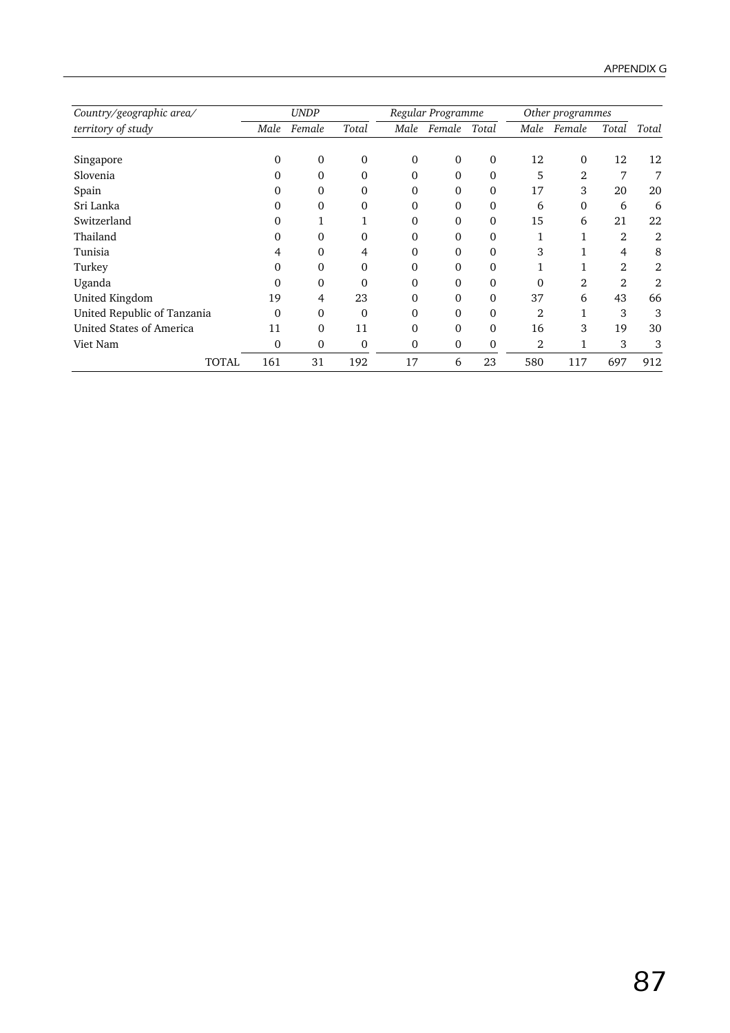| Country/geographic area/    |      | <b>UNDP</b>  |          |          | Regular Programme |              |                | Other programmes |                |       |
|-----------------------------|------|--------------|----------|----------|-------------------|--------------|----------------|------------------|----------------|-------|
| territory of study          | Male | Female       | Total    | Male     | Female            | Total        | Male           | Female           | Total          | Total |
| Singapore                   | 0    | $\mathbf{0}$ | $\Omega$ | $\Omega$ | $\Omega$          | $\Omega$     | 12             | $\Omega$         | 12             | 12    |
| Slovenia                    |      | 0            | 0        | 0        | 0                 | $\mathbf{0}$ | 5              | 2                | 7              | 7     |
| Spain                       |      | 0            | 0        | 0        | $\theta$          | 0            | 17             | 3                | 20             | 20    |
| Sri Lanka                   |      | 0            | 0        | 0        | $\Omega$          | 0            | 6              | $\Omega$         | 6              | 6     |
| Switzerland                 | 0    |              |          | $\Omega$ | 0                 | 0            | 15             | 6                | 21             | 22    |
| Thailand                    | 0    | 0            | 0        | $\Omega$ | 0                 | 0            |                |                  | $\overline{2}$ | 2     |
| Tunisia                     | 4    | 0            | 4        | $\Omega$ | $\Omega$          | 0            | 3              |                  | 4              | 8     |
| Turkey                      | 0    | 0            | 0        | $\Omega$ | $\theta$          | 0            |                |                  | $\overline{2}$ | 2     |
| Uganda                      | 0    | 0            | 0        | 0        | $\Omega$          | 0            | 0              | 2                | 2              | 2     |
| United Kingdom              | 19   | 4            | 23       | 0        | $\Omega$          | 0            | 37             | 6                | 43             | 66    |
| United Republic of Tanzania | 0    | 0            | $\Omega$ | 0        | $\Omega$          | 0            | $\overline{2}$ |                  | 3              | 3     |
| United States of America    | 11   | 0            | 11       | 0        | $\theta$          | 0            | 16             | 3                | 19             | 30    |
| Viet Nam                    | 0    | 0            | 0        | $\Omega$ | 0                 | 0            | 2              |                  | 3              | 3     |
| <b>TOTAL</b>                | 161  | 31           | 192      | 17       | 6                 | 23           | 580            | 117              | 697            | 912   |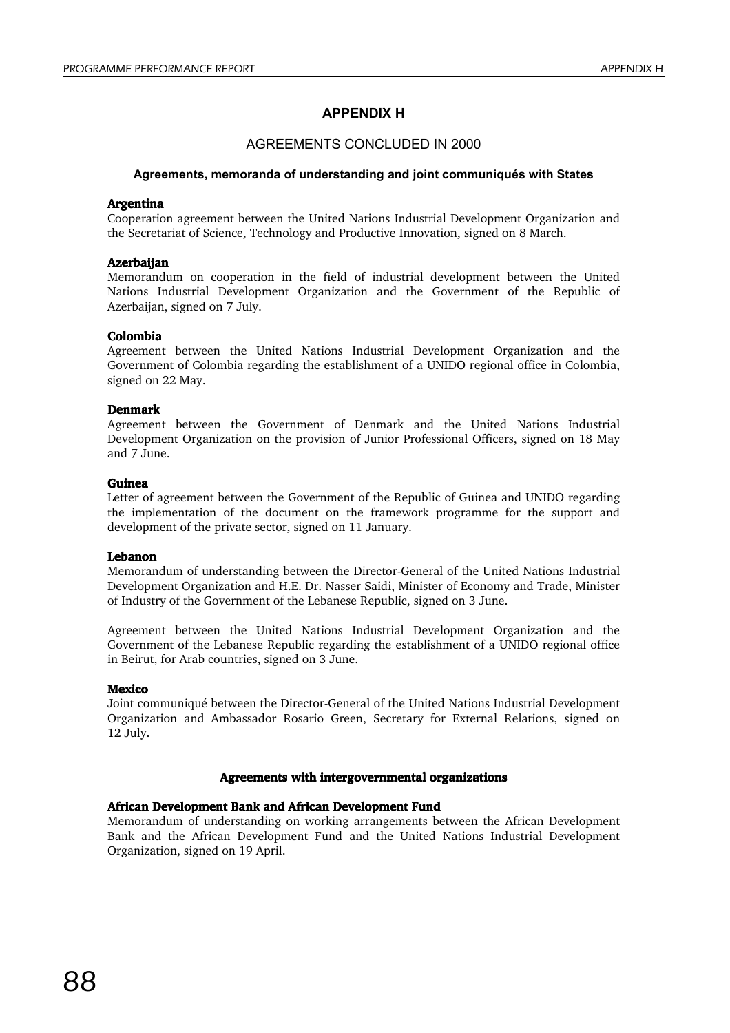## **APPENDIX H**

## AGREEMENTS CONCLUDED IN 2000

#### **Agreements, memoranda of understanding and joint communiqués with States**

#### Argentina

Cooperation agreement between the United Nations Industrial Development Organization and the Secretariat of Science, Technology and Productive Innovation, signed on 8 March.

#### **Azerbaijan**

Memorandum on cooperation in the field of industrial development between the United Nations Industrial Development Organization and the Government of the Republic of Azerbaijan, signed on 7 July.

#### Colombia

Agreement between the United Nations Industrial Development Organization and the Government of Colombia regarding the establishment of a UNIDO regional office in Colombia, signed on 22 May.

#### Denmark

Agreement between the Government of Denmark and the United Nations Industrial Development Organization on the provision of Junior Professional Officers, signed on 18 May and 7 June.

#### Guinea

Letter of agreement between the Government of the Republic of Guinea and UNIDO regarding the implementation of the document on the framework programme for the support and development of the private sector, signed on 11 January.

#### Lebanon

Memorandum of understanding between the Director-General of the United Nations Industrial Development Organization and H.E. Dr. Nasser Saidi, Minister of Economy and Trade, Minister of Industry of the Government of the Lebanese Republic, signed on 3 June.

Agreement between the United Nations Industrial Development Organization and the Government of the Lebanese Republic regarding the establishment of a UNIDO regional office in Beirut, for Arab countries, signed on 3 June.

#### **Mexico**

Joint communiqué between the Director-General of the United Nations Industrial Development Organization and Ambassador Rosario Green, Secretary for External Relations, signed on 12 July.

#### Agreements with intergovernmental organizations

#### African Development Bank and African Development Fund

Memorandum of understanding on working arrangements between the African Development Bank and the African Development Fund and the United Nations Industrial Development Organization, signed on 19 April.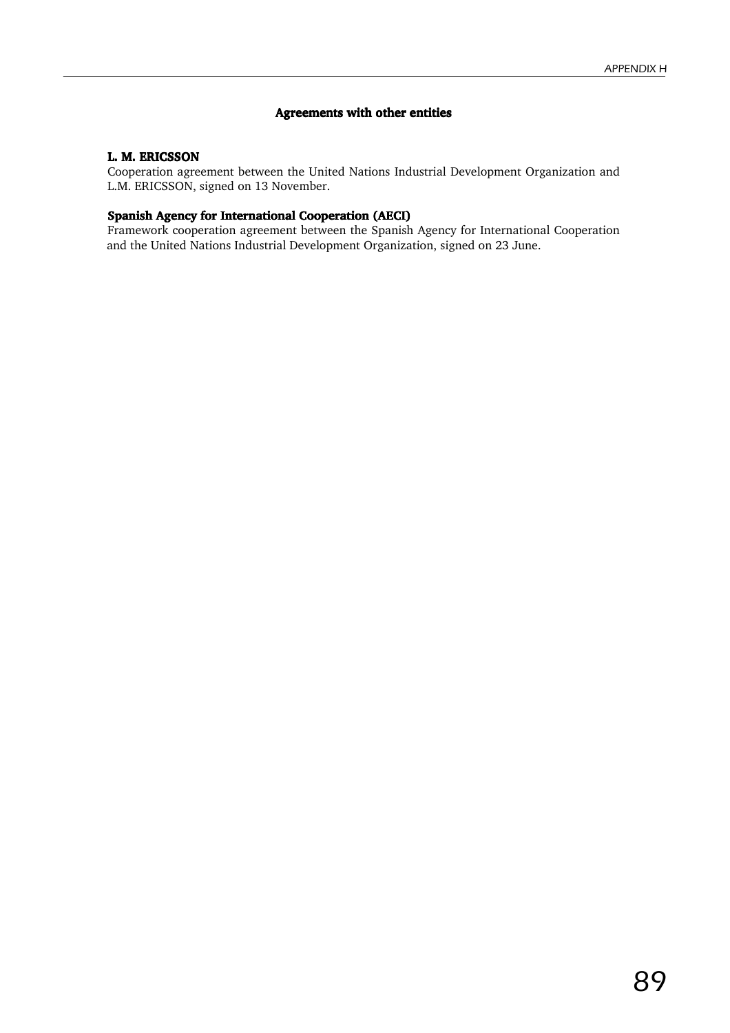#### Agreements with other entities

#### L. M. ERICSSON

Cooperation agreement between the United Nations Industrial Development Organization and L.M. ERICSSON, signed on 13 November.

#### Spanish Agency for International Cooperation (AECI)

Framework cooperation agreement between the Spanish Agency for International Cooperation and the United Nations Industrial Development Organization, signed on 23 June.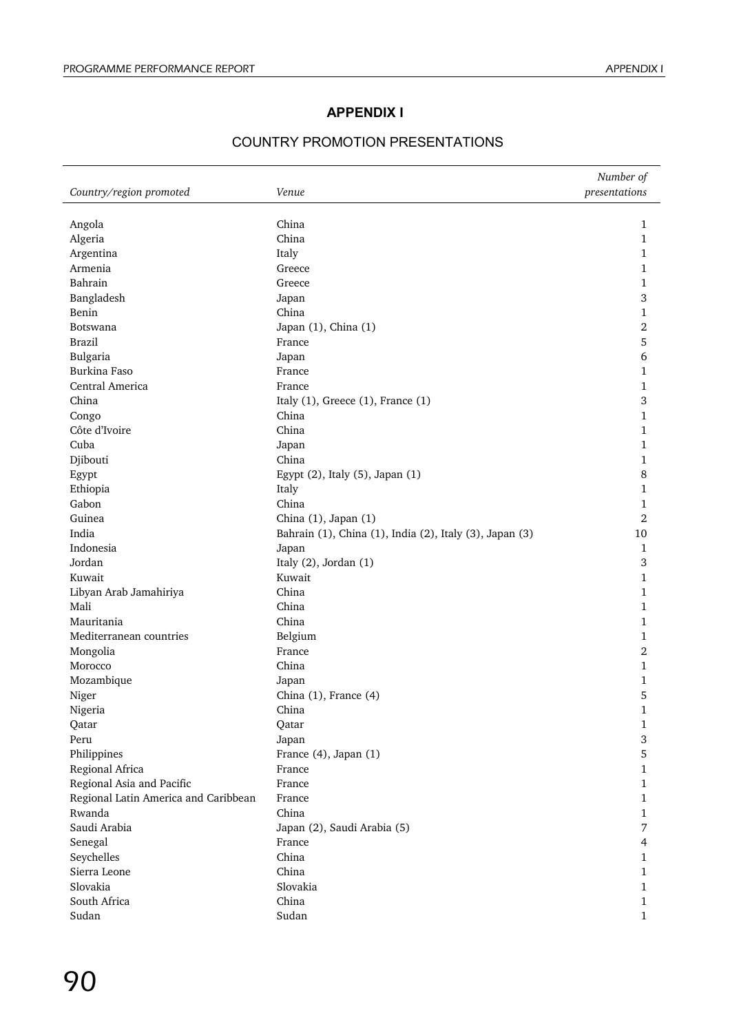## **APPENDIX I**

## COUNTRY PROMOTION PRESENTATIONS

|                                      |                                                         | Number of     |
|--------------------------------------|---------------------------------------------------------|---------------|
| Country/region promoted              | Venue                                                   | presentations |
|                                      |                                                         |               |
| Angola                               | China<br>China                                          | 1             |
| Algeria                              |                                                         | 1             |
| Argentina                            | Italy                                                   | 1             |
| Armenia                              | Greece                                                  | 1             |
| Bahrain                              | Greece                                                  | 1             |
| Bangladesh                           | Japan                                                   | 3             |
| Benin                                | China                                                   | 1             |
| Botswana                             | Japan (1), China (1)                                    | 2             |
| <b>Brazil</b>                        | France                                                  | 5             |
| Bulgaria                             | Japan                                                   | 6             |
| Burkina Faso                         | France                                                  | 1             |
| Central America                      | France                                                  | 1             |
| China                                | Italy $(1)$ , Greece $(1)$ , France $(1)$               | 3             |
| Congo                                | China                                                   | 1             |
| Côte d'Ivoire                        | China                                                   | 1             |
| Cuba                                 | Japan                                                   | 1             |
| Djibouti                             | China                                                   | 1             |
| Egypt                                | Egypt (2), Italy (5), Japan (1)                         | 8             |
| Ethiopia                             | Italy                                                   | 1             |
| Gabon                                | China                                                   | 1             |
| Guinea                               | China (1), Japan (1)                                    | 2             |
| India                                | Bahrain (1), China (1), India (2), Italy (3), Japan (3) | 10            |
| Indonesia                            | Japan                                                   | 1             |
| Jordan                               | Italy (2), Jordan (1)                                   | 3             |
| Kuwait                               | Kuwait                                                  | 1             |
| Libyan Arab Jamahiriya               | China                                                   | 1             |
| Mali                                 | China                                                   | 1             |
| Mauritania                           | China                                                   | 1             |
| Mediterranean countries              | Belgium                                                 | 1             |
| Mongolia                             | France                                                  | 2             |
| Morocco                              | China                                                   | 1             |
| Mozambique                           | Japan                                                   | 1             |
| Niger                                | China (1), France (4)                                   | 5             |
| Nigeria                              | China                                                   | 1             |
| Qatar                                | Qatar                                                   | 1             |
| Peru                                 | Japan                                                   | 3             |
| Philippines                          | France (4), Japan (1)                                   | 5             |
| Regional Africa                      | France                                                  | 1             |
| Regional Asia and Pacific            | France                                                  | 1             |
| Regional Latin America and Caribbean | France                                                  | 1             |
| Rwanda                               | China                                                   | 1             |
| Saudi Arabia                         | Japan (2), Saudi Arabia (5)                             | 7             |
| Senegal                              | France                                                  | 4             |
| Seychelles                           | China                                                   | 1             |
| Sierra Leone                         | China                                                   | 1             |
| Slovakia                             | Slovakia                                                | 1             |
| South Africa                         | China                                                   | 1             |
| Sudan                                | Sudan                                                   | 1             |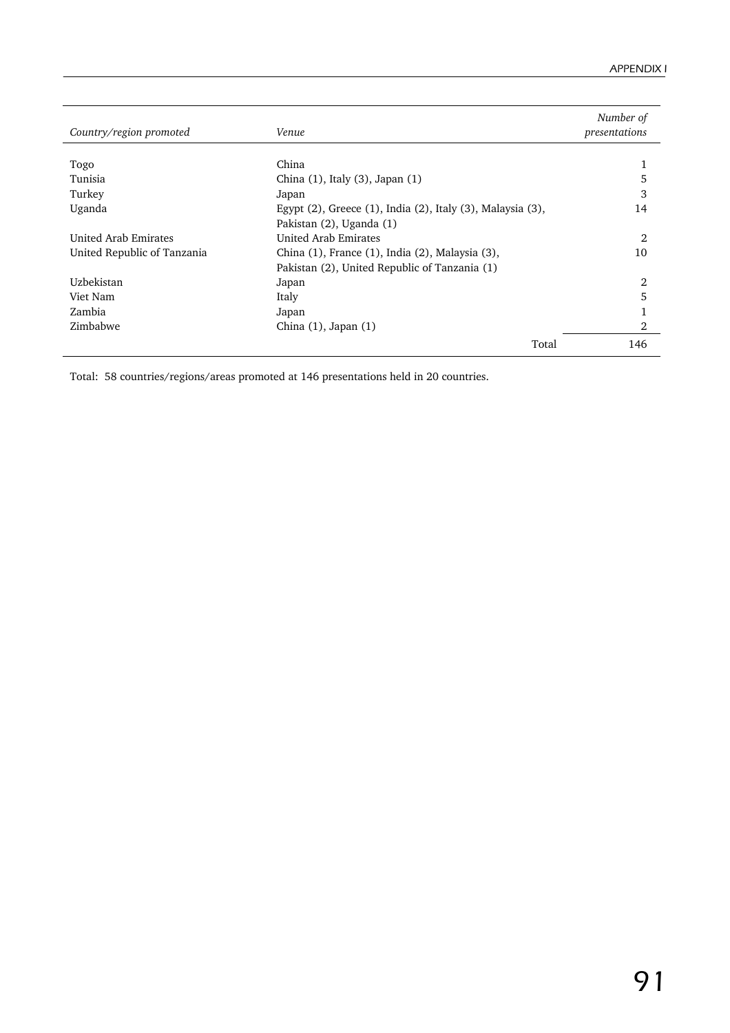| Country/region promoted     | Venue                                                      | Number of<br>presentations |
|-----------------------------|------------------------------------------------------------|----------------------------|
|                             |                                                            |                            |
| Togo                        | China                                                      |                            |
| Tunisia                     | China $(1)$ , Italy $(3)$ , Japan $(1)$                    | 5                          |
| Turkey                      | Japan                                                      | 3                          |
| Uganda                      | Egypt (2), Greece (1), India (2), Italy (3), Malaysia (3), | 14                         |
|                             | Pakistan (2), Uganda (1)                                   |                            |
| United Arab Emirates        | United Arab Emirates                                       | 2                          |
| United Republic of Tanzania | China (1), France (1), India (2), Malaysia (3),            | 10                         |
|                             | Pakistan (2), United Republic of Tanzania (1)              |                            |
| Uzbekistan                  | Japan                                                      | 2                          |
| Viet Nam                    | Italy                                                      | 5                          |
| Zambia                      | Japan                                                      |                            |
| Zimbabwe                    | China $(1)$ , Japan $(1)$                                  | 2                          |
|                             | Total                                                      | 146                        |

Total: 58 countries/regions/areas promoted at 146 presentations held in 20 countries.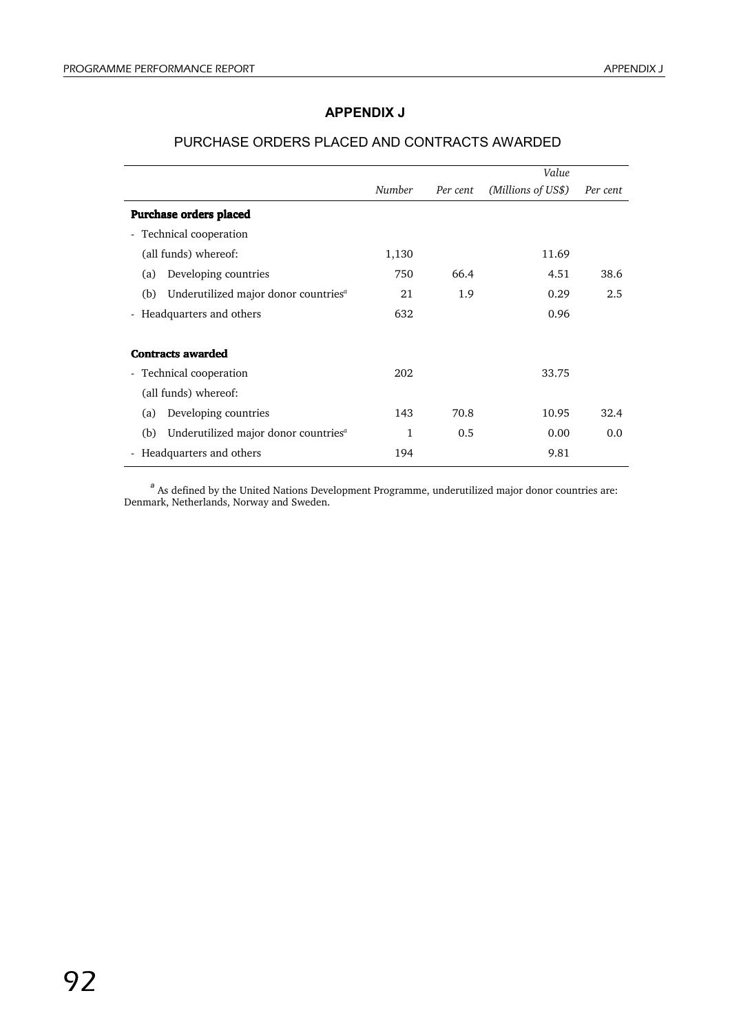## **APPENDIX J**

|                                                         |        |          | Value              |          |
|---------------------------------------------------------|--------|----------|--------------------|----------|
|                                                         | Number | Per cent | (Millions of US\$) | Per cent |
| <b>Purchase orders placed</b>                           |        |          |                    |          |
| - Technical cooperation                                 |        |          |                    |          |
| (all funds) whereof:                                    | 1,130  |          | 11.69              |          |
| Developing countries<br>(a)                             | 750    | 66.4     | 4.51               | 38.6     |
| Underutilized major donor countries <sup>a</sup><br>(b) | 21     | 1.9      | 0.29               | 2.5      |
| - Headquarters and others                               | 632    |          | 0.96               |          |
| <b>Contracts awarded</b>                                |        |          |                    |          |
| - Technical cooperation                                 | 202    |          | 33.75              |          |
| (all funds) whereof:                                    |        |          |                    |          |
| Developing countries<br>(a)                             | 143    | 70.8     | 10.95              | 32.4     |
| Underutilized major donor countries <sup>a</sup><br>(b) | 1      | 0.5      | 0.00               | 0.0      |
| - Headquarters and others                               | 194    |          | 9.81               |          |

## PURCHASE ORDERS PLACED AND CONTRACTS AWARDED

*<sup>a</sup>* As defined by the United Nations Development Programme, underutilized major donor countries are: Denmark, Netherlands, Norway and Sweden.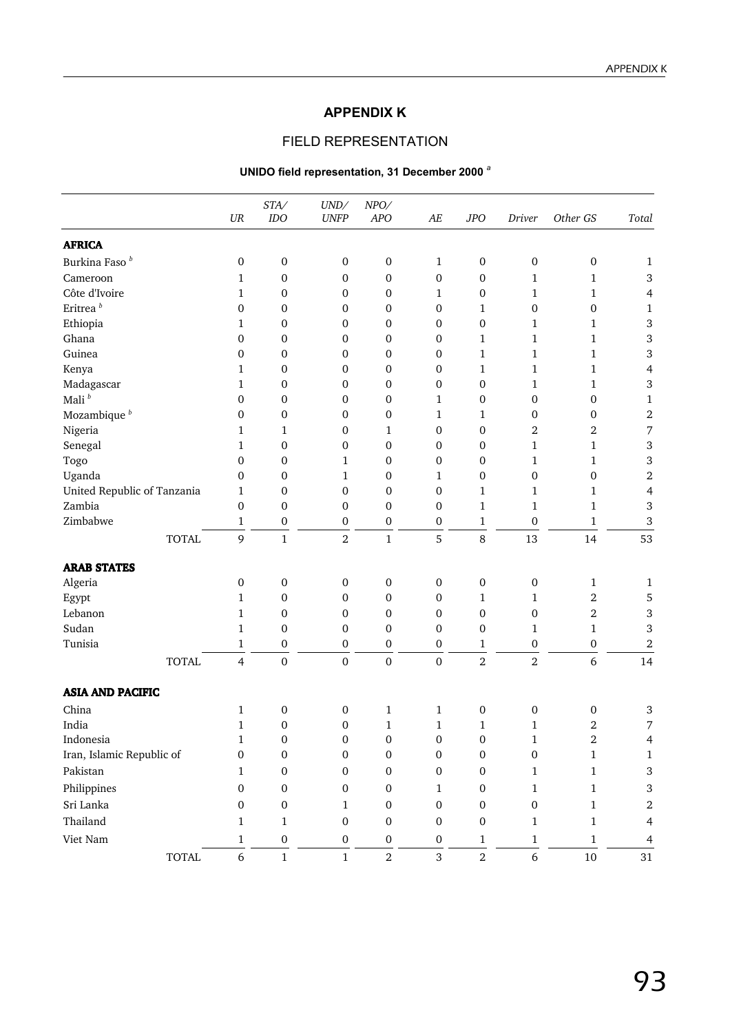## **APPENDIX K**

## FIELD REPRESENTATION

## **UNIDO field representation, 31 December 2000** *<sup>a</sup>*

|                             | $U\!R$           | STA/<br>IDO      | UND/<br><b>UNFP</b> | NPO/<br>APO      | AE               | <b>JPO</b>       | Driver           | Other GS                | Total          |
|-----------------------------|------------------|------------------|---------------------|------------------|------------------|------------------|------------------|-------------------------|----------------|
| <b>AFRICA</b>               |                  |                  |                     |                  |                  |                  |                  |                         |                |
| Burkina Faso <sup>b</sup>   | $\mathbf 0$      | $\boldsymbol{0}$ | $\boldsymbol{0}$    | 0                | $\mathbf{1}$     | $\boldsymbol{0}$ | $\mathbf 0$      | $\boldsymbol{0}$        | $\mathbf{1}$   |
| Cameroon                    | 1                | 0                | $\mathbf 0$         | 0                | $\boldsymbol{0}$ | $\boldsymbol{0}$ | 1                | 1                       | $\,3$          |
| Côte d'Ivoire               | 1                | $\boldsymbol{0}$ | $\boldsymbol{0}$    | 0                | 1                | 0                | 1                | 1                       | $\overline{4}$ |
| Eritrea $^{\mathit{b}}$     | 0                | $\boldsymbol{0}$ | 0                   | 0                | $\boldsymbol{0}$ | $\mathbf{1}$     | 0                | $\boldsymbol{0}$        | $\mathbf{1}$   |
| Ethiopia                    | $\mathbf{1}$     | $\boldsymbol{0}$ | $\boldsymbol{0}$    | 0                | $\mathbf{0}$     | $\boldsymbol{0}$ | $\mathbf{1}$     | $\mathbf{1}$            | $\,$ 3 $\,$    |
| Ghana                       | 0                | $\boldsymbol{0}$ | $\boldsymbol{0}$    | 0                | $\mathbf 0$      | $\mathbf{1}$     | 1                | $\mathbf{1}$            | 3              |
| Guinea                      | 0                | $\boldsymbol{0}$ | $\boldsymbol{0}$    | 0                | $\mathbf{0}$     | $\mathbf{1}$     | $\mathbf{1}$     | $\mathbf{1}$            | $\,3$          |
| Kenya                       | 1                | 0                | 0                   | 0                | 0                | 1                | $\mathbf{1}$     | $\mathbf{1}$            | $\overline{4}$ |
| Madagascar                  | $\mathbf{1}$     | $\boldsymbol{0}$ | $\boldsymbol{0}$    | 0                | $\boldsymbol{0}$ | $\boldsymbol{0}$ | $\mathbf{1}$     | $\mathbf{1}$            | $\,3$          |
| Mali $^b$                   | 0                | $\boldsymbol{0}$ | $\boldsymbol{0}$    | 0                | 1                | 0                | 0                | $\boldsymbol{0}$        | $\mathbf{1}$   |
| Mozambique <sup>b</sup>     | 0                | $\boldsymbol{0}$ | $\boldsymbol{0}$    | $\mathbf 0$      | 1                | 1                | 0                | $\boldsymbol{0}$        | $\sqrt{2}$     |
| Nigeria                     | $\mathbf{1}$     | 1                | $\boldsymbol{0}$    | 1                | $\boldsymbol{0}$ | $\mathbf 0$      | 2                | $\boldsymbol{2}$        | 7              |
| Senegal                     | 1                | $\boldsymbol{0}$ | $\boldsymbol{0}$    | $\boldsymbol{0}$ | $\mathbf 0$      | $\mathbf{0}$     | $\mathbf{1}$     | 1                       | $\,3$          |
| Togo                        | $\mathbf{0}$     | $\boldsymbol{0}$ | $\mathbf{1}$        | 0                | $\mathbf{0}$     | $\mathbf{0}$     | $\mathbf{1}$     | $\mathbf{1}$            | $\,3$          |
| Uganda                      | 0                | $\boldsymbol{0}$ | $\mathbf{1}$        | 0                | 1                | 0                | 0                | $\mathbf{0}$            | $\sqrt{2}$     |
| United Republic of Tanzania | $\mathbf{1}$     | $\boldsymbol{0}$ | $\boldsymbol{0}$    | 0                | $\mathbf{0}$     | $\mathbf{1}$     | $\mathbf{1}$     | $\mathbf{1}$            | $\overline{4}$ |
| Zambia                      | $\boldsymbol{0}$ | $\boldsymbol{0}$ | $\boldsymbol{0}$    | 0                | $\boldsymbol{0}$ | 1                | 1                | 1                       | $\,$ 3 $\,$    |
| Zimbabwe                    | $\mathbf{1}$     | $\boldsymbol{0}$ | 0                   | 0                | 0                | $\mathbf{1}$     | $\mathbf{0}$     | 1                       | $\,3$          |
| <b>TOTAL</b>                | 9                | $\mathbf{1}$     | $\overline{2}$      | $\mathbf{1}$     | 5                | 8                | 13               | 14                      | 53             |
| <b>ARAB STATES</b>          |                  |                  |                     |                  |                  |                  |                  |                         |                |
| Algeria                     | 0                | 0                | $\boldsymbol{0}$    | 0                | $\boldsymbol{0}$ | 0                | $\boldsymbol{0}$ | $\mathbf{1}$            | $\mathbf{1}$   |
| Egypt                       | $\mathbf{1}$     | $\boldsymbol{0}$ | $\boldsymbol{0}$    | $\boldsymbol{0}$ | $\boldsymbol{0}$ | $\mathbf{1}$     | 1                | $\boldsymbol{2}$        | 5              |
| Lebanon                     | $\mathbf{1}$     | 0                | $\boldsymbol{0}$    | $\mathbf{0}$     | $\mathbf{0}$     | $\mathbf{0}$     | 0                | $\overline{2}$          | $\,3$          |
| Sudan                       | $\mathbf{1}$     | $\mathbf 0$      | 0                   | $\boldsymbol{0}$ | $\boldsymbol{0}$ | $\boldsymbol{0}$ | 1                | $\mathbf{1}$            | $\,3$          |
| Tunisia                     | $\mathbf{1}$     | $\boldsymbol{0}$ | $\boldsymbol{0}$    | $\boldsymbol{0}$ | $\boldsymbol{0}$ | $\mathbf{1}$     | $\boldsymbol{0}$ | $\boldsymbol{0}$        | $\sqrt{2}$     |
| <b>TOTAL</b>                | 4                | $\boldsymbol{0}$ | $\boldsymbol{0}$    | $\boldsymbol{0}$ | $\boldsymbol{0}$ | $\overline{2}$   | $\overline{2}$   | 6                       | 14             |
| <b>ASIA AND PACIFIC</b>     |                  |                  |                     |                  |                  |                  |                  |                         |                |
| China                       | $\mathbf{1}$     | 0                | $\boldsymbol{0}$    | 1                | $\mathbf{1}$     | 0                | $\mathbf{0}$     | $\mathbf 0$             | $\,3$          |
| India                       | 1                | 0                | $\boldsymbol{0}$    | $\mathbf{1}$     | $\mathbf{1}$     | 1                | 1                | $\overline{\mathbf{c}}$ | 7              |
| Indonesia                   | 1                | $\mathbf{0}$     | $\mathbf{0}$        | $\Omega$         | $\overline{0}$   | $\mathbf{0}$     | $\mathbf{1}$     | $\overline{2}$          | 4              |
| Iran, Islamic Republic of   | $\boldsymbol{0}$ | $\boldsymbol{0}$ | $\boldsymbol{0}$    | $\boldsymbol{0}$ | $\boldsymbol{0}$ | $\boldsymbol{0}$ | $\boldsymbol{0}$ | $1\,$                   | 1              |
| Pakistan                    | 1                | $\boldsymbol{0}$ | $\boldsymbol{0}$    | $\boldsymbol{0}$ | $\boldsymbol{0}$ | $\boldsymbol{0}$ | $\mathbf{1}$     | $\mathbf{1}$            | $\sqrt{3}$     |
| Philippines                 | $\boldsymbol{0}$ | $\boldsymbol{0}$ | $\boldsymbol{0}$    | $\boldsymbol{0}$ | $\mathbf{1}$     | $\boldsymbol{0}$ | $\mathbf{1}$     | $\,1\,$                 | $\,3$          |
| Sri Lanka                   | $\boldsymbol{0}$ | $\boldsymbol{0}$ | $\mathbf{1}$        | $\boldsymbol{0}$ | $\mathbf 0$      | $\boldsymbol{0}$ | $\boldsymbol{0}$ | $1\,$                   | $\,2$          |
| Thailand                    | $\mathbf{1}$     | $\mathbf{1}$     | $\boldsymbol{0}$    | $\mathbf 0$      | $\mathbf 0$      | $\boldsymbol{0}$ | $\mathbf{1}$     | $\,1\,$                 | $\overline{4}$ |
| Viet Nam                    |                  |                  | $\boldsymbol{0}$    | $\boldsymbol{0}$ |                  |                  |                  |                         |                |
|                             | $\mathbf{1}$     | $\boldsymbol{0}$ |                     |                  | $\boldsymbol{0}$ | $\mathbf{1}$     | $\mathbf 1$<br>6 | $\mathbf{1}$            | $\overline{4}$ |
| <b>TOTAL</b>                | $\boldsymbol{6}$ | $\,1$            | $\,1$               | $\overline{a}$   | 3                | $\overline{2}$   |                  | $10\,$                  | 31             |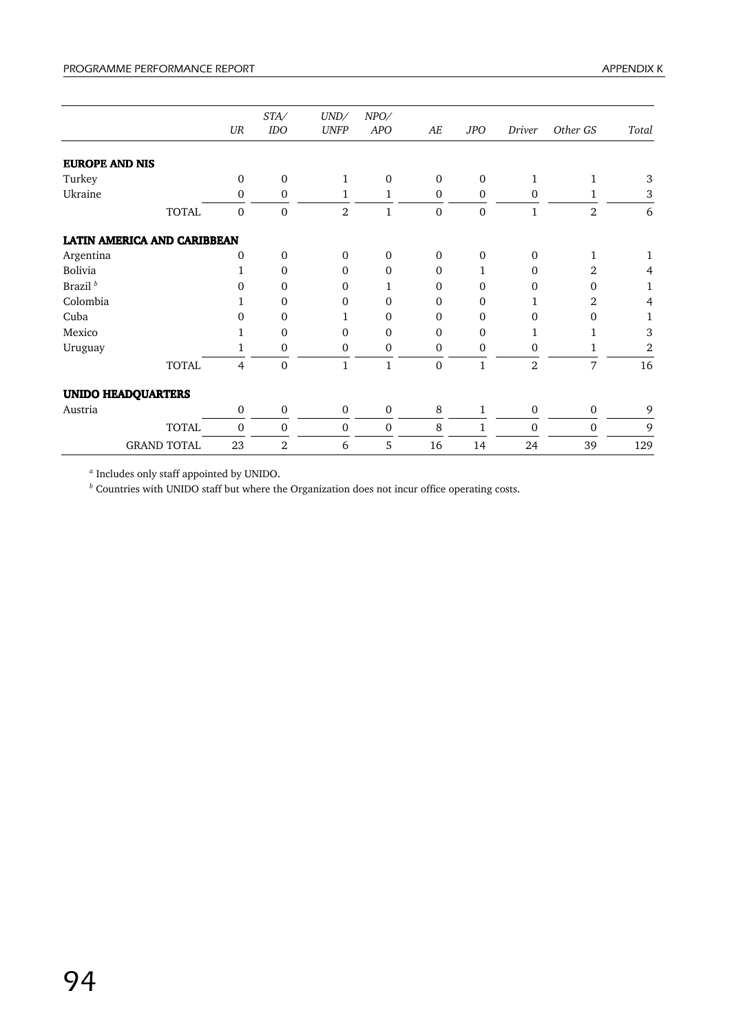|                                    |              | $U\!R$           | STA/<br>IDO      | UND/<br><b>UNFP</b> | NPO/<br><b>APO</b> | AE           | <b>JPO</b>   | Driver           | Other GS       | Total |
|------------------------------------|--------------|------------------|------------------|---------------------|--------------------|--------------|--------------|------------------|----------------|-------|
| <b>EUROPE AND NIS</b>              |              |                  |                  |                     |                    |              |              |                  |                |       |
| Turkey                             |              | $\mathbf{0}$     | $\mathbf 0$      | $\mathbf{1}$        | $\mathbf{0}$       | $\mathbf{0}$ | $\Omega$     | $\mathbf{1}$     | $\mathbf{1}$   | 3     |
| Ukraine                            |              | $\mathbf 0$      | $\mathbf 0$      | 1                   | 1                  | $\mathbf{0}$ | $\mathbf{0}$ | $\mathbf{0}$     | 1              | $\,3$ |
|                                    | <b>TOTAL</b> | $\mathbf{0}$     | $\Omega$         | $\overline{2}$      | $\mathbf{1}$       | $\mathbf{0}$ | $\Omega$     | 1                | $\overline{2}$ | 6     |
| <b>LATIN AMERICA AND CARIBBEAN</b> |              |                  |                  |                     |                    |              |              |                  |                |       |
| Argentina                          |              | $\mathbf{0}$     | $\mathbf{0}$     | $\mathbf{0}$        | $\mathbf{0}$       | $\mathbf{0}$ | $\mathbf{0}$ | $\mathbf{0}$     | $\mathbf{1}$   | 1     |
| Bolivia                            |              | $\mathbf{1}$     | $\Omega$         | $\Omega$            | $\Omega$           | $\Omega$     | 1            | $\Omega$         | $\overline{2}$ | 4     |
| Brazil <sup>b</sup>                |              | $\mathbf{0}$     | $\mathbf{0}$     | $\Omega$            | 1                  | $\Omega$     | $\mathbf{0}$ | $\mathbf{0}$     | $\Omega$       | 1     |
| Colombia                           |              | 1                | $\mathbf{0}$     | $\Omega$            | $\Omega$           | $\Omega$     | $\theta$     | 1                | 2              | 4     |
| Cuba                               |              | 0                | $\mathbf{0}$     | 1                   | $\mathbf 0$        | $\Omega$     | $\mathbf{0}$ | $\Omega$         | $\Omega$       | 1     |
| Mexico                             |              | 1                | $\mathbf{0}$     | $\overline{0}$      | $\Omega$           | $\Omega$     | $\Omega$     | 1                | 1              | 3     |
| Uruguay                            |              | 1                | $\mathbf{0}$     | 0                   | $\mathbf{0}$       | $\mathbf{0}$ | $\mathbf{0}$ | $\mathbf{0}$     | 1              | 2     |
|                                    | <b>TOTAL</b> | $\overline{4}$   | $\theta$         | $\mathbf{1}$        | $\mathbf{1}$       | $\Omega$     | $\mathbf{1}$ | $\overline{2}$   | 7              | 16    |
| <b>UNIDO HEADQUARTERS</b>          |              |                  |                  |                     |                    |              |              |                  |                |       |
| Austria                            |              | $\mathbf 0$      | $\mathbf 0$      | $\mathbf 0$         | $\mathbf 0$        | 8            | 1            | $\mathbf 0$      | $\mathbf 0$    | 9     |
|                                    | <b>TOTAL</b> | $\boldsymbol{0}$ | $\boldsymbol{0}$ | $\boldsymbol{0}$    | $\mathbf 0$        | 8            | 1            | $\boldsymbol{0}$ | $\mathbf{0}$   | 9     |
| <b>GRAND TOTAL</b>                 |              | 23               | $\overline{2}$   | 6                   | 5                  | 16           | 14           | 24               | 39             | 129   |

*<sup>a</sup>* Includes only staff appointed by UNIDO.

*<sup>b</sup>* Countries with UNIDO staff but where the Organization does not incur office operating costs.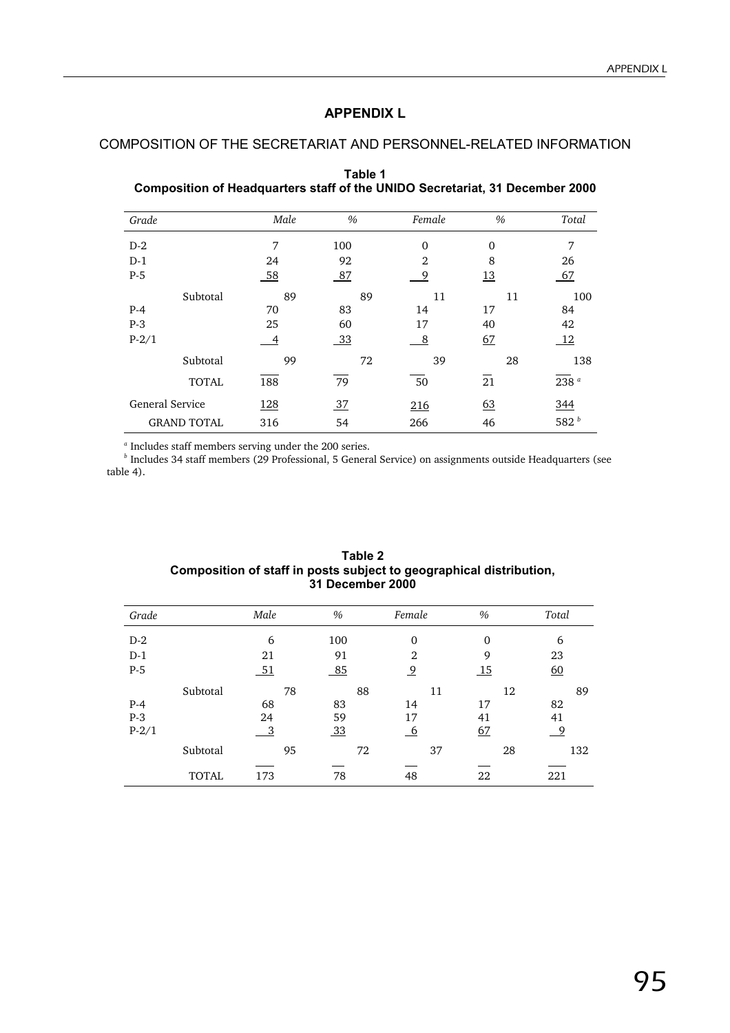## **APPENDIX L**

## COMPOSITION OF THE SECRETARIAT AND PERSONNEL-RELATED INFORMATION

| Grade                  |                    | Male | %   | Female         | $\%$     | Total            |
|------------------------|--------------------|------|-----|----------------|----------|------------------|
|                        |                    |      |     |                |          |                  |
| $D-2$                  |                    | 7    | 100 | $\Omega$       | $\Omega$ | 7                |
| $D-1$                  |                    | 24   | 92  | $\mathfrak{D}$ | 8        | 26               |
| $P-5$                  |                    | 58   | 87  | 9              | 13       | 67               |
|                        | Subtotal           | 89   | 89  | 11             | 11       | 100              |
| $P-4$                  |                    | 70   | 83  | 14             | 17       | 84               |
| $P-3$                  |                    | 25   | 60  | 17             | 40       | 42               |
| $P-2/1$                |                    | 4    | 33  | - 8            | 67       | <sup>12</sup>    |
|                        | Subtotal           | 99   | 72  | 39             | 28       | 138              |
|                        | <b>TOTAL</b>       | 188  | 79  | 50             | 21       | 238 <sup>a</sup> |
| <b>General Service</b> |                    | 128  | 37  | 216            | 63       | 344              |
|                        | <b>GRAND TOTAL</b> | 316  | 54  | 266            | 46       | 582 $b$          |

**Table 1 Composition of Headquarters staff of the UNIDO Secretariat, 31 December 2000**

*a* Includes staff members serving under the 200 series. *b* Includes 34 staff members (29 Professional, 5 General Service) on assignments outside Headquarters (see table 4).

| Grade   |              | Male                      | $\%$           | Female         | $\%$             | Total    |
|---------|--------------|---------------------------|----------------|----------------|------------------|----------|
| $D-2$   |              | 6                         | 100            | $\mathbf{0}$   | $\Omega$         | 6        |
| $D-1$   |              | 21                        | 91             | $\overline{2}$ | 9                | 23       |
| $P-5$   |              | 51                        | 85             | $\overline{9}$ | $\underline{15}$ | 60       |
|         | Subtotal     | 78                        | 88             | 11             | 12               | 89       |
| $P-4$   |              | 68                        | 83             | 14             | 17               | 82       |
| $P-3$   |              | 24                        | 59             | 17             | 41               | 41       |
| $P-2/1$ |              | $\overline{\phantom{a}3}$ | $\frac{33}{2}$ | <u>_6</u>      | 67               | <u>9</u> |
|         | Subtotal     | 95                        | 72             | 37             | 28               | 132      |
|         |              |                           |                |                |                  |          |
|         | <b>TOTAL</b> | 173                       | 78             | 48             | 22               | 221      |

| Table 2                                                             |
|---------------------------------------------------------------------|
| Composition of staff in posts subject to geographical distribution, |
| <b>31 December 2000</b>                                             |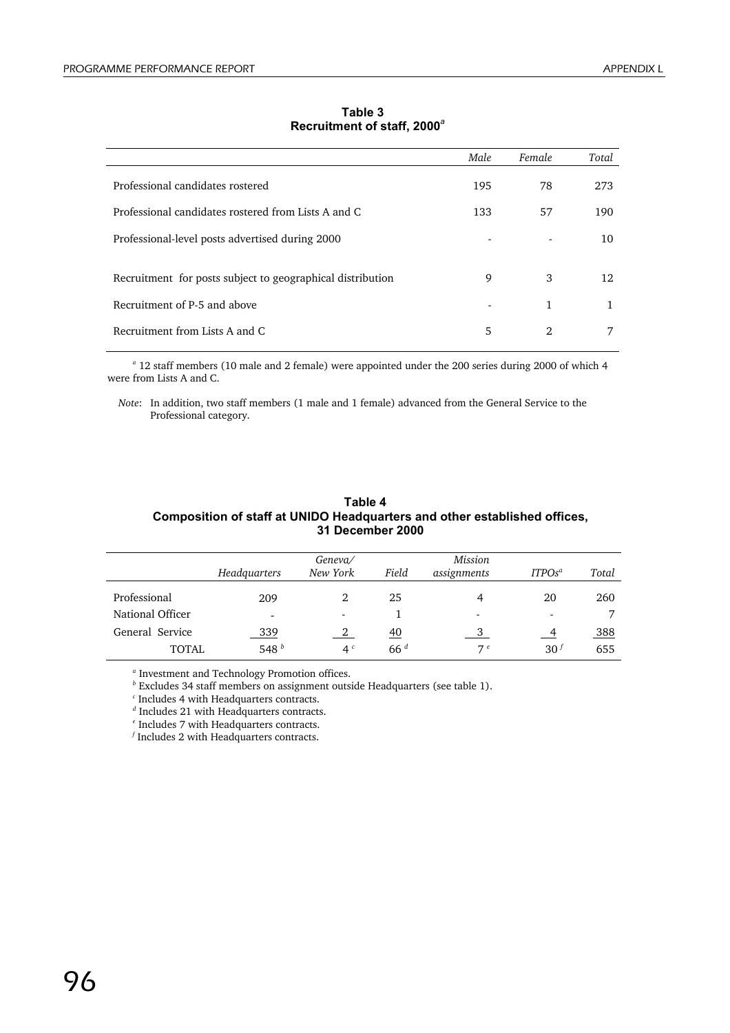|                                                            | Male | Female | Total |
|------------------------------------------------------------|------|--------|-------|
| Professional candidates rostered                           | 195  | 78     | 273   |
| Professional candidates rostered from Lists A and C.       | 133  | 57     | 190   |
| Professional-level posts advertised during 2000            |      |        | 10    |
| Recruitment for posts subject to geographical distribution | 9    | 3      | 12    |
| Recruitment of P-5 and above                               |      | 1      | 1     |
| Recruitment from Lists A and C.                            | 5    | 2      |       |

**Table 3 Recruitment of staff, 2000***<sup>a</sup>*

*a* 12 staff members (10 male and 2 female) were appointed under the 200 series during 2000 of which 4 were from Lists A and C.

*Note*: In addition, two staff members (1 male and 1 female) advanced from the General Service to the Professional category.

| Table 4                                                                   |
|---------------------------------------------------------------------------|
| Composition of staff at UNIDO Headquarters and other established offices, |
| 31 December 2000                                                          |

|                  | Headquarters | Geneva/<br>New York | Field     | Mission<br>assignments | ITPOS <sup>a</sup> | Total |
|------------------|--------------|---------------------|-----------|------------------------|--------------------|-------|
| Professional     | 209          |                     | 25        |                        | 20                 | 260   |
| National Officer |              |                     |           |                        |                    | ⇁     |
| General Service  | 339          |                     | <u>40</u> |                        |                    | 388   |
| <b>TOTAL</b>     | 548 $b$      | 4 <sup>c</sup>      | 66d       | 7e                     | 30 <sup>f</sup>    | 655   |

*a* Investment and Technology Promotion offices.

*b* Excludes 34 staff members on assignment outside Headquarters (see table 1).

*c* Includes 4 with Headquarters contracts.

*d* Includes 21 with Headquarters contracts.

*e* Includes 7 with Headquarters contracts.

*f* Includes 2 with Headquarters contracts.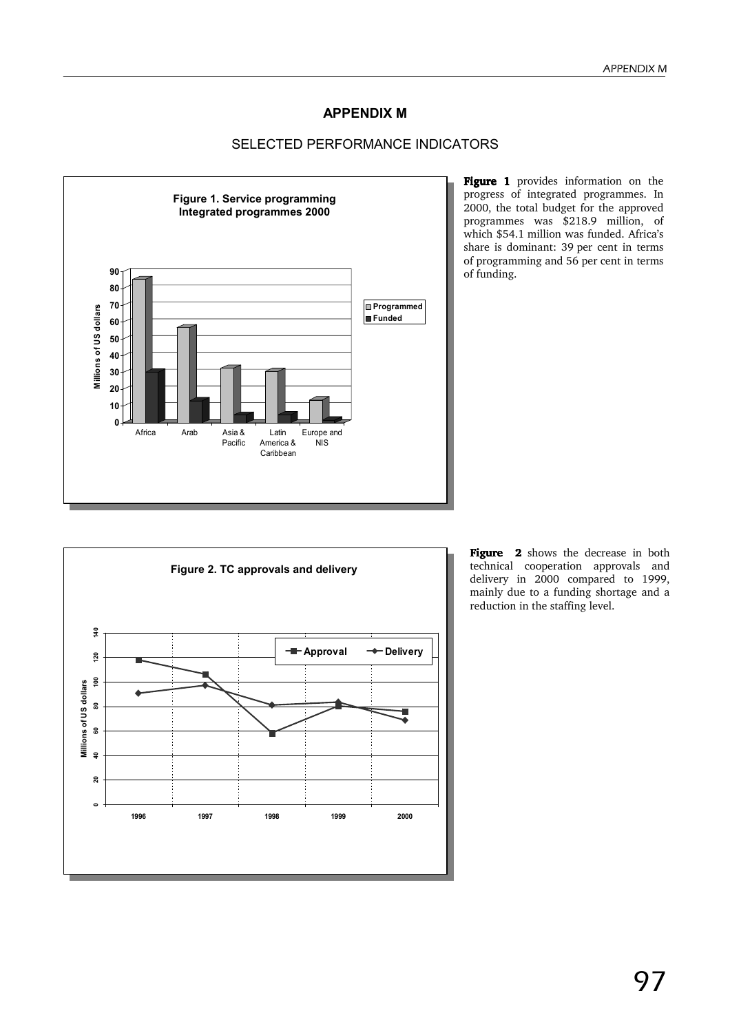## **APPENDIX M**

## SELECTED PERFORMANCE INDICATORS



Figure 1 provides information on the progress of integrated programmes. In 2000, the total budget for the approved programmes was \$218.9 million, of which \$54.1 million was funded. Africa's share is dominant: 39 per cent in terms of programming and 56 per cent in terms of funding.



Figure 2 shows the decrease in both technical cooperation approvals and delivery in 2000 compared to 1999, mainly due to a funding shortage and a reduction in the staffing level.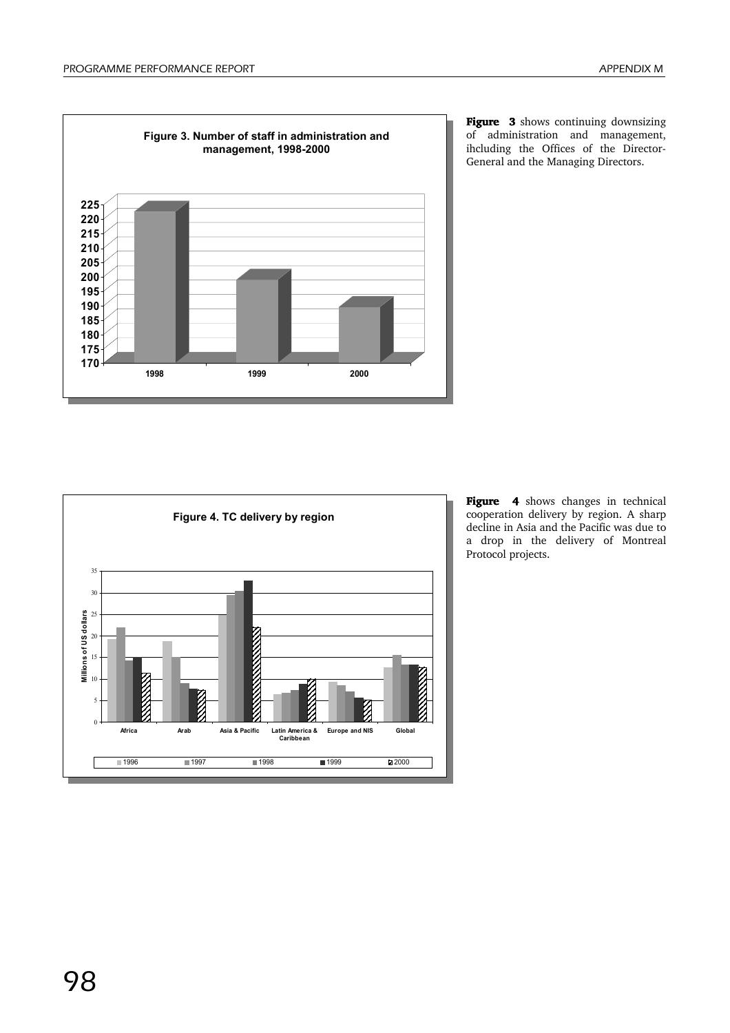





Figure 4 shows changes in technical cooperation delivery by region. A sharp decline in Asia and the Pacific was due to a drop in the delivery of Montreal Protocol projects.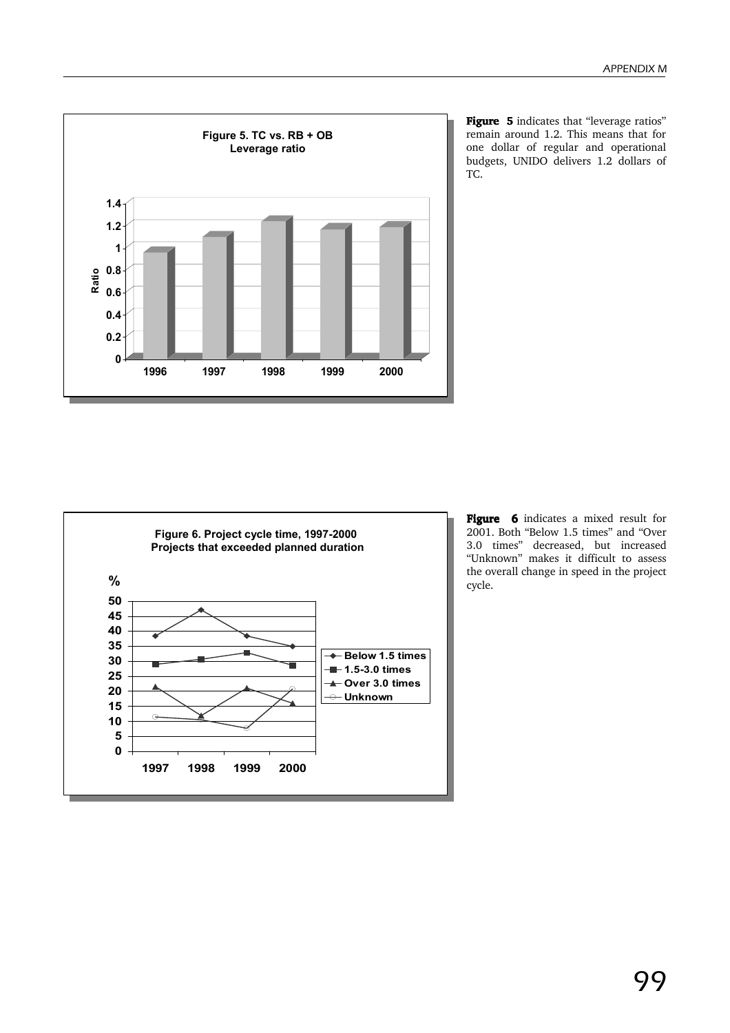

Figure 5 indicates that "leverage ratios" remain around 1.2. This means that for one dollar of regular and operational budgets, UNIDO delivers 1.2 dollars of TC.



Figure 6 indicates a mixed result for 2001. Both "Below 1.5 times" and "Over 3.0 times" decreased, but increased "Unknown" makes it difficult to assess the overall change in speed in the project cycle.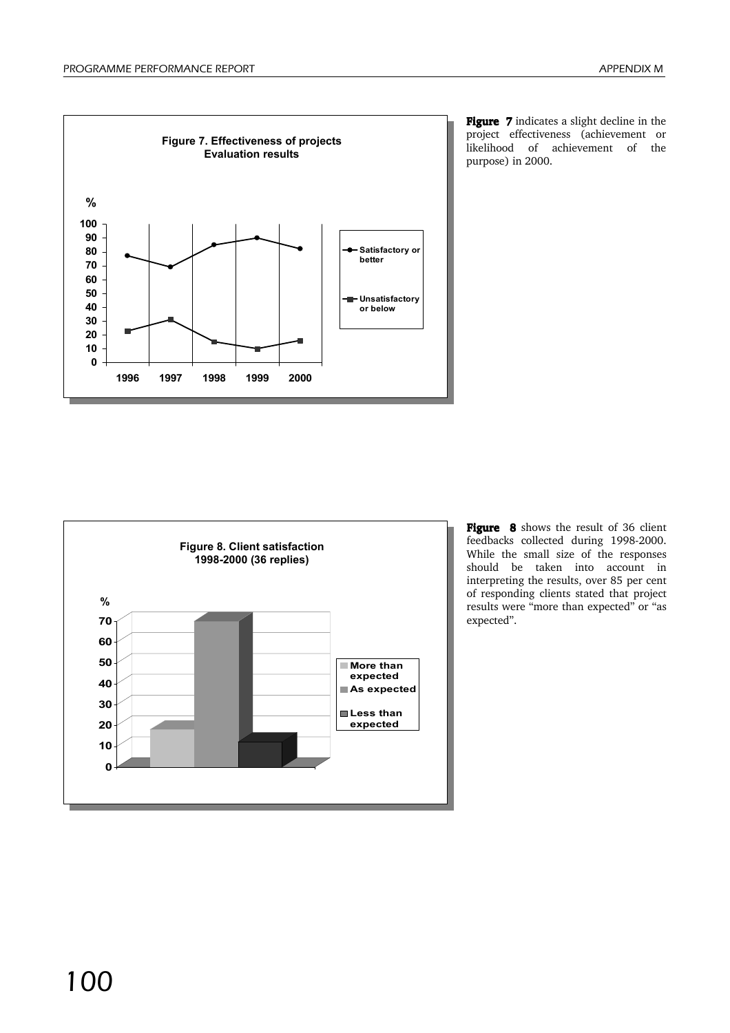

Figure 7 indicates a slight decline in the project effectiveness (achievement or likelihood of achievement of the purpose) in 2000.



Figure 8 shows the result of 36 client feedbacks collected during 1998-2000. While the small size of the responses should be taken into account in interpreting the results, over 85 per cent of responding clients stated that project results were "more than expected" or "as expected".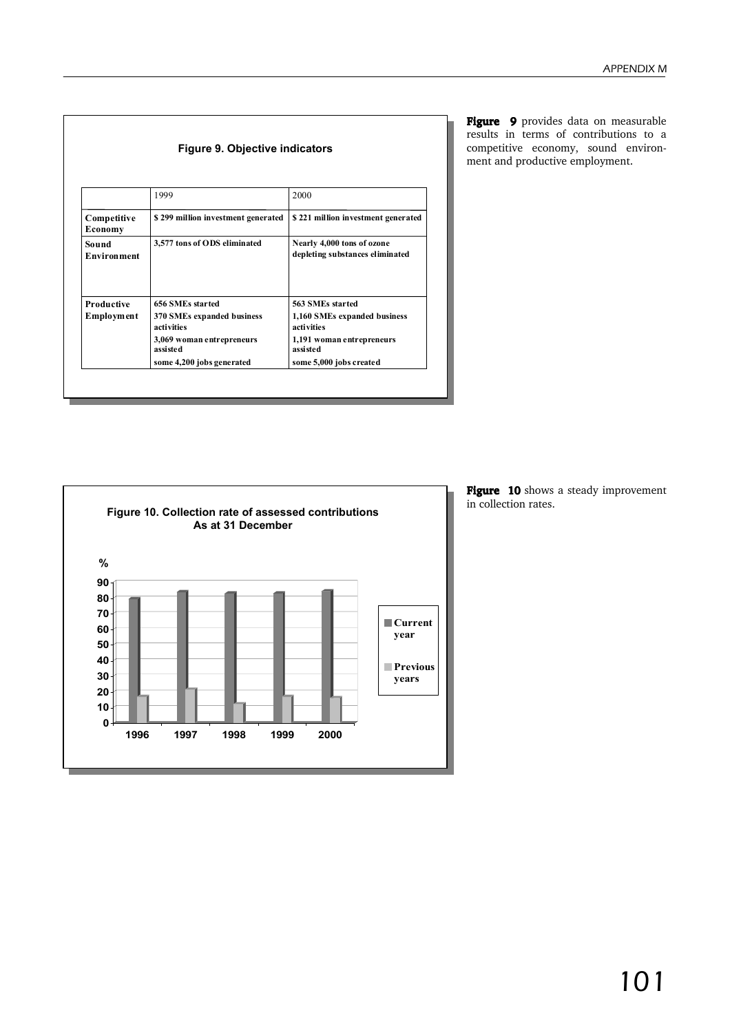|                             | 1999                                     | 2000                                                          |
|-----------------------------|------------------------------------------|---------------------------------------------------------------|
| Competitive<br>Economy      | \$299 million investment generated       | \$221 million investment generated                            |
| Sound<br><b>Environment</b> | 3,577 tons of ODS eliminated             | Nearly 4,000 tons of ozone<br>depleting substances eliminated |
| Productive                  | 656 SMEs started                         | 563 SMEs started                                              |
| <b>Employment</b>           | 370 SMEs expanded business<br>activities | 1,160 SMEs expanded business<br>activities                    |
|                             | 3,069 woman entrepreneurs<br>assisted    | 1,191 woman entrepreneurs<br>assisted                         |
|                             | some 4,200 jobs generated                | some 5,000 jobs created                                       |

Figure 9 provides data on measurable results in terms of contributions to a competitive economy, sound environment and productive employment.



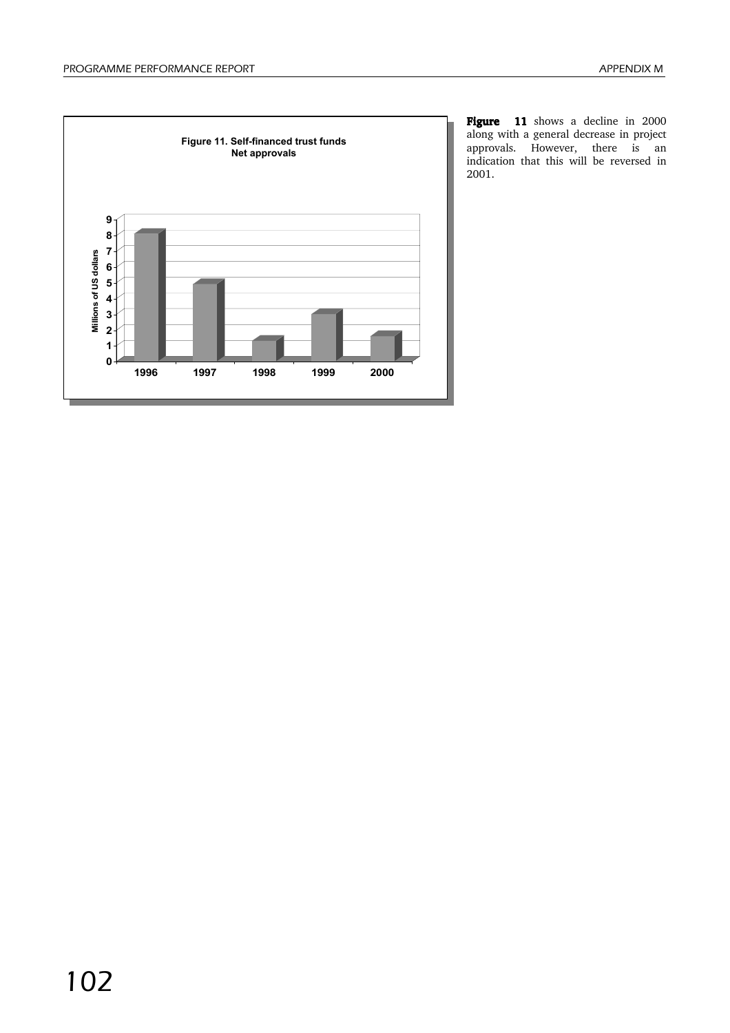

Figure 11 shows a decline in 2000 along with a general decrease in project approvals. However, there is an indication that this will be reversed in 2001.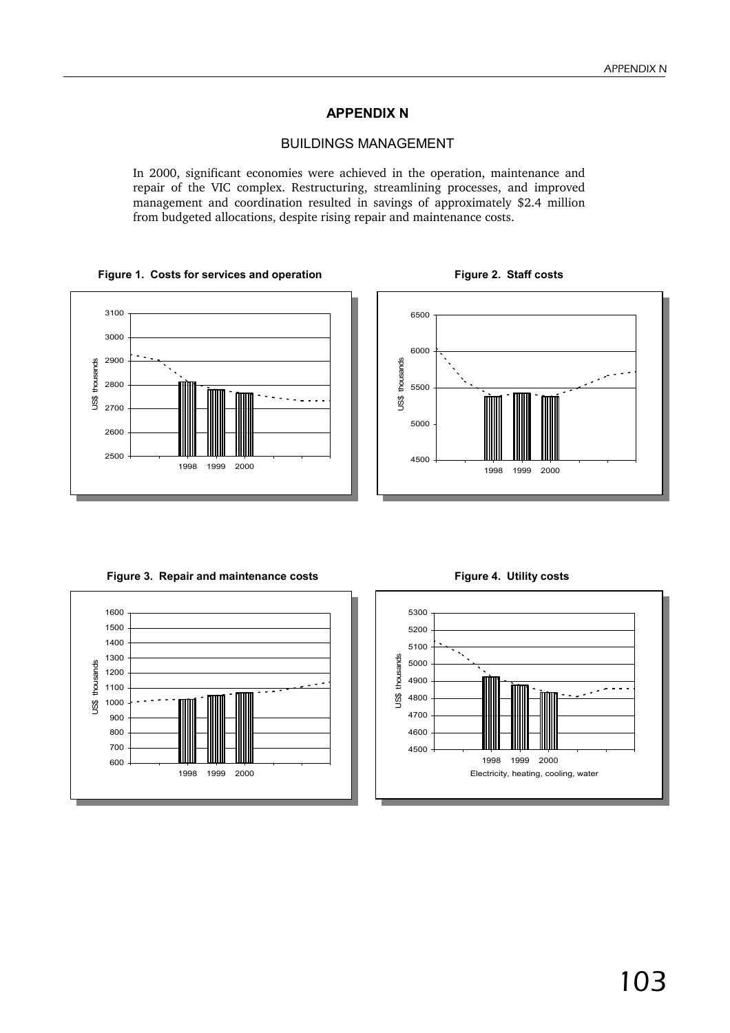## **APPENDIX N**

## BUILDINGS MANAGEMENT

In 2000, significant economies were achieved in the operation, maintenance and repair of the VIC complex. Restructuring, streamlining processes, and improved management and coordination resulted in savings of approximately \$2.4 million from budgeted allocations, despite rising repair and maintenance costs.

#### Figure 1. Costs for services and operation **Figure 2. Staff costs**





Figure 3. Repair and maintenance costs Figure 4. Utility costs



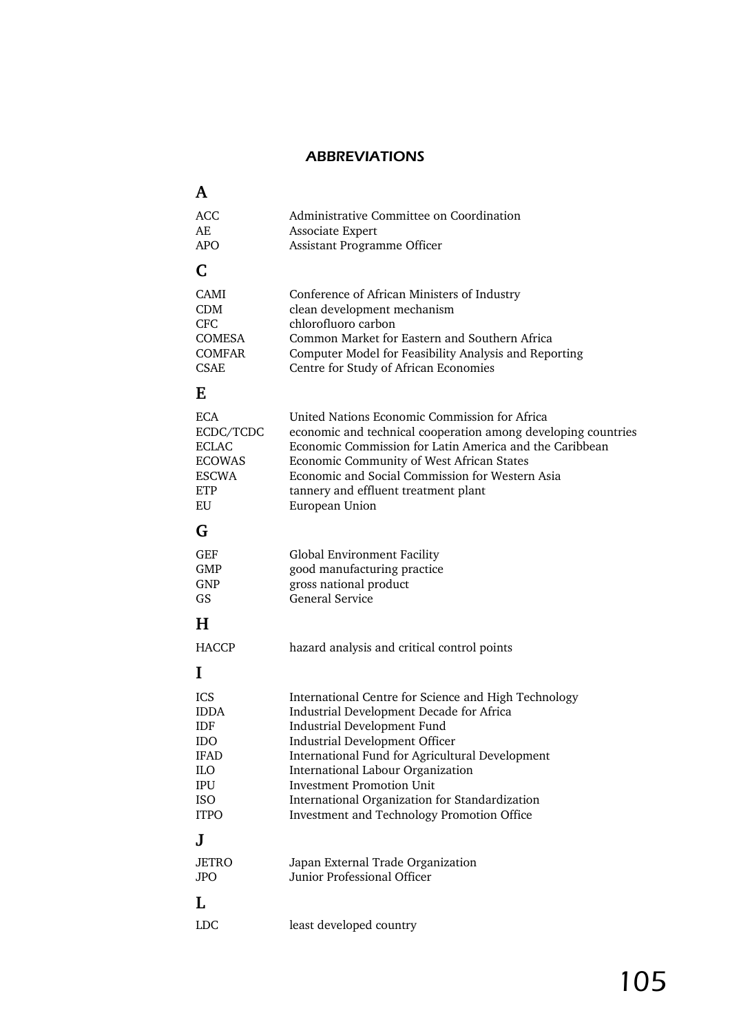## ABBREVIATIONS

| A                                                                                            |                                                                                                                                                                                                                                                                                                                                                                                               |
|----------------------------------------------------------------------------------------------|-----------------------------------------------------------------------------------------------------------------------------------------------------------------------------------------------------------------------------------------------------------------------------------------------------------------------------------------------------------------------------------------------|
| <b>ACC</b><br>AE<br><b>APO</b>                                                               | Administrative Committee on Coordination<br>Associate Expert<br>Assistant Programme Officer                                                                                                                                                                                                                                                                                                   |
| C                                                                                            |                                                                                                                                                                                                                                                                                                                                                                                               |
| <b>CAMI</b><br><b>CDM</b><br><b>CFC</b><br>COMESA<br><b>COMFAR</b><br>CSAE                   | Conference of African Ministers of Industry<br>clean development mechanism<br>chlorofluoro carbon<br>Common Market for Eastern and Southern Africa<br>Computer Model for Feasibility Analysis and Reporting<br>Centre for Study of African Economies                                                                                                                                          |
| E                                                                                            |                                                                                                                                                                                                                                                                                                                                                                                               |
| <b>ECA</b><br>ECDC/TCDC<br><b>ECLAC</b><br><b>ECOWAS</b><br><b>ESCWA</b><br><b>ETP</b><br>EU | United Nations Economic Commission for Africa<br>economic and technical cooperation among developing countries<br>Economic Commission for Latin America and the Caribbean<br>Economic Community of West African States<br>Economic and Social Commission for Western Asia<br>tannery and effluent treatment plant<br>European Union                                                           |
| G                                                                                            |                                                                                                                                                                                                                                                                                                                                                                                               |
| GEF<br><b>GMP</b><br><b>GNP</b><br>GS                                                        | Global Environment Facility<br>good manufacturing practice<br>gross national product<br><b>General Service</b>                                                                                                                                                                                                                                                                                |
| H                                                                                            |                                                                                                                                                                                                                                                                                                                                                                                               |
| <b>HACCP</b>                                                                                 | hazard analysis and critical control points                                                                                                                                                                                                                                                                                                                                                   |
| I                                                                                            |                                                                                                                                                                                                                                                                                                                                                                                               |
| <b>ICS</b><br><b>IDDA</b><br>IDF<br>IDO<br><b>IFAD</b><br>ILO<br>IPU<br>ISO<br><b>ITPO</b>   | International Centre for Science and High Technology<br>Industrial Development Decade for Africa<br>Industrial Development Fund<br>Industrial Development Officer<br>International Fund for Agricultural Development<br>International Labour Organization<br><b>Investment Promotion Unit</b><br>International Organization for Standardization<br>Investment and Technology Promotion Office |
| J                                                                                            |                                                                                                                                                                                                                                                                                                                                                                                               |
| <b>JETRO</b><br><b>JPO</b>                                                                   | Japan External Trade Organization<br>Junior Professional Officer                                                                                                                                                                                                                                                                                                                              |
| L                                                                                            |                                                                                                                                                                                                                                                                                                                                                                                               |
| <b>LDC</b>                                                                                   | least developed country                                                                                                                                                                                                                                                                                                                                                                       |
|                                                                                              |                                                                                                                                                                                                                                                                                                                                                                                               |